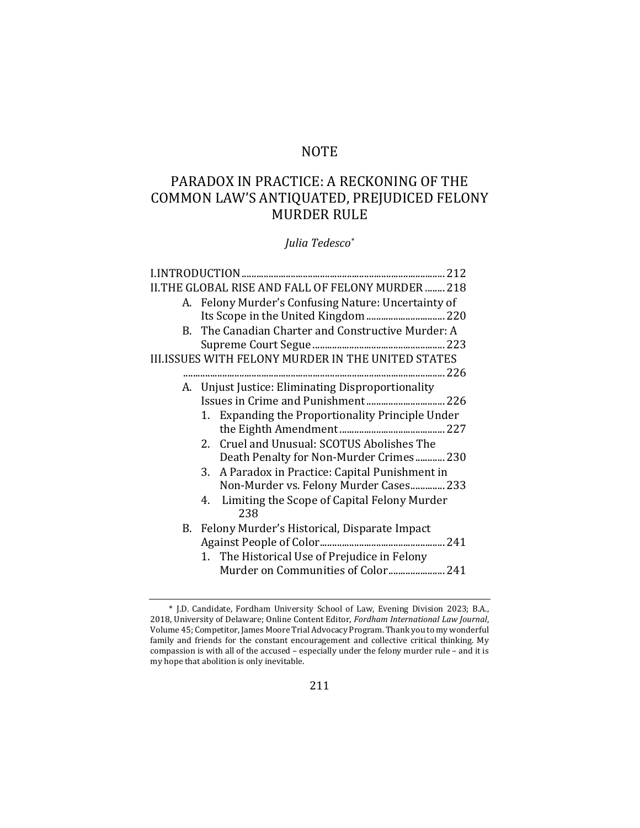# **NOTE**

# PARADOX IN PRACTICE: A RECKONING OF THE COMMON LAW'S ANTIQUATED, PREJUDICED FELONY MURDER RULE

*Julia Tedesco\**

|    | II.THE GLOBAL RISE AND FALL OF FELONY MURDER  218         |
|----|-----------------------------------------------------------|
|    | A. Felony Murder's Confusing Nature: Uncertainty of       |
|    |                                                           |
| B. | The Canadian Charter and Constructive Murder: A           |
|    |                                                           |
|    | <b>III.ISSUES WITH FELONY MURDER IN THE UNITED STATES</b> |
|    |                                                           |
|    | A. Unjust Justice: Eliminating Disproportionality         |
|    |                                                           |
|    | Expanding the Proportionality Principle Under<br>1.       |
|    |                                                           |
|    | 2. Cruel and Unusual: SCOTUS Abolishes The                |
|    | Death Penalty for Non-Murder Crimes 230                   |
|    | A Paradox in Practice: Capital Punishment in<br>3.        |
|    | Non-Murder vs. Felony Murder Cases 233                    |
|    | Limiting the Scope of Capital Felony Murder<br>4.         |
|    | 238                                                       |
|    | B. Felony Murder's Historical, Disparate Impact           |
|    |                                                           |
|    | 1. The Historical Use of Prejudice in Felony              |
|    | Murder on Communities of Color 241                        |

<sup>\*</sup> J.D. Candidate, Fordham University School of Law, Evening Division 2023; B.A., 2018, University of Delaware; Online Content Editor, *Fordham International Law Journal*, Volume 45; Competitor, James Moore Trial Advocacy Program. Thank you to my wonderful family and friends for the constant encouragement and collective critical thinking. My compassion is with all of the accused – especially under the felony murder rule – and it is my hope that abolition is only inevitable.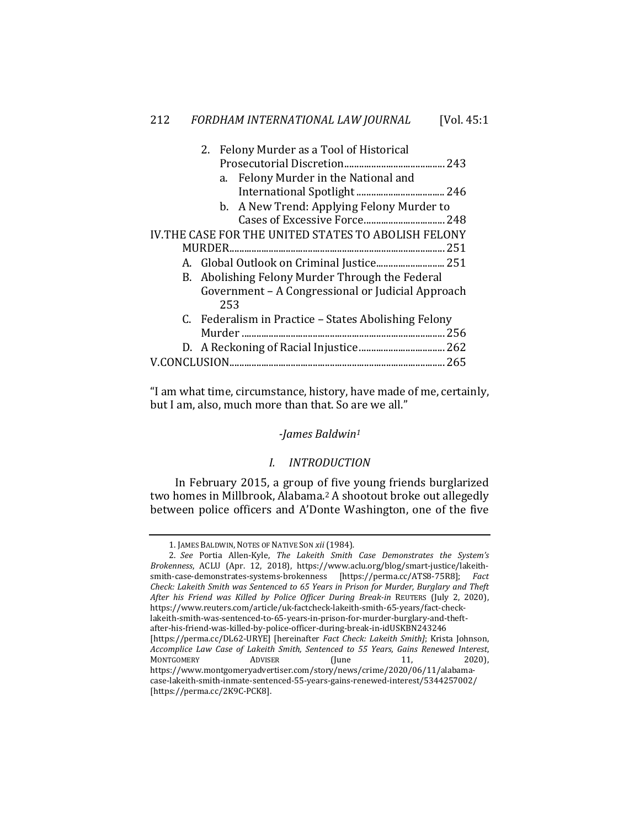|  |  | 2. Felony Murder as a Tool of Historical             |  |  |
|--|--|------------------------------------------------------|--|--|
|  |  |                                                      |  |  |
|  |  | a. Felony Murder in the National and                 |  |  |
|  |  |                                                      |  |  |
|  |  | b. A New Trend: Applying Felony Murder to            |  |  |
|  |  |                                                      |  |  |
|  |  | IV.THE CASE FOR THE UNITED STATES TO ABOLISH FELONY  |  |  |
|  |  |                                                      |  |  |
|  |  |                                                      |  |  |
|  |  | B. Abolishing Felony Murder Through the Federal      |  |  |
|  |  | Government - A Congressional or Judicial Approach    |  |  |
|  |  | 253                                                  |  |  |
|  |  | C. Federalism in Practice – States Abolishing Felony |  |  |
|  |  | 256                                                  |  |  |
|  |  |                                                      |  |  |
|  |  |                                                      |  |  |
|  |  |                                                      |  |  |

"I am what time, circumstance, history, have made of me, certainly, but I am, also, much more than that. So are we all."

## *-James Baldwin1*

#### *I. INTRODUCTION*

In February 2015, a group of five young friends burglarized two homes in Millbrook, Alabama.2 A shootout broke out allegedly between police officers and A'Donte Washington, one of the five

<sup>1.</sup> JAMES BALDWIN, NOTES OF NATIVE SON *xii* (1984)*.*

<sup>2.</sup> *See* Portia Allen-Kyle, *The Lakeith Smith Case Demonstrates the System's Brokenness*, ACLU (Apr. 12, 2018), https://www.aclu.org/blog/smart-justice/lakeithsmith-case-demonstrates-systems-brokenness [https://perma.cc/ATS8-75R8]; *Fact Check: Lakeith Smith was Sentenced to 65 Years in Prison for Murder, Burglary and Theft After his Friend was Killed by Police Officer During Break-in* REUTERS (July 2, 2020), https://www.reuters.com/article/uk-factcheck-lakeith-smith-65-years/fact-checklakeith-smith-was-sentenced-to-65-years-in-prison-for-murder-burglary-and-theftafter-his-friend-was-killed-by-police-officer-during-break-in-idUSKBN243246 [https://perma.cc/DL62-URYE] [hereinafter *Fact Check: Lakeith Smith]*; Krista Johnson, *Accomplice Law Case of Lakeith Smith, Sentenced to 55 Years, Gains Renewed Interest*, MONTGOMERY ADVISER (June 11, 2020), https://www.montgomeryadvertiser.com/story/news/crime/2020/06/11/alabamacase-lakeith-smith-inmate-sentenced-55-years-gains-renewed-interest/5344257002/ [https://perma.cc/2K9C-PCK8].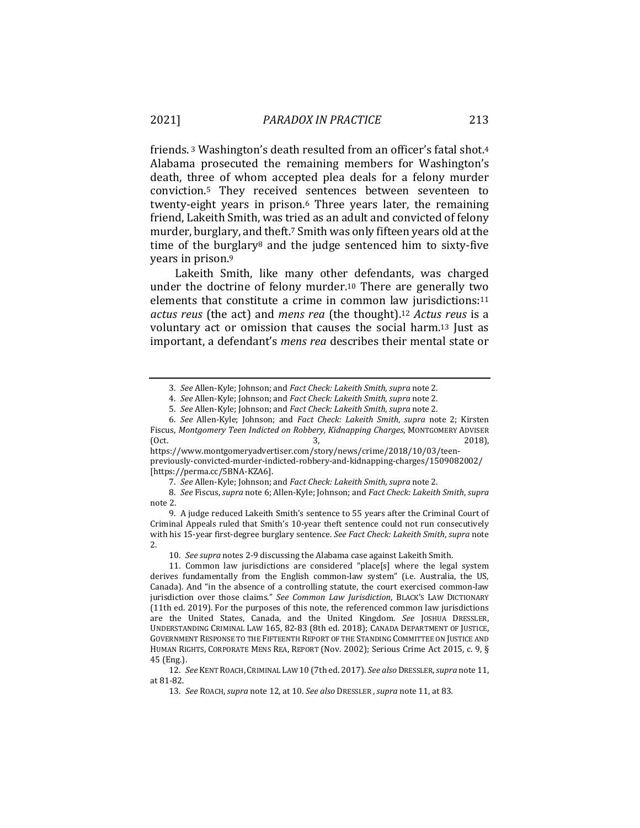friends. 3 Washington's death resulted from an officer's fatal shot.4 Alabama prosecuted the remaining members for Washington's death, three of whom accepted plea deals for a felony murder conviction.5 They received sentences between seventeen to twenty-eight years in prison.6 Three years later, the remaining friend, Lakeith Smith, was tried as an adult and convicted of felony murder, burglary, and theft.7 Smith was only fifteen years old at the time of the burglary8 and the judge sentenced him to sixty-five years in prison.9

Lakeith Smith, like many other defendants, was charged under the doctrine of felony murder.10 There are generally two elements that constitute a crime in common law jurisdictions:11 *actus reus* (the act) and *mens rea* (the thought).12 *Actus reus* is a voluntary act or omission that causes the social harm.13 Just as important, a defendant's *mens rea* describes their mental state or

<sup>3.</sup> *See* Allen-Kyle; Johnson; and *Fact Check: Lakeith Smith*, *supra* note 2.

<sup>4.</sup> *See* Allen-Kyle; Johnson; and *Fact Check: Lakeith Smith*, *supra* note 2.

<sup>5.</sup> *See* Allen-Kyle; Johnson; and *Fact Check: Lakeith Smith*, *supra* note 2.

<sup>6.</sup> *See* Allen-Kyle; Johnson; and *Fact Check: Lakeith Smith*, *supra* note 2; Kirsten Fiscus, *Montgomery Teen Indicted on Robbery, Kidnapping Charges*, MONTGOMERY ADVISER (Oct. 3, 2018),

https://www.montgomeryadvertiser.com/story/news/crime/2018/10/03/teenpreviously-convicted-murder-indicted-robbery-and-kidnapping-charges/1509082002/ [https://perma.cc/5BNA-KZA6].

<sup>7.</sup> *See* Allen-Kyle; Johnson; and *Fact Check: Lakeith Smith*, *supra* note 2.

<sup>8.</sup> *See* Fiscus, *supra* note 6; Allen-Kyle; Johnson; and *Fact Check: Lakeith Smith*, *supra* note 2.

<sup>9.</sup> A judge reduced Lakeith Smith's sentence to 55 years after the Criminal Court of Criminal Appeals ruled that Smith's 10-year theft sentence could not run consecutively with his 15-year first-degree burglary sentence. *See Fact Check: Lakeith Smith*, *supra* note 2.

<sup>10.</sup> *See supra* notes 2-9 discussing the Alabama case against Lakeith Smith.

<sup>11.</sup> Common law jurisdictions are considered "place[s] where the legal system derives fundamentally from the English common-law system" (i.e. Australia, the US, Canada). And "in the absence of a controlling statute, the court exercised common-law jurisdiction over those claims." *See Common Law Jurisdiction*, BLACK'S LAW DICTIONARY (11th ed. 2019). For the purposes of this note, the referenced common law jurisdictions are the United States, Canada, and the United Kingdom. *See* JOSHUA DRESSLER, UNDERSTANDING CRIMINAL LAW 165, 82-83 (8th ed. 2018); CANADA DEPARTMENT OF JUSTICE, GOVERNMENT RESPONSE TO THE FIFTEENTH REPORT OF THE STANDING COMMITTEE ON JUSTICE AND HUMAN RIGHTS, CORPORATE MENS REA, REPORT (Nov. 2002); Serious Crime Act 2015, c. 9, § 45 (Eng.).

<sup>12.</sup> *See* KENT ROACH, CRIMINAL LAW 10 (7th ed. 2017). *See also* DRESSLER,*supra* note 11, at 81-82.

<sup>13.</sup> *See* ROACH,*supra* note 12, at 10. *See also* DRESSLER ,*supra* note 11, at 83*.*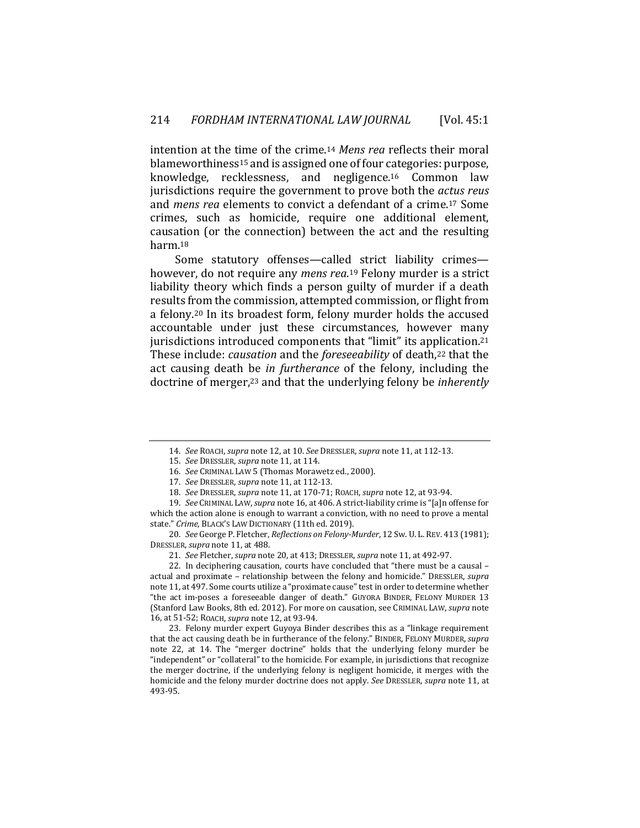intention at the time of the crime.14 *Mens rea* reflects their moral blameworthiness15 and is assigned one of four categories: purpose, knowledge, recklessness, and negligence.16 Common law jurisdictions require the government to prove both the *actus reus*  and *mens rea* elements to convict a defendant of a crime.17 Some crimes, such as homicide, require one additional element, causation (or the connection) between the act and the resulting harm.18

Some statutory offenses—called strict liability crimes however, do not require any *mens rea*.19 Felony murder is a strict liability theory which finds a person guilty of murder if a death results from the commission, attempted commission, or flight from a felony.20 In its broadest form, felony murder holds the accused accountable under just these circumstances, however many jurisdictions introduced components that "limit" its application.<sup>21</sup> These include: *causation* and the *foreseeability* of death,22 that the act causing death be *in furtherance* of the felony, including the doctrine of merger,23 and that the underlying felony be *inherently* 

20. *See* George P. Fletcher, *Reflections on Felony-Murder*, 12 Sw. U. L. REV. 413 (1981); DRESSLER, *supra* note 11, at 488.

21. *See* Fletcher, *supra* note 20, at 413; DRESSLER, *supra* note 11, at 492-97.

22. In deciphering causation, courts have concluded that "there must be a causal – actual and proximate – relationship between the felony and homicide." DRESSLER, *supra* note 11, at 497. Some courts utilize a "proximate cause" test in order to determine whether "the act im-poses a foreseeable danger of death." GUYORA BINDER, FELONY MURDER 13 (Stanford Law Books, 8th ed. 2012). For more on causation, see CRIMINAL LAW, *supra* note 16, at 51-52; ROACH, *supra* note 12, at 93-94.

23. Felony murder expert Guyoya Binder describes this as a "linkage requirement that the act causing death be in furtherance of the felony." BINDER, FELONY MURDER, *supra* note 22, at 14. The "merger doctrine" holds that the underlying felony murder be "independent" or "collateral" to the homicide. For example, in jurisdictions that recognize the merger doctrine, if the underlying felony is negligent homicide, it merges with the homicide and the felony murder doctrine does not apply. *See* DRESSLER, *supra* note 11, at 493-95.

<sup>14.</sup> *See* ROACH, *supra* note 12, at 10. *See* DRESSLER, *supra* note 11, at 112-13.

<sup>15.</sup> *See* DRESSLER, *supra* note 11, at 114.

<sup>16.</sup> *See* CRIMINAL LAW 5 (Thomas Morawetz ed., 2000).

<sup>17.</sup> *See* DRESSLER, *supra* note 11, at 112-13.

<sup>18.</sup> *See* DRESSLER, *supra* note 11, at 170-71; ROACH, *supra* note 12, at 93-94.

<sup>19.</sup> *See* CRIMINAL LAW, *supra* note 16, at 406. A strict-liability crime is "[a]n offense for which the action alone is enough to warrant a conviction, with no need to prove a mental state." *Crime*, BLACK'S LAW DICTIONARY (11th ed. 2019).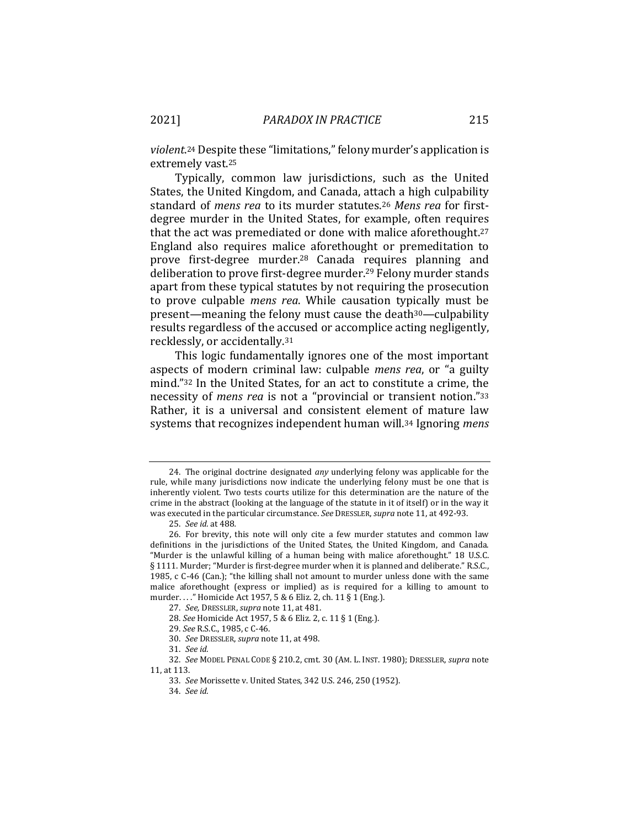*violent*.24 Despite these "limitations," felony murder's application is extremely vast.25

Typically, common law jurisdictions, such as the United States, the United Kingdom, and Canada, attach a high culpability standard of *mens rea* to its murder statutes.26 *Mens rea* for firstdegree murder in the United States, for example, often requires that the act was premediated or done with malice aforethought.27 England also requires malice aforethought or premeditation to prove first-degree murder.28 Canada requires planning and deliberation to prove first-degree murder.29 Felony murder stands apart from these typical statutes by not requiring the prosecution to prove culpable *mens rea*. While causation typically must be present—meaning the felony must cause the death30—culpability results regardless of the accused or accomplice acting negligently, recklessly, or accidentally.31

This logic fundamentally ignores one of the most important aspects of modern criminal law: culpable *mens rea*, or "a guilty mind."32 In the United States, for an act to constitute a crime, the necessity of *mens rea* is not a "provincial or transient notion."33 Rather, it is a universal and consistent element of mature law systems that recognizes independent human will.34 Ignoring *mens* 

- 29. *See* R.S.C., 1985, c C-46.
- 30. *See* DRESSLER, *supra* note 11, at 498.
- 31. *See id.*

<sup>24.</sup> The original doctrine designated *any* underlying felony was applicable for the rule, while many jurisdictions now indicate the underlying felony must be one that is inherently violent. Two tests courts utilize for this determination are the nature of the crime in the abstract (looking at the language of the statute in it of itself) or in the way it was executed in the particular circumstance. *See* DRESSLER, *supra* note 11, at 492-93.

<sup>25.</sup> *See id.* at 488*.*

<sup>26.</sup> For brevity, this note will only cite a few murder statutes and common law definitions in the jurisdictions of the United States, the United Kingdom, and Canada. "Murder is the unlawful killing of a human being with malice aforethought." 18 U.S.C. § 1111. Murder; "Murder is first-degree murder when it is planned and deliberate." R.S.C., 1985, c C-46 (Can.); "the killing shall not amount to murder unless done with the same malice aforethought (express or implied) as is required for a killing to amount to murder. . . ." Homicide Act 1957, 5 & 6 Eliz. 2, ch. 11 § 1 (Eng.).

<sup>27.</sup> *See,* DRESSLER, *supra* note 11, at 481.

<sup>28.</sup> *See* Homicide Act 1957, 5 & 6 Eliz. 2, c. 11 § 1 (Eng.).

<sup>32.</sup> *See* MODEL PENAL CODE § 210.2, cmt. 30 (AM. L. INST. 1980); DRESSLER, *supra* note 11, at 113.

<sup>33.</sup> *See* Morissette v. United States, 342 U.S. 246, 250 (1952).

<sup>34.</sup> *See id.*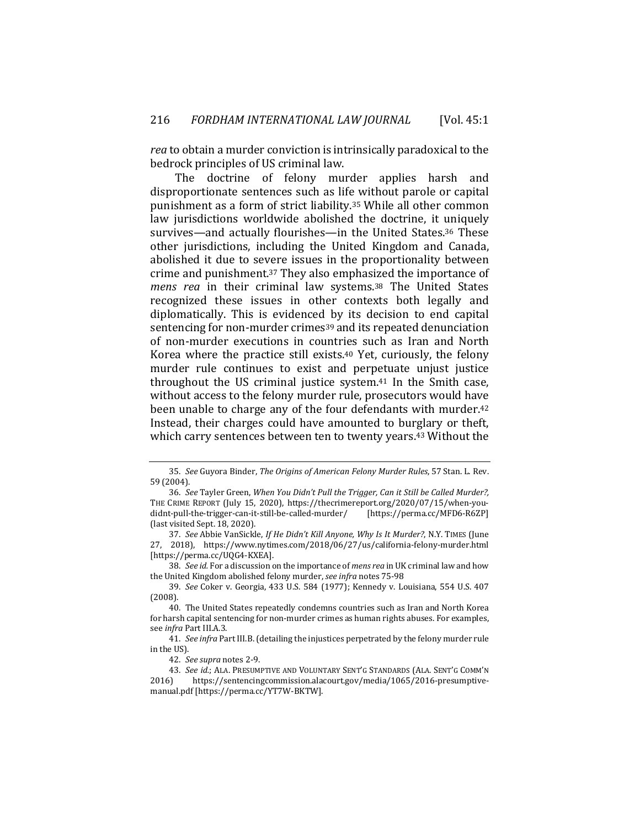*rea* to obtain a murder conviction is intrinsically paradoxical to the bedrock principles of US criminal law.

The doctrine of felony murder applies harsh and disproportionate sentences such as life without parole or capital punishment as a form of strict liability.35 While all other common law jurisdictions worldwide abolished the doctrine, it uniquely survives—and actually flourishes—in the United States.36 These other jurisdictions, including the United Kingdom and Canada, abolished it due to severe issues in the proportionality between crime and punishment.37 They also emphasized the importance of *mens rea* in their criminal law systems.38 The United States recognized these issues in other contexts both legally and diplomatically. This is evidenced by its decision to end capital sentencing for non-murder crimes<sup>39</sup> and its repeated denunciation of non-murder executions in countries such as Iran and North Korea where the practice still exists.40 Yet, curiously, the felony murder rule continues to exist and perpetuate unjust justice throughout the US criminal justice system.41 In the Smith case, without access to the felony murder rule, prosecutors would have been unable to charge any of the four defendants with murder.42 Instead, their charges could have amounted to burglary or theft, which carry sentences between ten to twenty years.<sup>43</sup> Without the

38. *See id.* For a discussion on the importance of *mens rea* in UK criminal law and how the United Kingdom abolished felony murder, *see infra* notes 75-98

<sup>35.</sup> *See* Guyora Binder, *The Origins of American Felony Murder Rules*, 57 Stan. L. Rev. 59 (2004).

<sup>36.</sup> *See* Tayler Green, *When You Didn't Pull the Trigger, Can it Still be Called Murder?,*  THE CRIME REPORT (July 15, 2020), https://thecrimereport.org/2020/07/15/when-youdidnt-pull-the-trigger-can-it-still-be-called-murder/ [https://perma.cc/MFD6-R6ZP] (last visited Sept. 18, 2020).

<sup>37.</sup> *See* Abbie VanSickle, *If He Didn't Kill Anyone, Why Is It Murder?*, N.Y. TIMES (June 27, 2018), https://www.nytimes.com/2018/06/27/us/california-felony-murder.html [https://perma.cc/UQG4-KXEA].

<sup>39.</sup> *See* Coker v. Georgia, 433 U.S. 584 (1977); Kennedy v. Louisiana, 554 U.S. 407 (2008).

<sup>40.</sup> The United States repeatedly condemns countries such as Iran and North Korea for harsh capital sentencing for non-murder crimes as human rights abuses. For examples, see *infra* Part III.A.3.

<sup>41.</sup> *See infra* Part III.B. (detailing the injustices perpetrated by the felony murder rule in the US).

<sup>42.</sup> *See supra* notes 2-9.

<sup>43.</sup> *See id.*; ALA. PRESUMPTIVE AND VOLUNTARY SENT'G STANDARDS (ALA. SENT'G COMM'N 2016) https://sentencingcommission.alacourt.gov/media/1065/2016-presumptivemanual.pdf [https://perma.cc/YT7W-BKTW].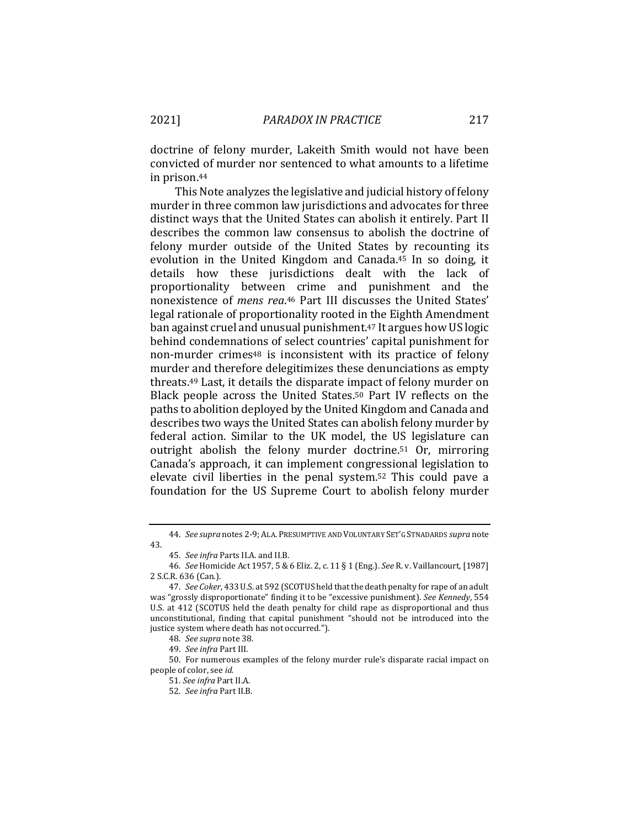doctrine of felony murder, Lakeith Smith would not have been convicted of murder nor sentenced to what amounts to a lifetime in prison.44

This Note analyzes the legislative and judicial history of felony murder in three common law jurisdictions and advocates for three distinct ways that the United States can abolish it entirely. Part II describes the common law consensus to abolish the doctrine of felony murder outside of the United States by recounting its evolution in the United Kingdom and Canada.45 In so doing, it details how these jurisdictions dealt with the lack of proportionality between crime and punishment and the nonexistence of *mens rea*.46 Part III discusses the United States' legal rationale of proportionality rooted in the Eighth Amendment ban against cruel and unusual punishment.47 It argues how US logic behind condemnations of select countries' capital punishment for non-murder crimes48 is inconsistent with its practice of felony murder and therefore delegitimizes these denunciations as empty threats.49 Last, it details the disparate impact of felony murder on Black people across the United States.50 Part IV reflects on the paths to abolition deployed by the United Kingdom and Canada and describes two ways the United States can abolish felony murder by federal action. Similar to the UK model, the US legislature can outright abolish the felony murder doctrine.51 Or, mirroring Canada's approach, it can implement congressional legislation to elevate civil liberties in the penal system.52 This could pave a foundation for the US Supreme Court to abolish felony murder

50. For numerous examples of the felony murder rule's disparate racial impact on people of color, see *id.*

51. *See infra* Part II.A.

<sup>44.</sup> *See supra* notes 2-9; ALA. PRESUMPTIVE AND VOLUNTARY SET'G STNADARDS *supra* note 43.

<sup>45.</sup> *See infra* Parts II.A. and II.B.

<sup>46.</sup> *See* Homicide Act 1957, 5 & 6 Eliz. 2, c. 11 § 1 (Eng.). *See* R. v. Vaillancourt, [1987] 2 S.C.R. 636 (Can.).

<sup>47.</sup> *See Coker*, 433 U.S. at 592 (SCOTUS held that the death penalty for rape of an adult was "grossly disproportionate" finding it to be "excessive punishment). *See Kennedy*, 554 U.S. at 412 (SCOTUS held the death penalty for child rape as disproportional and thus unconstitutional, finding that capital punishment "should not be introduced into the justice system where death has not occurred.").

<sup>48.</sup> *See supra* note 38.

<sup>49.</sup> *See infra* Part III.

<sup>52.</sup> *See infra* Part II.B.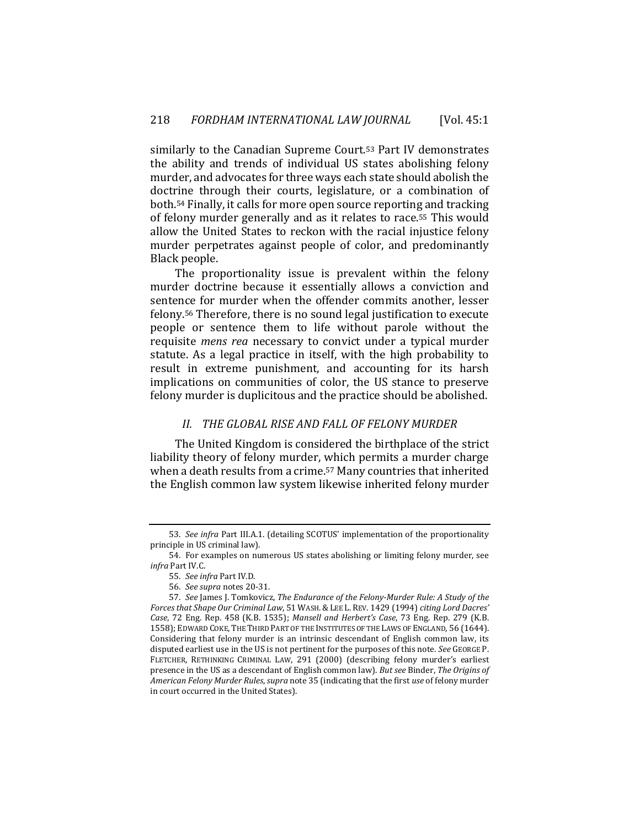similarly to the Canadian Supreme Court.53 Part IV demonstrates the ability and trends of individual US states abolishing felony murder, and advocates for three ways each state should abolish the doctrine through their courts, legislature, or a combination of both.54 Finally, it calls for more open source reporting and tracking of felony murder generally and as it relates to race.55 This would allow the United States to reckon with the racial injustice felony murder perpetrates against people of color, and predominantly Black people.

The proportionality issue is prevalent within the felony murder doctrine because it essentially allows a conviction and sentence for murder when the offender commits another, lesser felony.56 Therefore, there is no sound legal justification to execute people or sentence them to life without parole without the requisite *mens rea* necessary to convict under a typical murder statute. As a legal practice in itself, with the high probability to result in extreme punishment, and accounting for its harsh implications on communities of color, the US stance to preserve felony murder is duplicitous and the practice should be abolished.

#### *II. THE GLOBAL RISE AND FALL OF FELONY MURDER*

The United Kingdom is considered the birthplace of the strict liability theory of felony murder, which permits a murder charge when a death results from a crime.57 Many countries that inherited the English common law system likewise inherited felony murder

<sup>53.</sup> *See infra* Part III.A.1. (detailing SCOTUS' implementation of the proportionality principle in US criminal law).

<sup>54.</sup> For examples on numerous US states abolishing or limiting felony murder, see *infra* Part IV.C.

<sup>55.</sup> *See infra* Part IV.D.

<sup>56.</sup> *See supra* notes 20-31.

<sup>57.</sup> *See* James J. Tomkovicz, *The Endurance of the Felony-Murder Rule: A Study of the Forces that Shape Our Criminal Law*, 51 WASH.&LEE L. REV. 1429 (1994) *citing Lord Dacres' Case*, 72 Eng. Rep. 458 (K.B. 1535); *Mansell and Herbert's Case*, 73 Eng. Rep. 279 (K.B. 1558); EDWARD COKE, THE THIRD PART OF THE INSTITUTES OF THE LAWS OF ENGLAND, 56 (1644). Considering that felony murder is an intrinsic descendant of English common law, its disputed earliest use in the US is not pertinent for the purposes of this note. *See* GEORGE P. FLETCHER, RETHINKING CRIMINAL LAW, 291 (2000) (describing felony murder's earliest presence in the US as a descendant of English common law). *But see* Binder, *The Origins of American Felony Murder Rules*, *supra* note 35 (indicating that the first *use* of felony murder in court occurred in the United States).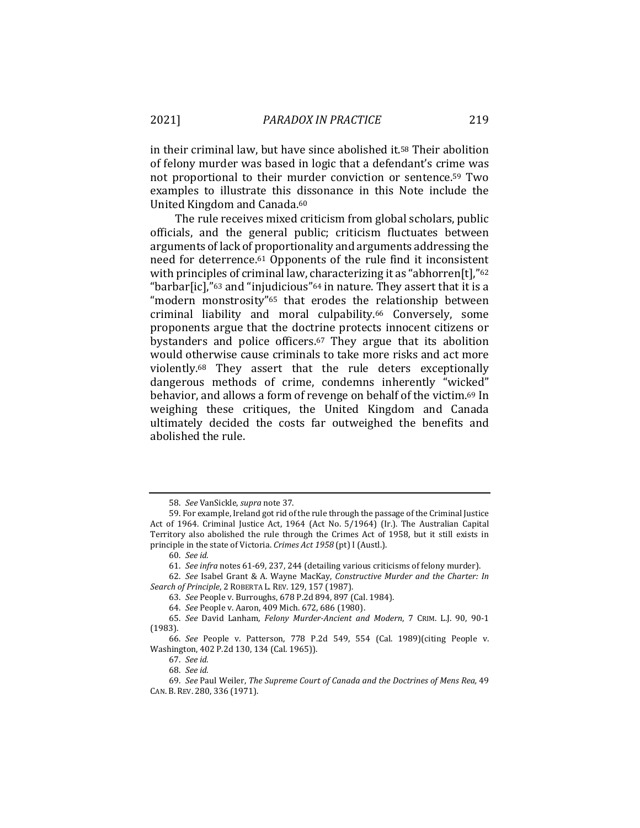in their criminal law, but have since abolished it.58 Their abolition of felony murder was based in logic that a defendant's crime was not proportional to their murder conviction or sentence.59 Two examples to illustrate this dissonance in this Note include the United Kingdom and Canada.60

The rule receives mixed criticism from global scholars, public officials, and the general public; criticism fluctuates between arguments of lack of proportionality and arguments addressing the need for deterrence.61 Opponents of the rule find it inconsistent with principles of criminal law, characterizing it as "abhorren[t],"62 "barbar[ic],"63 and "injudicious"64 in nature. They assert that it is a "modern monstrosity"65 that erodes the relationship between criminal liability and moral culpability.66 Conversely, some proponents argue that the doctrine protects innocent citizens or bystanders and police officers.67 They argue that its abolition would otherwise cause criminals to take more risks and act more violently.68 They assert that the rule deters exceptionally dangerous methods of crime, condemns inherently "wicked" behavior, and allows a form of revenge on behalf of the victim.69 In weighing these critiques, the United Kingdom and Canada ultimately decided the costs far outweighed the benefits and abolished the rule.

<sup>58.</sup> *See* VanSickle, *supra* note 37.

<sup>59.</sup> For example, Ireland got rid of the rule through the passage of the Criminal Justice Act of 1964. Criminal Justice Act, 1964 (Act No. 5/1964) (Ir.). The Australian Capital Territory also abolished the rule through the Crimes Act of 1958, but it still exists in principle in the state of Victoria. *Crimes Act 1958* (pt) I (Austl.).

<sup>60.</sup> *See id.*

<sup>61.</sup> *See infra* notes 61-69, 237, 244 (detailing various criticisms of felony murder).

<sup>62.</sup> *See* Isabel Grant & A. Wayne MacKay, *Constructive Murder and the Charter: In Search of Principle*, 2 ROBERTA L. REV. 129, 157 (1987).

<sup>63.</sup> *See* People v. Burroughs, 678 P.2d 894, 897 (Cal. 1984).

<sup>64.</sup> *See* People v. Aaron, 409 Mich. 672, 686 (1980).

<sup>65.</sup> *See* David Lanham, *Felony Murder-Ancient and Modern*, 7 CRIM. L.J. 90, 90-1 (1983).

<sup>66.</sup> *See* People v. Patterson, 778 P.2d 549, 554 (Cal. 1989)(citing People v. Washington, 402 P.2d 130, 134 (Cal. 1965)).

<sup>67.</sup> *See id.*

<sup>68.</sup> *See id.*

<sup>69.</sup> *See* Paul Weiler, *The Supreme Court of Canada and the Doctrines of Mens Rea,* 49 CAN. B. REV. 280, 336 (1971).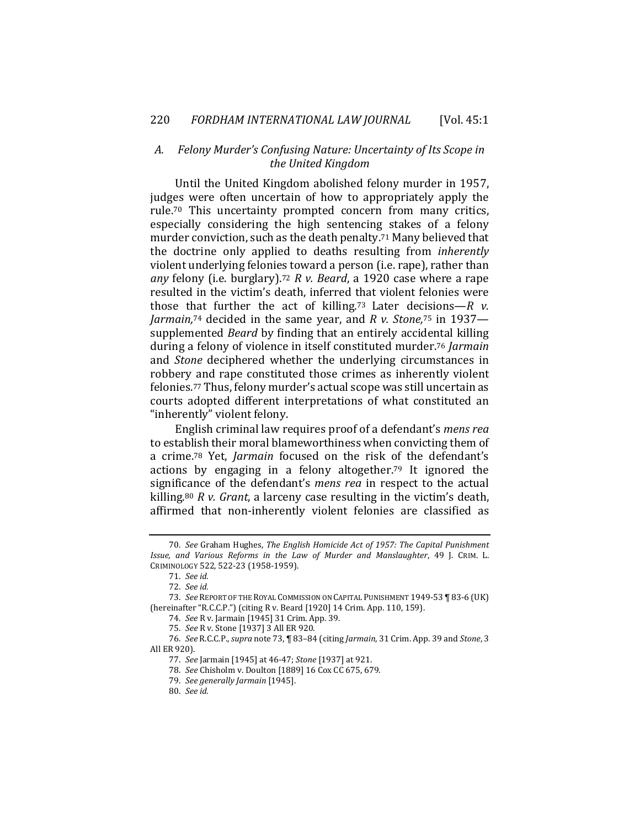## *A. Felony Murder's Confusing Nature: Uncertainty of Its Scope in the United Kingdom*

Until the United Kingdom abolished felony murder in 1957, judges were often uncertain of how to appropriately apply the rule.70 This uncertainty prompted concern from many critics, especially considering the high sentencing stakes of a felony murder conviction, such as the death penalty.71 Many believed that the doctrine only applied to deaths resulting from *inherently*  violent underlying felonies toward a person (i.e. rape), rather than *any* felony (i.e. burglary).72 *R v. Beard*, a 1920 case where a rape resulted in the victim's death, inferred that violent felonies were those that further the act of killing.73 Later decisions—*R v. Jarmain,*74 decided in the same year, and *R v. Stone,*75 in 1937 supplemented *Beard* by finding that an entirely accidental killing during a felony of violence in itself constituted murder.76 *Jarmain* and *Stone* deciphered whether the underlying circumstances in robbery and rape constituted those crimes as inherently violent felonies.77 Thus, felony murder's actual scope was still uncertain as courts adopted different interpretations of what constituted an "inherently" violent felony.

English criminal law requires proof of a defendant's *mens rea*  to establish their moral blameworthiness when convicting them of a crime.78 Yet, *Jarmain* focused on the risk of the defendant's actions by engaging in a felony altogether.79 It ignored the significance of the defendant's *mens rea* in respect to the actual killing.80 *R v. Grant*, a larceny case resulting in the victim's death, affirmed that non-inherently violent felonies are classified as

<sup>70.</sup> *See* Graham Hughes, *The English Homicide Act of 1957: The Capital Punishment Issue, and Various Reforms in the Law of Murder and Manslaughter*, 49 J. CRIM. L. CRIMINOLOGY 522, 522-23 (1958-1959).

<sup>71.</sup> *See id.*

<sup>72.</sup> *See id.*

<sup>73.</sup> *See* REPORT OF THE ROYAL COMMISSION ON CAPITAL PUNISHMENT 1949-53 ¶ 83-6 (UK) (hereinafter "R.C.C.P.") (citing R v. Beard [1920] 14 Crim. App. 110, 159).

<sup>74.</sup> *See* R v. Jarmain [1945] 31 Crim. App. 39.

<sup>75.</sup> *See* R v. Stone [1937] 3 All ER 920.

<sup>76.</sup> *See* R.C.C.P., *supra* note 73, ¶ 83–84 (citing *Jarmain*, 31 Crim. App. 39 and *Stone*, 3 All ER 920).

<sup>77.</sup> *See* Jarmain [1945] at 46-47; *Stone* [1937] at 921.

<sup>78.</sup> *See* Chisholm v. Doulton [1889] 16 Cox CC 675, 679.

<sup>79.</sup> *See generally Jarmain* [1945].

<sup>80.</sup> *See id.*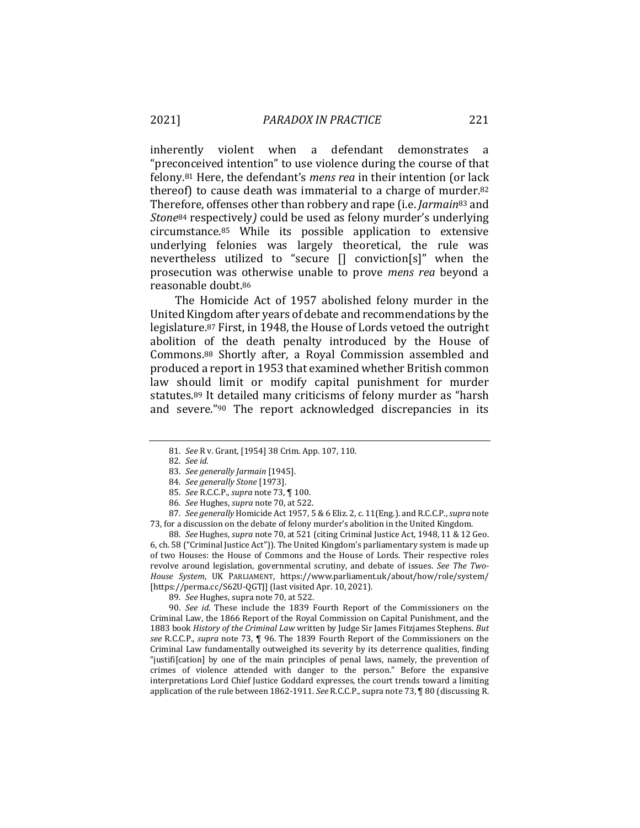inherently violent when a defendant demonstrates a "preconceived intention" to use violence during the course of that felony.81 Here, the defendant's *mens rea* in their intention (or lack thereof) to cause death was immaterial to a charge of murder.82 Therefore, offenses other than robbery and rape (i.e. *Jarmain*<sup>83</sup> and *Stone*84 respectively*)* could be used as felony murder's underlying circumstance.85 While its possible application to extensive underlying felonies was largely theoretical, the rule was nevertheless utilized to "secure [] conviction[s]" when the prosecution was otherwise unable to prove *mens rea* beyond a reasonable doubt.86

The Homicide Act of 1957 abolished felony murder in the United Kingdom after years of debate and recommendations by the legislature.87 First, in 1948, the House of Lords vetoed the outright abolition of the death penalty introduced by the House of Commons.88 Shortly after, a Royal Commission assembled and produced a report in 1953 that examined whether British common law should limit or modify capital punishment for murder statutes.89 It detailed many criticisms of felony murder as "harsh and severe."90 The report acknowledged discrepancies in its

87. *See generally* Homicide Act 1957, 5 & 6 Eliz. 2, c. 11(Eng.). and R.C.C.P., *supra* note 73, for a discussion on the debate of felony murder's abolition in the United Kingdom.

88*. See* Hughes, *supra* note 70, at 521 (citing Criminal Justice Act, 1948, 11 & 12 Geo. 6, ch. 58 ("Criminal Justice Act")). The United Kingdom's parliamentary system is made up of two Houses: the House of Commons and the House of Lords. Their respective roles revolve around legislation, governmental scrutiny, and debate of issues. *See The Two-House System*, UK PARLIAMENT, https://www.parliament.uk/about/how/role/system/ [https://perma.cc/S62U-QGTJ] (last visited Apr. 10, 2021).

89. *See* Hughes, supra note 70, at 522.

90. *See id.* These include the 1839 Fourth Report of the Commissioners on the Criminal Law, the 1866 Report of the Royal Commission on Capital Punishment, and the 1883 book *History of the Criminal Law* written by Judge Sir James Fitzjames Stephens. *But see* R.C.C.P., *supra* note 73, ¶ 96. The 1839 Fourth Report of the Commissioners on the Criminal Law fundamentally outweighed its severity by its deterrence qualities, finding "justifi[cation] by one of the main principles of penal laws, namely, the prevention of crimes of violence attended with danger to the person." Before the expansive interpretations Lord Chief Justice Goddard expresses, the court trends toward a limiting application of the rule between 1862-1911. *See* R.C.C.P., supra note 73, ¶ 80 (discussing R.

<sup>81.</sup> *See* R v. Grant, [1954] 38 Crim. App. 107, 110.

<sup>82.</sup> *See id.*

<sup>83.</sup> *See generally Jarmain* [1945].

<sup>84.</sup> *See generally Stone* [1973].

<sup>85.</sup> *See* R.C.C.P., *supra* note 73, ¶ 100.

<sup>86.</sup> *See* Hughes, *supra* note 70, at 522.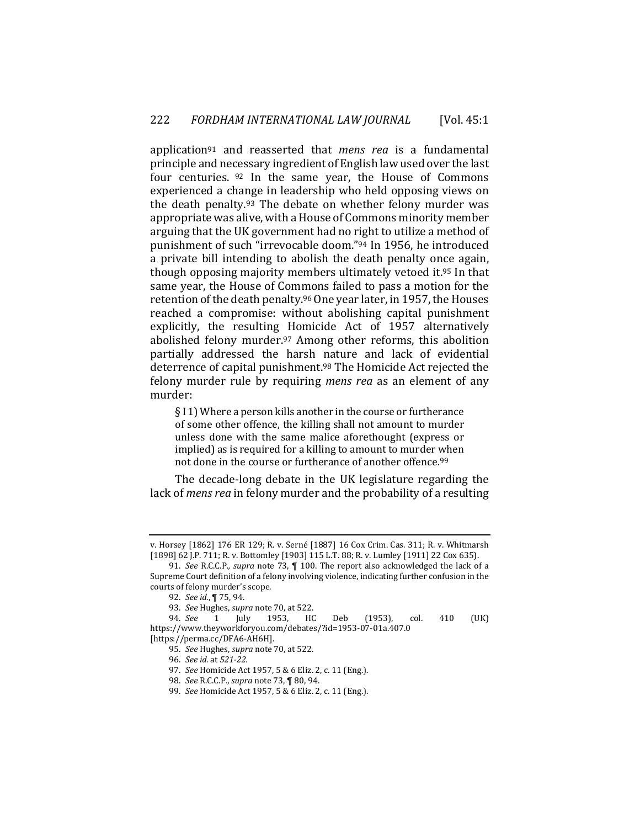application91 and reasserted that *mens rea* is a fundamental principle and necessary ingredient of English law used over the last four centuries. 92 In the same year, the House of Commons experienced a change in leadership who held opposing views on the death penalty.93 The debate on whether felony murder was appropriate was alive, with a House of Commons minority member arguing that the UK government had no right to utilize a method of punishment of such "irrevocable doom."94 In 1956, he introduced a private bill intending to abolish the death penalty once again, though opposing majority members ultimately vetoed it.95 In that same year, the House of Commons failed to pass a motion for the retention of the death penalty.96 One year later, in 1957, the Houses reached a compromise: without abolishing capital punishment explicitly, the resulting Homicide Act of 1957 alternatively abolished felony murder.97 Among other reforms, this abolition partially addressed the harsh nature and lack of evidential deterrence of capital punishment.98 The Homicide Act rejected the felony murder rule by requiring *mens rea* as an element of any murder:

§ I 1) Where a person kills another in the course or furtherance of some other offence, the killing shall not amount to murder unless done with the same malice aforethought (express or implied) as is required for a killing to amount to murder when not done in the course or furtherance of another offence.<sup>99</sup>

The decade-long debate in the UK legislature regarding the lack of *mens rea* in felony murder and the probability of a resulting

v. Horsey [1862] 176 ER 129; R. v. Serné [1887] 16 Cox Crim. Cas. 311; R. v. Whitmarsh [1898] 62 J.P. 711; R. v. Bottomley [1903] 115 L.T. 88; R. v. Lumley [1911] 22 Cox 635).

<sup>91.</sup> *See* R.C.C.P*., supra* note 73, ¶ 100. The report also acknowledged the lack of a Supreme Court definition of a felony involving violence, indicating further confusion in the courts of felony murder's scope.

<sup>92.</sup> *See id.*, ¶ 75, 94.

<sup>93.</sup> *See* Hughes, *supra* note 70, at 522.

<sup>94.</sup> *See* 1 July 1953, HC Deb (1953), col. 410 (UK) https://www.theyworkforyou.com/debates/?id=1953-07-01a.407.0

<sup>[</sup>https://perma.cc/DFA6-AH6H].

<sup>95.</sup> *See* Hughes, *supra* note 70, at 522.

<sup>96.</sup> *See id.* at *521-22.*

<sup>97.</sup> *See* Homicide Act 1957, 5 & 6 Eliz. 2, c. 11 (Eng.).

<sup>98.</sup> *See* R.C.C.P., *supra* note 73, ¶ 80, 94.

<sup>99.</sup> *See* Homicide Act 1957, 5 & 6 Eliz. 2, c. 11 (Eng.).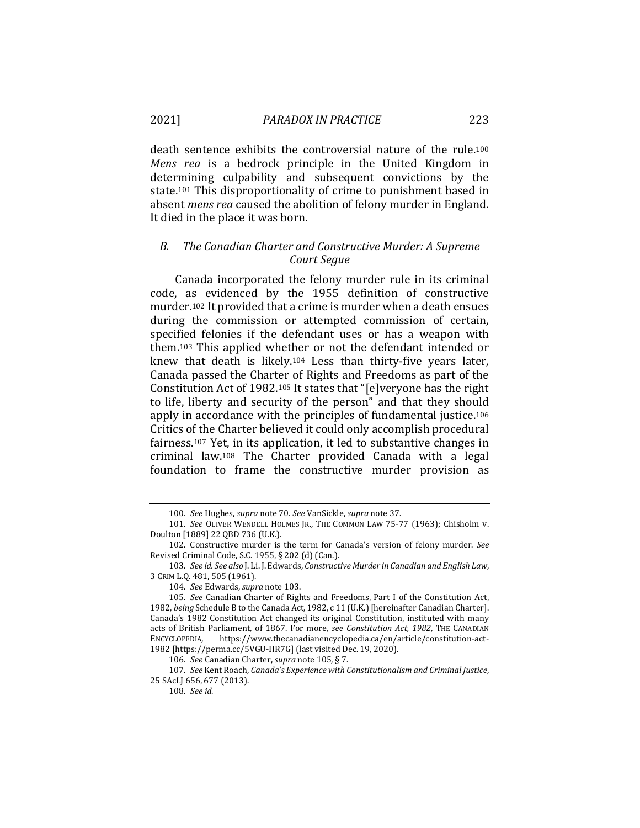death sentence exhibits the controversial nature of the rule.100 *Mens rea* is a bedrock principle in the United Kingdom in determining culpability and subsequent convictions by the state.101 This disproportionality of crime to punishment based in absent *mens rea* caused the abolition of felony murder in England. It died in the place it was born.

### *B. The Canadian Charter and Constructive Murder: A Supreme Court Segue*

Canada incorporated the felony murder rule in its criminal code, as evidenced by the 1955 definition of constructive murder.102 It provided that a crime is murder when a death ensues during the commission or attempted commission of certain, specified felonies if the defendant uses or has a weapon with them.103 This applied whether or not the defendant intended or knew that death is likely.104 Less than thirty-five years later, Canada passed the Charter of Rights and Freedoms as part of the Constitution Act of 1982.105 It states that "[e]veryone has the right to life, liberty and security of the person" and that they should apply in accordance with the principles of fundamental justice.106 Critics of the Charter believed it could only accomplish procedural fairness.107 Yet, in its application, it led to substantive changes in criminal law.108 The Charter provided Canada with a legal foundation to frame the constructive murder provision as

<sup>100.</sup> *See* Hughes, *supra* note 70. *See* VanSickle, *supra* note 37.

<sup>101.</sup> *See* OLIVER WENDELL HOLMES JR., THE COMMON LAW 75-77 (1963); Chisholm v. Doulton [1889] 22 QBD 736 (U.K.).

<sup>102.</sup> Constructive murder is the term for Canada's version of felony murder. *See* Revised Criminal Code, S.C. 1955, § 202 (d) (Can.).

<sup>103.</sup> *See id. See also* J. Li. J. Edwards, *Constructive Murder in Canadian and English Law*, 3 CRIM L.Q. 481, 505 (1961).

<sup>104.</sup> *See* Edwards, *supra* note 103.

<sup>105.</sup> *See* Canadian Charter of Rights and Freedoms, Part I of the Constitution Act, 1982, *being* Schedule B to the Canada Act, 1982, c 11 (U.K.) [hereinafter Canadian Charter]. Canada's 1982 Constitution Act changed its original Constitution, instituted with many acts of British Parliament, of 1867. For more, *see Constitution Act, 1982*, THE CANADIAN ENCYCLOPEDIA, https://www.thecanadianencyclopedia.ca/en/article/constitution-act-1982 [https://perma.cc/5VGU-HR7G] (last visited Dec. 19, 2020).

<sup>106.</sup> *See* Canadian Charter, *supra* note 105, § 7.

<sup>107.</sup> *See* Kent Roach, *Canada's Experience with Constitutionalism and Criminal Justice*, 25 SAcLJ 656, 677 (2013).

<sup>108.</sup> *See id.*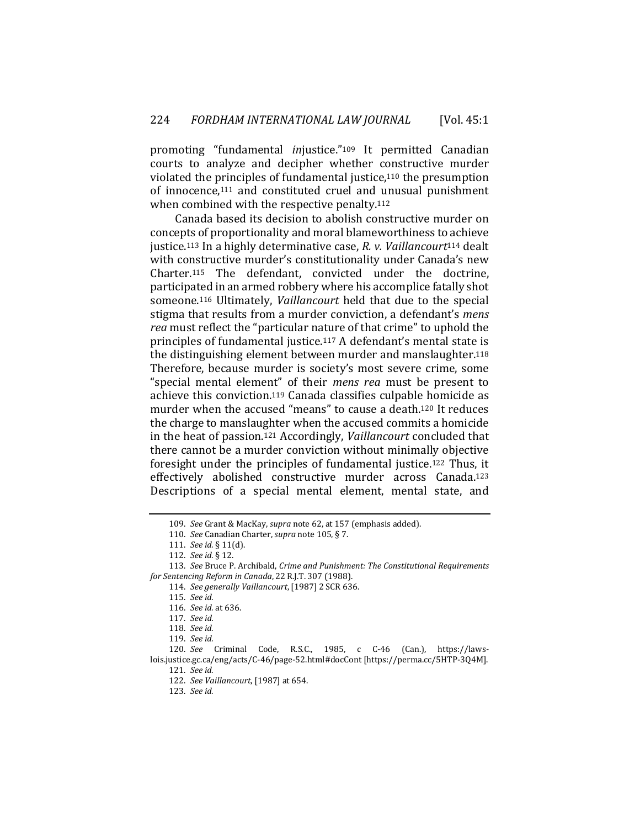promoting "fundamental *in*justice."109 It permitted Canadian courts to analyze and decipher whether constructive murder violated the principles of fundamental justice,110 the presumption of innocence,111 and constituted cruel and unusual punishment when combined with the respective penalty.<sup>112</sup>

Canada based its decision to abolish constructive murder on concepts of proportionality and moral blameworthiness to achieve justice.113 In a highly determinative case, *R. v. Vaillancourt*114 dealt with constructive murder's constitutionality under Canada's new Charter.115 The defendant, convicted under the doctrine, participated in an armed robbery where his accomplice fatally shot someone.116 Ultimately, *Vaillancourt* held that due to the special stigma that results from a murder conviction, a defendant's *mens rea* must reflect the "particular nature of that crime" to uphold the principles of fundamental justice.117 A defendant's mental state is the distinguishing element between murder and manslaughter.118 Therefore, because murder is society's most severe crime, some "special mental element" of their *mens rea* must be present to achieve this conviction.119 Canada classifies culpable homicide as murder when the accused "means" to cause a death.120 It reduces the charge to manslaughter when the accused commits a homicide in the heat of passion.121 Accordingly, *Vaillancourt* concluded that there cannot be a murder conviction without minimally objective foresight under the principles of fundamental justice.122 Thus, it effectively abolished constructive murder across Canada.123 Descriptions of a special mental element, mental state, and

<sup>109.</sup> *See* Grant & MacKay, *supra* note 62, at 157 (emphasis added).

<sup>110.</sup> *See* Canadian Charter, *supra* note 105, § 7.

<sup>111.</sup> *See id.* § 11(d).

<sup>112.</sup> *See id.* § 12.

<sup>113.</sup> *See* Bruce P. Archibald, *Crime and Punishment: The Constitutional Requirements for Sentencing Reform in Canada*, 22 R.J.T. 307 (1988).

<sup>114.</sup> *See generally Vaillancourt*, [1987] 2 SCR 636.

<sup>115.</sup> *See id.*

<sup>116.</sup> *See id.* at 636.

<sup>117.</sup> *See id.* 

<sup>118.</sup> *See id.*

<sup>119.</sup> *See id.*

<sup>120.</sup> *See* Criminal Code, R.S.C., 1985, c C-46 (Can.), https://lawslois.justice.gc.ca/eng/acts/C-46/page-52.html#docCont [https://perma.cc/5HTP-3Q4M].

<sup>121.</sup> *See id.*

<sup>122.</sup> *See Vaillancourt*, [1987] at 654.

<sup>123.</sup> *See id.*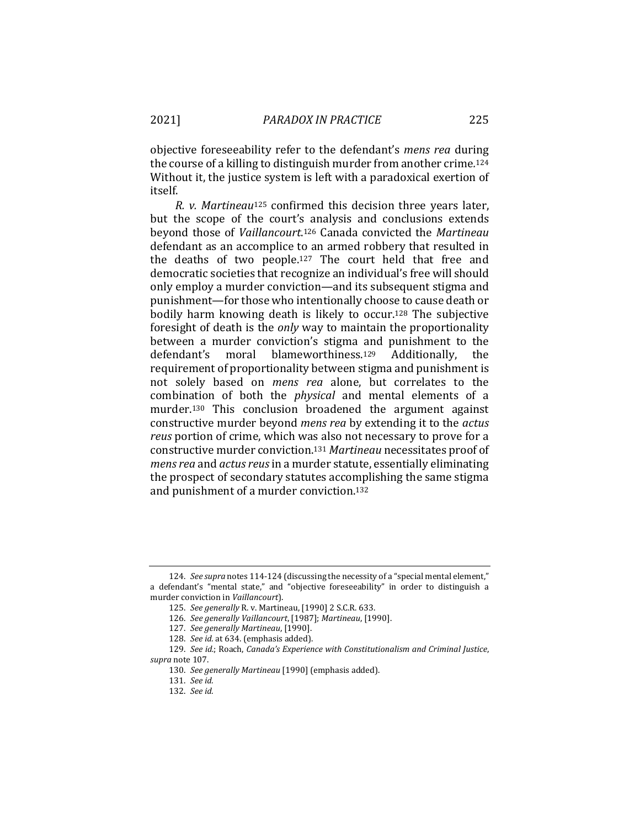objective foreseeability refer to the defendant's *mens rea* during the course of a killing to distinguish murder from another crime*.*<sup>124</sup> Without it, the justice system is left with a paradoxical exertion of itself.

*R. v. Martineau*125 confirmed this decision three years later, but the scope of the court's analysis and conclusions extends beyond those of *Vaillancourt*.126 Canada convicted the *Martineau* defendant as an accomplice to an armed robbery that resulted in the deaths of two people.127 The court held that free and democratic societies that recognize an individual's free will should only employ a murder conviction—and its subsequent stigma and punishment—for those who intentionally choose to cause death or bodily harm knowing death is likely to occur.128 The subjective foresight of death is the *only* way to maintain the proportionality between a murder conviction's stigma and punishment to the defendant's moral blameworthiness.129 Additionally, the requirement of proportionality between stigma and punishment is not solely based on *mens rea* alone, but correlates to the combination of both the *physical* and mental elements of a murder.130 This conclusion broadened the argument against constructive murder beyond *mens rea* by extending it to the *actus reus* portion of crime, which was also not necessary to prove for a constructive murder conviction.131 *Martineau* necessitates proof of *mens rea* and *actus reus* in a murder statute, essentially eliminating the prospect of secondary statutes accomplishing the same stigma and punishment of a murder conviction.132

<sup>124.</sup> *See supra* notes 114-124 (discussing the necessity of a "special mental element," a defendant's "mental state," and "objective foreseeability" in order to distinguish a murder conviction in *Vaillancourt*).

<sup>125.</sup> *See generally* R. v. Martineau, [1990] 2 S.C.R. 633.

<sup>126.</sup> *See generally Vaillancourt*, [1987]; *Martineau*, [1990].

<sup>127.</sup> *See generally Martineau*, [1990].

<sup>128.</sup> *See id.* at 634. (emphasis added).

<sup>129.</sup> *See id.*; Roach, *Canada's Experience with Constitutionalism and Criminal Justice*, *supra* note 107.

<sup>130.</sup> *See generally Martineau* [1990] (emphasis added).

<sup>131.</sup> *See id.*

<sup>132.</sup> *See id.*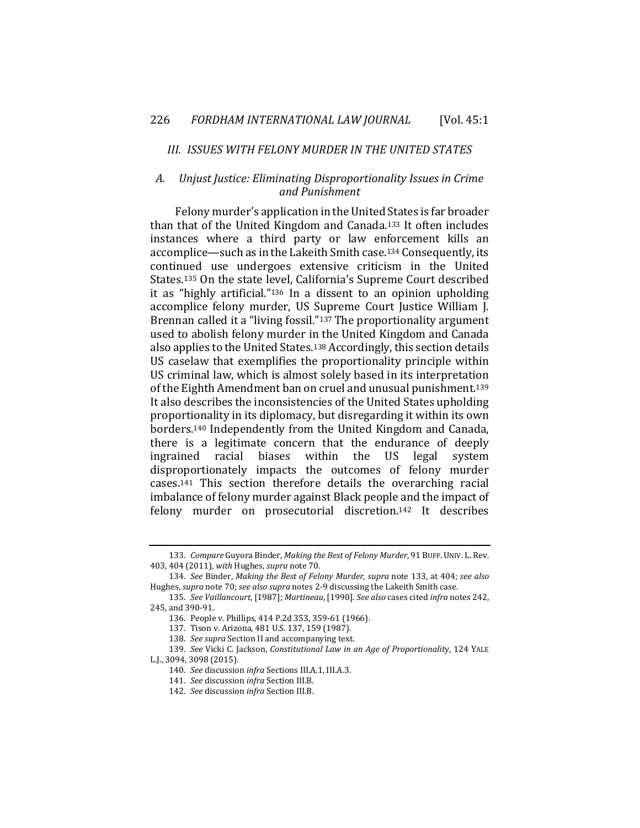#### *III. ISSUES WITH FELONY MURDER IN THE UNITED STATES*

# *A. Unjust Justice: Eliminating Disproportionality Issues in Crime and Punishment*

Felony murder's application in the United States is far broader than that of the United Kingdom and Canada.133 It often includes instances where a third party or law enforcement kills an accomplice—such as in the Lakeith Smith case.134 Consequently, its continued use undergoes extensive criticism in the United States.135 On the state level, California's Supreme Court described it as "highly artificial."136 In a dissent to an opinion upholding accomplice felony murder, US Supreme Court Justice William J. Brennan called it a "living fossil."137 The proportionality argument used to abolish felony murder in the United Kingdom and Canada also applies to the United States.138 Accordingly, this section details US caselaw that exemplifies the proportionality principle within US criminal law, which is almost solely based in its interpretation of the Eighth Amendment ban on cruel and unusual punishment.139 It also describes the inconsistencies of the United States upholding proportionality in its diplomacy, but disregarding it within its own borders.140 Independently from the United Kingdom and Canada, there is a legitimate concern that the endurance of deeply ingrained racial biases within the US legal system disproportionately impacts the outcomes of felony murder cases.141 This section therefore details the overarching racial imbalance of felony murder against Black people and the impact of felony murder on prosecutorial discretion.142 It describes

<sup>133.</sup> *Compare* Guyora Binder, *Making the Best of Felony Murder*, 91 BUFF.UNIV. L. Rev. 403, 404 (2011), *with* Hughes, *supra* note 70.

<sup>134.</sup> *See* Binder, *Making the Best of Felony Murder*, *supra* note 133, at 404; *see also*  Hughes, *supra* note 70; *see also supra* notes 2-9 discussing the Lakeith Smith case.

<sup>135.</sup> *See Vaillancourt*, [1987]; *Martineau*, [1990]. *See also* cases cited *infra* notes 242, 245, and 390-91.

<sup>136.</sup> People v. Phillips, 414 P.2d 353, 359-61 (1966).

<sup>137.</sup> Tison v. Arizona, 481 U.S. 137, 159 (1987).

<sup>138.</sup> *See supra* Section II and accompanying text.

<sup>139.</sup> *See* Vicki C. Jackson, *Constitutional Law in an Age of Proportionalit*y, 124 YALE L.J., 3094, 3098 (2015).

<sup>140.</sup> *See* discussion *infra* Sections III.A.1, III.A.3.

<sup>141.</sup> *See* discussion *infra* Section III.B.

<sup>142.</sup> *See* discussion *infra* Section III.B.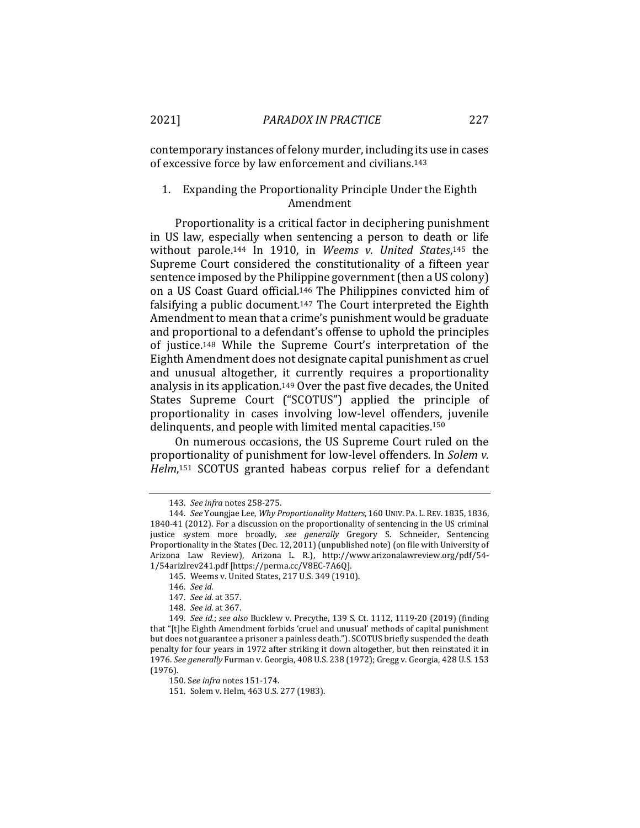contemporary instances of felony murder, including its use in cases of excessive force by law enforcement and civilians.143

## 1. Expanding the Proportionality Principle Under the Eighth Amendment

Proportionality is a critical factor in deciphering punishment in US law, especially when sentencing a person to death or life without parole.144 In 1910, in *Weems v. United States*,145 the Supreme Court considered the constitutionality of a fifteen year sentence imposed by the Philippine government (then a US colony) on a US Coast Guard official.146 The Philippines convicted him of falsifying a public document.147 The Court interpreted the Eighth Amendment to mean that a crime's punishment would be graduate and proportional to a defendant's offense to uphold the principles of justice.148 While the Supreme Court's interpretation of the Eighth Amendment does not designate capital punishment as cruel and unusual altogether, it currently requires a proportionality analysis in its application.149 Over the past five decades, the United States Supreme Court ("SCOTUS") applied the principle of proportionality in cases involving low-level offenders, juvenile delinquents, and people with limited mental capacities.150

On numerous occasions, the US Supreme Court ruled on the proportionality of punishment for low-level offenders. In *Solem v. Helm*,151 SCOTUS granted habeas corpus relief for a defendant

<sup>143.</sup> *See infra* notes 258-275.

<sup>144.</sup> *See* Youngjae Lee, *Why Proportionality Matters,* 160 UNIV. PA. L. REV. 1835, 1836, 1840-41 (2012). For a discussion on the proportionality of sentencing in the US criminal justice system more broadly, *see generally* Gregory S. Schneider, Sentencing Proportionality in the States (Dec. 12, 2011) (unpublished note) (on file with University of Arizona Law Review), Arizona L. R.), http://www.arizonalawreview.org/pdf/54- 1/54arizlrev241.pdf [https://perma.cc/V8EC-7A6Q].

<sup>145.</sup> Weems v. United States, 217 U.S. 349 (1910).

<sup>146.</sup> *See id.*

<sup>147.</sup> *See id.* at 357.

<sup>148.</sup> *See id.* at 367.

<sup>149.</sup> *See id.*; *see also* Bucklew v. Precythe, 139 S. Ct. 1112, 1119-20 (2019) (finding that "[t]he Eighth Amendment forbids 'cruel and unusual' methods of capital punishment but does not guarantee a prisoner a painless death."). SCOTUS briefly suspended the death penalty for four years in 1972 after striking it down altogether, but then reinstated it in 1976. *See generally* Furman v. Georgia, 408 U.S. 238 (1972); Gregg v. Georgia, 428 U.S. 153 (1976).

<sup>150.</sup> S*ee infra* notes 151-174.

<sup>151.</sup> Solem v. Helm, 463 U.S. 277 (1983).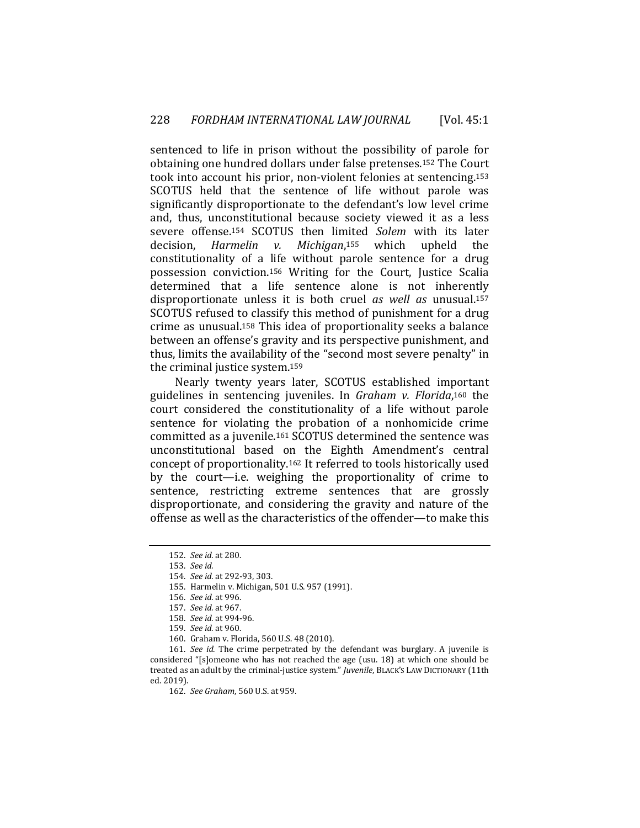sentenced to life in prison without the possibility of parole for obtaining one hundred dollars under false pretenses.152 The Court took into account his prior, non-violent felonies at sentencing.153 SCOTUS held that the sentence of life without parole was significantly disproportionate to the defendant's low level crime and, thus, unconstitutional because society viewed it as a less severe offense.154 SCOTUS then limited *Solem* with its later decision, *Harmelin v. Michigan*,155 which upheld the constitutionality of a life without parole sentence for a drug possession conviction.156 Writing for the Court, Justice Scalia determined that a life sentence alone is not inherently disproportionate unless it is both cruel *as well as* unusual.157 SCOTUS refused to classify this method of punishment for a drug crime as unusual.158 This idea of proportionality seeks a balance between an offense's gravity and its perspective punishment, and thus, limits the availability of the "second most severe penalty" in the criminal justice system.159

Nearly twenty years later, SCOTUS established important guidelines in sentencing juveniles. In *Graham v. Florida*,160 the court considered the constitutionality of a life without parole sentence for violating the probation of a nonhomicide crime committed as a juvenile.161 SCOTUS determined the sentence was unconstitutional based on the Eighth Amendment's central concept of proportionality.162 It referred to tools historically used by the court—i.e. weighing the proportionality of crime to sentence, restricting extreme sentences that are grossly disproportionate, and considering the gravity and nature of the offense as well as the characteristics of the offender—to make this

160. Graham v. Florida, 560 U.S. 48 (2010).

161. *See id.* The crime perpetrated by the defendant was burglary. A juvenile is considered "[s]omeone who has not reached the age (usu. 18) at which one should be treated as an adult by the criminal-justice system." *Juvenile*, BLACK'S LAW DICTIONARY (11th ed. 2019).

<sup>152.</sup> *See id.* at 280.

<sup>153.</sup> *See id.*

<sup>154.</sup> *See id.* at 292-93, 303.

<sup>155.</sup> Harmelin v. Michigan, 501 U.S. 957 (1991).

<sup>156.</sup> *See id.* at 996.

<sup>157.</sup> *See id.* at 967.

<sup>158.</sup> *See id.* at 994-96.

<sup>159.</sup> *See id.* at 960.

<sup>162.</sup> *See Graham*, 560 U.S. at 959.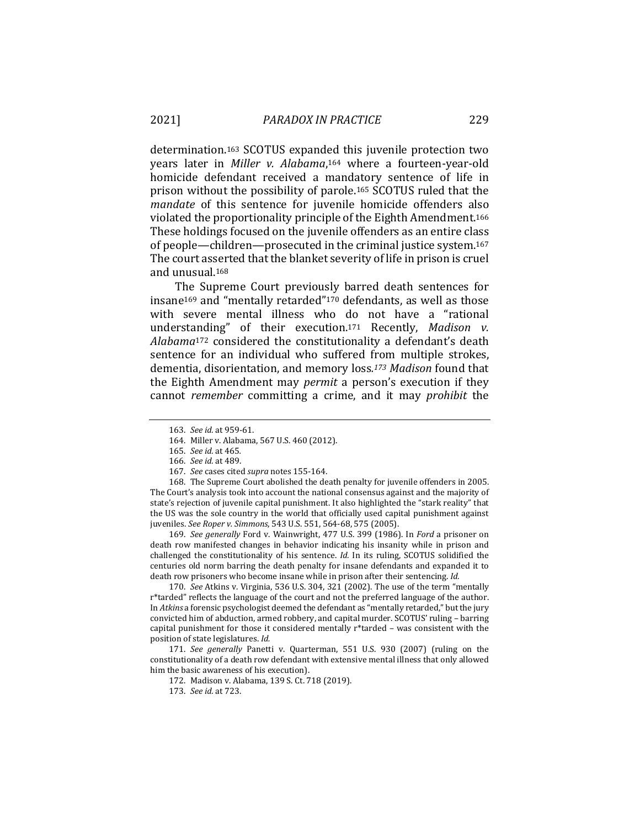determination.163 SCOTUS expanded this juvenile protection two years later in *Miller v. Alabama*,164 where a fourteen-year-old homicide defendant received a mandatory sentence of life in prison without the possibility of parole.165 SCOTUS ruled that the *mandate* of this sentence for juvenile homicide offenders also violated the proportionality principle of the Eighth Amendment.166 These holdings focused on the juvenile offenders as an entire class of people—children—prosecuted in the criminal justice system.167 The court asserted that the blanket severity of life in prison is cruel and unusual.168

The Supreme Court previously barred death sentences for insane169 and "mentally retarded"170 defendants, as well as those with severe mental illness who do not have a "rational understanding" of their execution.171 Recently, *Madison v. Alabama*172 considered the constitutionality a defendant's death sentence for an individual who suffered from multiple strokes, dementia, disorientation, and memory loss*.173 Madison* found that the Eighth Amendment may *permit* a person's execution if they cannot *remember* committing a crime, and it may *prohibit* the

167. *See* cases cited *supra* notes 155-164.

168. The Supreme Court abolished the death penalty for juvenile offenders in 2005. The Court's analysis took into account the national consensus against and the majority of state's rejection of juvenile capital punishment. It also highlighted the "stark reality" that the US was the sole country in the world that officially used capital punishment against juveniles. *See Roper v. Simmons*, 543 U.S. 551, 564-68, 575 (2005).

169. *See generally* Ford v. Wainwright, 477 U.S. 399 (1986). In *Ford* a prisoner on death row manifested changes in behavior indicating his insanity while in prison and challenged the constitutionality of his sentence. *Id.* In its ruling, SCOTUS solidified the centuries old norm barring the death penalty for insane defendants and expanded it to death row prisoners who become insane while in prison after their sentencing. *Id.*

170. *See* Atkins v. Virginia, 536 U.S. 304, 321 (2002). The use of the term "mentally r\*tarded" reflects the language of the court and not the preferred language of the author. In *Atkins* a forensic psychologist deemed the defendant as "mentally retarded," but the jury convicted him of abduction, armed robbery, and capital murder. SCOTUS' ruling – barring capital punishment for those it considered mentally r\*tarded – was consistent with the position of state legislatures. *Id.*

171. *See generally* Panetti v. Quarterman, 551 U.S. 930 (2007) (ruling on the constitutionality of a death row defendant with extensive mental illness that only allowed him the basic awareness of his execution).

172. Madison v. Alabama, 139 S. Ct. 718 (2019).

<sup>163.</sup> *See id.* at 959-61.

<sup>164.</sup> Miller v. Alabama, 567 U.S. 460 (2012).

<sup>165.</sup> *See id.* at 465*.* 

<sup>166.</sup> *See id.* at 489.

<sup>173.</sup> *See id.* at 723.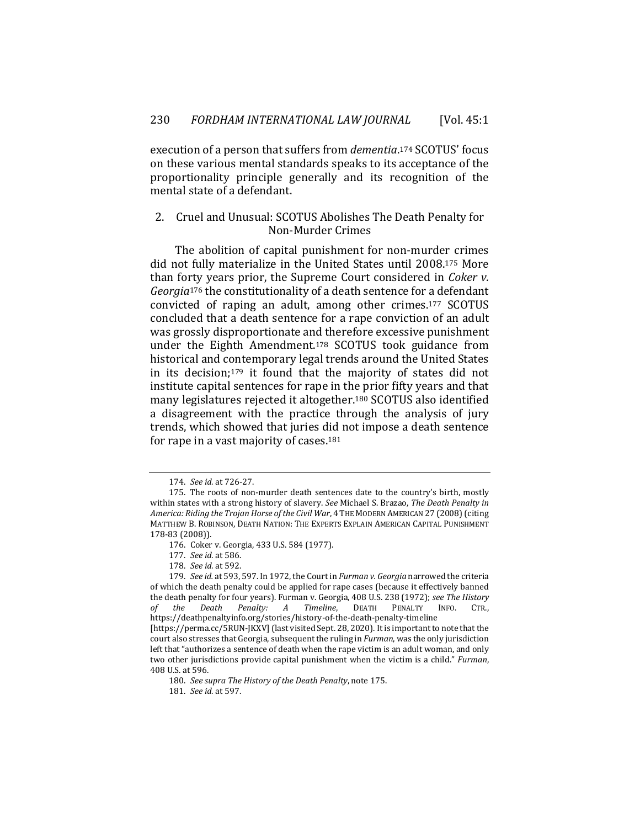execution of a person that suffers from *dementia*.174 SCOTUS' focus on these various mental standards speaks to its acceptance of the proportionality principle generally and its recognition of the mental state of a defendant.

#### 2. Cruel and Unusual: SCOTUS Abolishes The Death Penalty for Non-Murder Crimes

The abolition of capital punishment for non-murder crimes did not fully materialize in the United States until 2008.175 More than forty years prior, the Supreme Court considered in *Coker v. Georgia*176 the constitutionality of a death sentence for a defendant convicted of raping an adult, among other crimes.177 SCOTUS concluded that a death sentence for a rape conviction of an adult was grossly disproportionate and therefore excessive punishment under the Eighth Amendment.178 SCOTUS took guidance from historical and contemporary legal trends around the United States in its decision;179 it found that the majority of states did not institute capital sentences for rape in the prior fifty years and that many legislatures rejected it altogether.180 SCOTUS also identified a disagreement with the practice through the analysis of jury trends, which showed that juries did not impose a death sentence for rape in a vast majority of cases.181

<sup>174.</sup> *See id.* at 726-27.

<sup>175.</sup> The roots of non-murder death sentences date to the country's birth, mostly within states with a strong history of slavery. *See* Michael S. Brazao, *The Death Penalty in America: Riding the Trojan Horse of the Civil War*, 4 THE MODERN AMERICAN 27 (2008) (citing MATTHEW B. ROBINSON, DEATH NATION: THE EXPERTS EXPLAIN AMERICAN CAPITAL PUNISHMENT 178-83 (2008)).

<sup>176.</sup> Coker v. Georgia, 433 U.S. 584 (1977).

<sup>177.</sup> *See id.* at 586.

<sup>178.</sup> *See id.* at 592.

<sup>179.</sup> *See id.* at 593, 597. In 1972, the Court in *Furman v. Georgia* narrowed the criteria of which the death penalty could be applied for rape cases (because it effectively banned the death penalty for four years). Furman v. Georgia, 408 U.S. 238 (1972); *see The History of the Death Penalty: A Timeline*, DEATH PENALTY INFO. CTR., https://deathpenaltyinfo.org/stories/history-of-the-death-penalty-timeline

<sup>[</sup>https://perma.cc/5RUN-JKXV] (last visited Sept. 28, 2020). It is important to note that the court also stresses that Georgia, subsequent the ruling in *Furman*, was the only jurisdiction left that "authorizes a sentence of death when the rape victim is an adult woman, and only two other jurisdictions provide capital punishment when the victim is a child." *Furman*, 408 U.S. at 596.

<sup>180.</sup> *See supra The History of the Death Penalty*, note 175.

<sup>181.</sup> *See id.* at 597.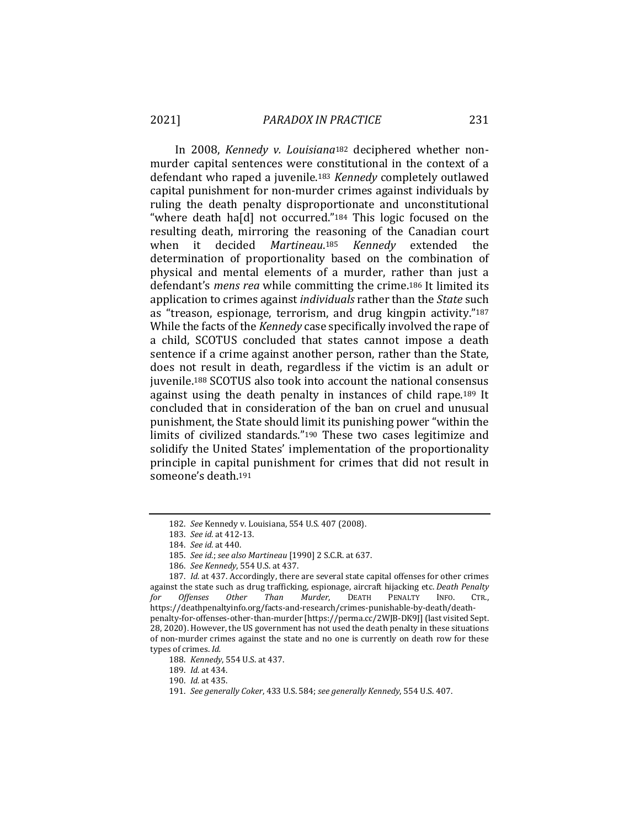In 2008, *Kennedy v. Louisiana*182 deciphered whether nonmurder capital sentences were constitutional in the context of a defendant who raped a juvenile.183 *Kennedy* completely outlawed capital punishment for non-murder crimes against individuals by ruling the death penalty disproportionate and unconstitutional "where death ha[d] not occurred."184 This logic focused on the resulting death, mirroring the reasoning of the Canadian court when it decided *Martineau*.185 *Kennedy* extended the determination of proportionality based on the combination of physical and mental elements of a murder, rather than just a defendant's *mens rea* while committing the crime.186 It limited its application to crimes against *individuals* rather than the *State* such as "treason, espionage, terrorism, and drug kingpin activity."187 While the facts of the *Kennedy* case specifically involved the rape of a child, SCOTUS concluded that states cannot impose a death sentence if a crime against another person, rather than the State, does not result in death, regardless if the victim is an adult or juvenile.188 SCOTUS also took into account the national consensus against using the death penalty in instances of child rape.189 It concluded that in consideration of the ban on cruel and unusual punishment, the State should limit its punishing power "within the limits of civilized standards."190 These two cases legitimize and solidify the United States' implementation of the proportionality principle in capital punishment for crimes that did not result in someone's death.191

<sup>182.</sup> *See* Kennedy v. Louisiana, 554 U.S. 407 (2008).

<sup>183.</sup> *See id.* at 412-13.

<sup>184.</sup> *See id.* at 440.

<sup>185.</sup> *See id.*; *see also Martineau* [1990] 2 S.C.R. at 637.

<sup>186.</sup> *See Kennedy*, 554 U.S. at 437.

<sup>187.</sup> *Id.* at 437. Accordingly, there are several state capital offenses for other crimes against the state such as drug trafficking, espionage, aircraft hijacking etc. *Death Penalty for Offenses* https://deathpenaltyinfo.org/facts-and-research/crimes-punishable-by-death/deathpenalty-for-offenses-other-than-murder [https://perma.cc/2WJB-DK9J] (last visited Sept. 28, 2020). However, the US government has not used the death penalty in these situations of non-murder crimes against the state and no one is currently on death row for these types of crimes. *Id.*

<sup>188.</sup> *Kennedy*, 554 U.S. at 437.

<sup>189.</sup> *Id.* at 434.

<sup>190.</sup> *Id.* at 435.

<sup>191.</sup> *See generally Coker*, 433 U.S. 584; *see generally Kennedy*, 554 U.S. 407.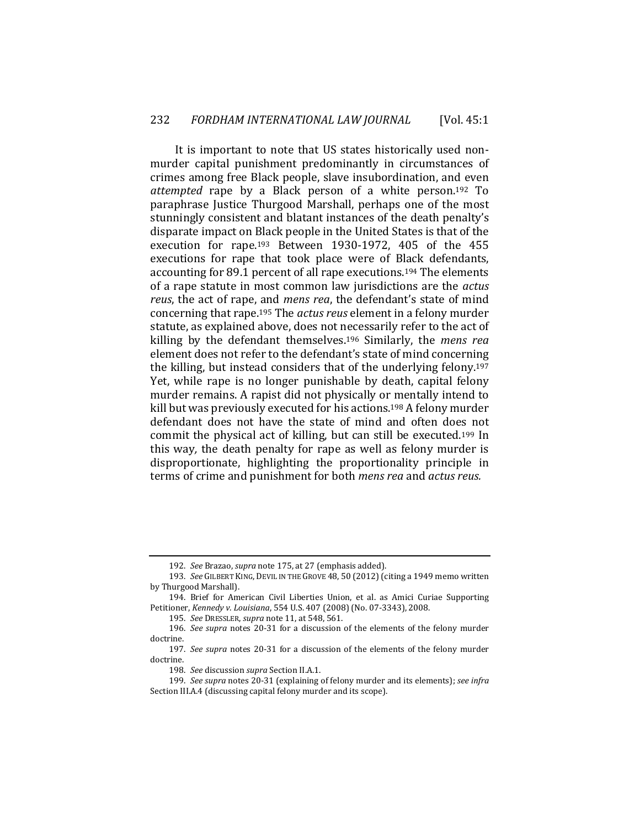It is important to note that US states historically used nonmurder capital punishment predominantly in circumstances of crimes among free Black people, slave insubordination, and even *attempted* rape by a Black person of a white person.192 To paraphrase Justice Thurgood Marshall, perhaps one of the most stunningly consistent and blatant instances of the death penalty's disparate impact on Black people in the United States is that of the execution for rape.193 Between 1930-1972, 405 of the 455 executions for rape that took place were of Black defendants, accounting for 89.1 percent of all rape executions.194 The elements of a rape statute in most common law jurisdictions are the *actus reus*, the act of rape, and *mens rea*, the defendant's state of mind concerning that rape.195 The *actus reus* element in a felony murder statute, as explained above, does not necessarily refer to the act of killing by the defendant themselves.196 Similarly, the *mens rea* element does not refer to the defendant's state of mind concerning the killing, but instead considers that of the underlying felony.197 Yet, while rape is no longer punishable by death, capital felony murder remains. A rapist did not physically or mentally intend to kill but was previously executed for his actions.198 A felony murder defendant does not have the state of mind and often does not commit the physical act of killing, but can still be executed.199 In this way*,* the death penalty for rape as well as felony murder is disproportionate, highlighting the proportionality principle in terms of crime and punishment for both *mens rea* and *actus reus.*

<sup>192.</sup> *See* Brazao, *supra* note 175, at 27 (emphasis added).

<sup>193.</sup> *See* GILBERT KING, DEVIL IN THE GROVE 48, 50 (2012) (citing a 1949 memo written by Thurgood Marshall).

<sup>194.</sup> Brief for American Civil Liberties Union, et al. as Amici Curiae Supporting Petitioner, *Kennedy v. Louisiana*, 554 U.S. 407 (2008) (No. 07-3343), 2008.

<sup>195.</sup> *See* DRESSLER, *supra* note 11, at 548, 561.

<sup>196.</sup> *See supra* notes 20-31 for a discussion of the elements of the felony murder doctrine.

<sup>197.</sup> *See supra* notes 20-31 for a discussion of the elements of the felony murder doctrine.

<sup>198.</sup> *See* discussion *supra* Section II.A.1.

<sup>199.</sup> *See supra* notes 20-31 (explaining of felony murder and its elements); *see infra*  Section III.A.4 (discussing capital felony murder and its scope).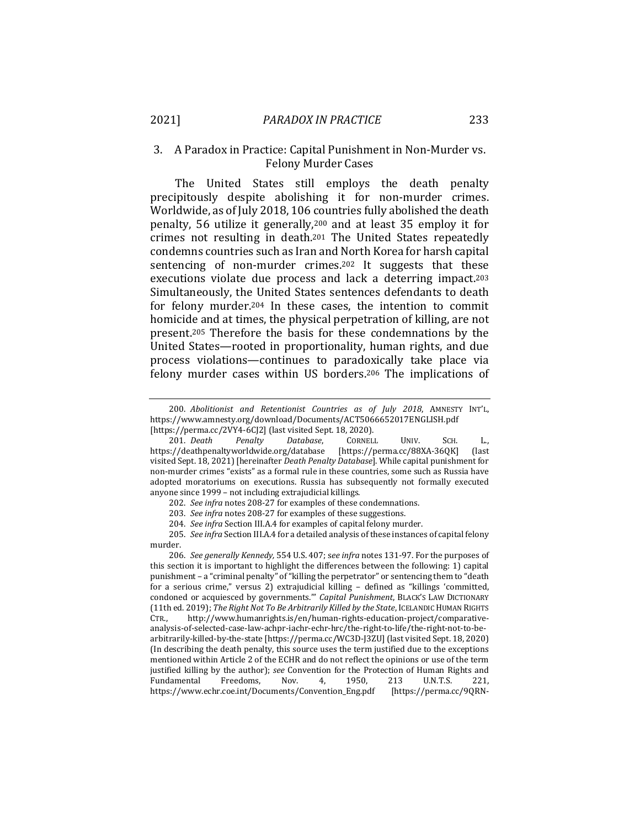## 3. A Paradox in Practice: Capital Punishment in Non-Murder vs. Felony Murder Cases

The United States still employs the death penalty precipitously despite abolishing it for non-murder crimes. Worldwide, as of July 2018, 106 countries fully abolished the death penalty, 56 utilize it generally,200 and at least 35 employ it for crimes not resulting in death.201 The United States repeatedly condemns countries such as Iran and North Korea for harsh capital sentencing of non-murder crimes.202 It suggests that these executions violate due process and lack a deterring impact.203 Simultaneously, the United States sentences defendants to death for felony murder.204 In these cases, the intention to commit homicide and at times, the physical perpetration of killing, are not present.205 Therefore the basis for these condemnations by the United States—rooted in proportionality, human rights, and due process violations—continues to paradoxically take place via felony murder cases within US borders.206 The implications of

206. *See generally Kennedy,* 554 U.S. 407; s*ee infra* notes 131-97. For the purposes of this section it is important to highlight the differences between the following: 1) capital punishment – a "criminal penalty" of "killing the perpetrator" or sentencing them to "death for a serious crime," versus 2) extrajudicial killing – defined as "killings 'committed, condoned or acquiesced by governments.'" *Capital Punishment*, BLACK'S LAW DICTIONARY (11th ed. 2019); *The Right Not To Be Arbitrarily Killed by the State*, ICELANDIC HUMAN RIGHTS CTR., http://www.humanrights.is/en/human-rights-education-project/comparativeanalysis-of-selected-case-law-achpr-iachr-echr-hrc/the-right-to-life/the-right-not-to-bearbitrarily-killed-by-the-state [https://perma.cc/WC3D-J3ZU] (last visited Sept. 18, 2020) (In describing the death penalty, this source uses the term justified due to the exceptions mentioned within Article 2 of the ECHR and do not reflect the opinions or use of the term justified killing by the author); *see* Convention for the Protection of Human Rights and Fundamental Freedoms, Nov. 4, 1950, 213 U.N.T.S. 221, https://www.echr.coe.int/Documents/Convention\_Eng.pdf [https://perma.cc/9QRN-

<sup>200.</sup> *Abolitionist and Retentionist Countries as of July 2018*, AMNESTY INT'L, https://www.amnesty.org/download/Documents/ACT5066652017ENGLISH.pdf

<sup>[</sup>https://perma.cc/2VY4-6CJ2] (last visited Sept. 18, 2020). 201. *Death Penalty Database*, CORNELL UNIV. SCH. L., https://deathpenaltyworldwide.org/database [https://perma.cc/88XA-36QK] (last visited Sept. 18, 2021) [hereinafter *Death Penalty Database*]. While capital punishment for non-murder crimes "exists" as a formal rule in these countries, some such as Russia have adopted moratoriums on executions. Russia has subsequently not formally executed anyone since 1999 – not including extrajudicial killings.

<sup>202.</sup> *See infra* notes 208-27 for examples of these condemnations.

<sup>203.</sup> *See infra* notes 208-27 for examples of these suggestions.

<sup>204.</sup> *See infra* Section III.A.4 for examples of capital felony murder.

<sup>205.</sup> *See infra* Section III.A.4 for a detailed analysis of these instances of capital felony murder.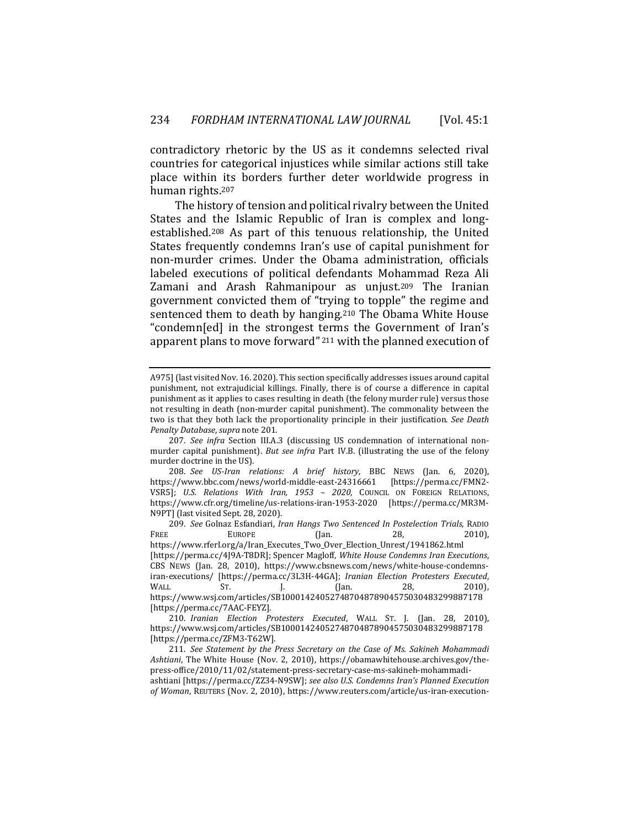contradictory rhetoric by the US as it condemns selected rival countries for categorical injustices while similar actions still take place within its borders further deter worldwide progress in human rights.207

The history of tension and political rivalry between the United States and the Islamic Republic of Iran is complex and longestablished.208 As part of this tenuous relationship, the United States frequently condemns Iran's use of capital punishment for non-murder crimes. Under the Obama administration, officials labeled executions of political defendants Mohammad Reza Ali Zamani and Arash Rahmanipour as unjust.209 The Iranian government convicted them of "trying to topple" the regime and sentenced them to death by hanging.210 The Obama White House "condemn[ed] in the strongest terms the Government of Iran's apparent plans to move forward" 211 with the planned execution of

A975] (last visited Nov. 16. 2020). This section specifically addresses issues around capital punishment, not extrajudicial killings. Finally, there is of course a difference in capital punishment as it applies to cases resulting in death (the felony murder rule) versus those not resulting in death (non-murder capital punishment). The commonality between the two is that they both lack the proportionality principle in their justification. *See Death Penalty Database*, *supra* note 201.

<sup>207.</sup> *See infra* Section III.A.3 (discussing US condemnation of international nonmurder capital punishment). *But see infra* Part IV.B. (illustrating the use of the felony murder doctrine in the US).

<sup>208.</sup> *See US-Iran relations: A brief history*, BBC NEWS (Jan. 6, 2020), https://www.bbc.com/news/world-middle-east-24316661 [https://perma.cc/FMN2- VSR5]; *U.S. Relations With Iran, 1953 – 2020*, COUNCIL ON FOREIGN RELATIONS, https://www.cfr.org/timeline/us-relations-iran-1953-2020 [https://perma.cc/MR3M-N9PT] (last visited Sept. 28, 2020).

<sup>209.</sup> *See* Golnaz Esfandiari, *Iran Hangs Two Sentenced In Postelection Trials*, RADIO FREE EUROPE (Jan. 28, 2010), https://www.rferl.org/a/Iran\_Executes\_Two\_Over\_Election\_Unrest/1941862.html [https://perma.cc/4J9A-T8DR]; Spencer Magloff, *White House Condemns Iran Executions*, CBS NEWS (Jan. 28, 2010), https://www.cbsnews.com/news/white-house-condemnsiran-executions/ [https://perma.cc/3L3H-44GA]; *Iranian Election Protesters Executed*, WALL ST. J. (Jan. 28, 2010), https://www.wsj.com/articles/SB10001424052748704878904575030483299887178 [https://perma.cc/7AAC-FEYZ].

<sup>210.</sup> *Iranian Election Protesters Executed*, WALL ST. J. (Jan. 28, 2010), https://www.wsj.com/articles/SB10001424052748704878904575030483299887178 [https://perma.cc/ZFM3-T62W].

<sup>211.</sup> *See Statement by the Press Secretary on the Case of Ms. Sakineh Mohammadi Ashtiani*, The White House (Nov. 2, 2010), https://obamawhitehouse.archives.gov/thepress-office/2010/11/02/statement-press-secretary-case-ms-sakineh-mohammadiashtiani [https://perma.cc/ZZ34-N9SW]; *see also U.S. Condemns Iran's Planned Execution of Woman*, REUTERS (Nov. 2, 2010), https://www.reuters.com/article/us-iran-execution-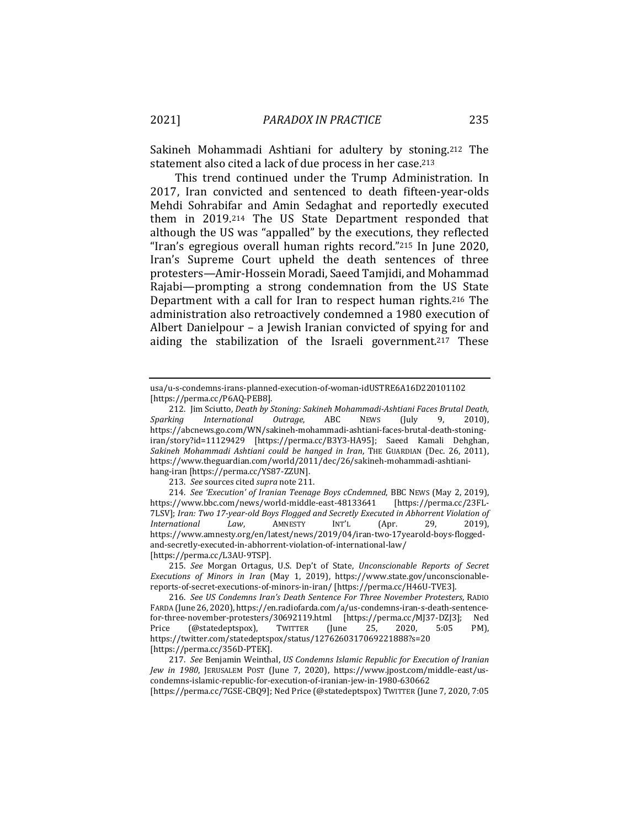Sakineh Mohammadi Ashtiani for adultery by stoning.212 The statement also cited a lack of due process in her case.213

This trend continued under the Trump Administration. In 2017, Iran convicted and sentenced to death fifteen-year-olds Mehdi Sohrabifar and Amin Sedaghat and reportedly executed them in 2019.214 The US State Department responded that although the US was "appalled" by the executions, they reflected "Iran's egregious overall human rights record."215 In June 2020, Iran's Supreme Court upheld the death sentences of three protesters—Amir-Hossein Moradi, Saeed Tamjidi, and Mohammad Rajabi—prompting a strong condemnation from the US State Department with a call for Iran to respect human rights.216 The administration also retroactively condemned a 1980 execution of Albert Danielpour – a Jewish Iranian convicted of spying for and aiding the stabilization of the Israeli government.217 These

213. *See* sources cited *supra* note 211.

214. *See 'Execution' of Iranian Teenage Boys cCndemned*, BBC NEWS (May 2, 2019), https://www.bbc.com/news/world-middle-east-48133641 [https://perma.cc/23FL-7LSV]; *Iran: Two 17-year-old Boys Flogged and Secretly Executed in Abhorrent Violation of International Law*, AMNESTY INT'L (Apr. 29, 2019), https://www.amnesty.org/en/latest/news/2019/04/iran-two-17yearold-boys-floggedand-secretly-executed-in-abhorrent-violation-of-international-law/ [https://perma.cc/L3AU-9TSP].

215. *See* Morgan Ortagus, U.S. Dep't of State, *Unconscionable Reports of Secret Executions of Minors in Iran* (May 1, 2019), https://www.state.gov/unconscionablereports-of-secret-executions-of-minors-in-iran/ [https://perma.cc/H46U-TVE3].

216. *See US Condemns Iran's Death Sentence For Three November Protesters*, RADIO FARDA (June 26, 2020), https://en.radiofarda.com/a/us-condemns-iran-s-death-sentencefor-three-november-protesters/30692119.html [https://perma.cc/MJ37-DZJ3]; Ned Price (@statedeptspox), TWITTER (June 25, 2020, 5:05 PM), https://twitter.com/statedeptspox/status/1276260317069221888?s=20 [https://perma.cc/356D-PTEK].

217. *See* Benjamin Weinthal, *US Condemns Islamic Republic for Execution of Iranian Jew in 1980*, JERUSALEM POST (June 7, 2020), https://www.jpost.com/middle-east/uscondemns-islamic-republic-for-execution-of-iranian-jew-in-1980-630662

[https://perma.cc/7GSE-CBQ9]; Ned Price (@statedeptspox) TWITTER (June 7, 2020, 7:05

usa/u-s-condemns-irans-planned-execution-of-woman-idUSTRE6A16D220101102 [https://perma.cc/P6AQ-PEB8].

<sup>212.</sup> Jim Sciutto, *Death by Stoning: Sakineh Mohammadi-Ashtiani Faces Brutal Death, Sparking International Outrage*, ABC NEWS (July 9, 2010), https://abcnews.go.com/WN/sakineh-mohammadi-ashtiani-faces-brutal-death-stoningiran/story?id=11129429 [https://perma.cc/B3Y3-HA95]; Saeed Kamali Dehghan, *Sakineh Mohammadi Ashtiani could be hanged in Iran*, THE GUARDIAN (Dec. 26, 2011), https://www.theguardian.com/world/2011/dec/26/sakineh-mohammadi-ashtianihang-iran [https://perma.cc/YS87-ZZUN].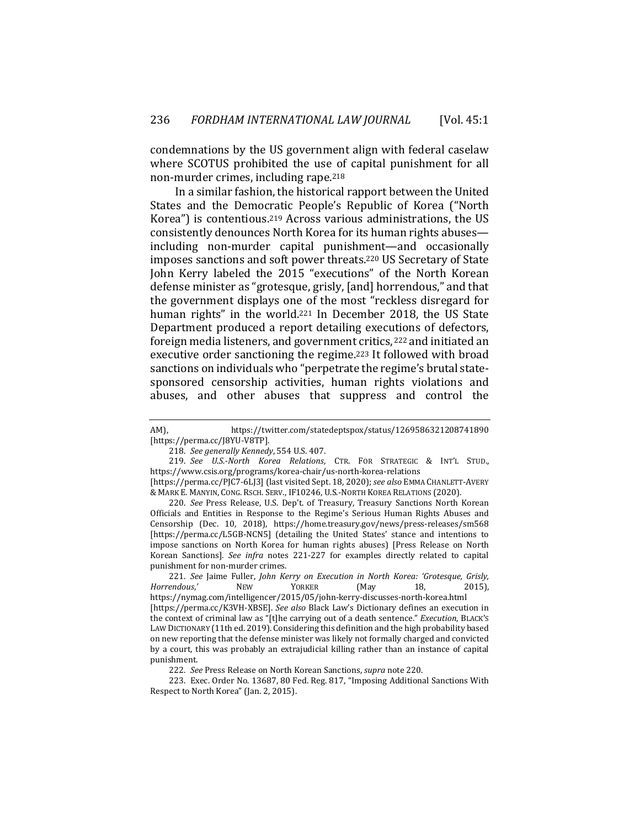condemnations by the US government align with federal caselaw where SCOTUS prohibited the use of capital punishment for all non-murder crimes, including rape.218

In a similar fashion, the historical rapport between the United States and the Democratic People's Republic of Korea ("North Korea") is contentious.219 Across various administrations, the US consistently denounces North Korea for its human rights abuses including non-murder capital punishment—and occasionally imposes sanctions and soft power threats.220 US Secretary of State John Kerry labeled the 2015 "executions" of the North Korean defense minister as "grotesque, grisly, [and] horrendous," and that the government displays one of the most "reckless disregard for human rights" in the world.<sup>221</sup> In December 2018, the US State Department produced a report detailing executions of defectors, foreign media listeners, and government critics, 222 and initiated an executive order sanctioning the regime.223 It followed with broad sanctions on individuals who "perpetrate the regime's brutal statesponsored censorship activities, human rights violations and abuses, and other abuses that suppress and control the

220. *See* Press Release, U.S. Dep't. of Treasury, Treasury Sanctions North Korean Officials and Entities in Response to the Regime's Serious Human Rights Abuses and Censorship (Dec. 10, 2018), https://home.treasury.gov/news/press-releases/sm568 [https://perma.cc/L5GB-NCN5] (detailing the United States' stance and intentions to impose sanctions on North Korea for human rights abuses) [Press Release on North Korean Sanctions]. *See infra* notes 221-227 for examples directly related to capital punishment for non-murder crimes.

221. *See* Jaime Fuller, *John Kerry on Execution in North Korea: 'Grotesque, Grisly, Horrendous*,*'* NEW YORKER (May 18, 2015), https://nymag.com/intelligencer/2015/05/john-kerry-discusses-north-korea.html [https://perma.cc/K3VH-XBSE]. *See also* Black Law's Dictionary defines an execution in the context of criminal law as "[t]he carrying out of a death sentence." *Execution*, BLACK'S LAW DICTIONARY (11th ed. 2019). Considering this definition and the high probability based on new reporting that the defense minister was likely not formally charged and convicted by a court, this was probably an extrajudicial killing rather than an instance of capital punishment.

AM), https://twitter.com/statedeptspox/status/1269586321208741890 [https://perma.cc/J8YU-V8TP].

<sup>218.</sup> *See generally Kennedy*, 554 U.S. 407.

<sup>219.</sup> *See U.S.-North Korea Relations*, CTR. FOR STRATEGIC & INT'L STUD., https://www.csis.org/programs/korea-chair/us-north-korea-relations

<sup>[</sup>https://perma.cc/PJC7-6LJ3] (last visited Sept. 18, 2020); *see also* EMMA CHANLETT-AVERY & MARK E. MANYIN, CONG. RSCH. SERV., IF10246, U.S.-NORTH KOREA RELATIONS (2020).

<sup>222.</sup> *See* Press Release on North Korean Sanctions, *supra* note 220.

<sup>223.</sup> Exec. Order No. 13687, 80 Fed. Reg. 817, "Imposing Additional Sanctions With Respect to North Korea" (Jan. 2, 2015).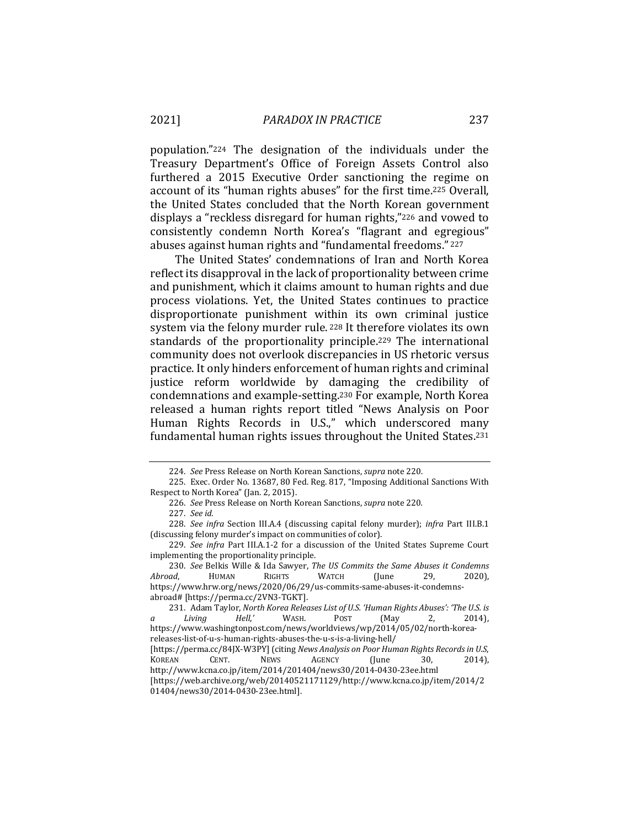population."224 The designation of the individuals under the Treasury Department's Office of Foreign Assets Control also furthered a 2015 Executive Order sanctioning the regime on account of its "human rights abuses" for the first time.225 Overall, the United States concluded that the North Korean government displays a "reckless disregard for human rights,"226 and vowed to consistently condemn North Korea's "flagrant and egregious" abuses against human rights and "fundamental freedoms." <sup>227</sup>

The United States' condemnations of Iran and North Korea reflect its disapproval in the lack of proportionality between crime and punishment, which it claims amount to human rights and due process violations. Yet, the United States continues to practice disproportionate punishment within its own criminal justice system via the felony murder rule. 228 It therefore violates its own standards of the proportionality principle.229 The international community does not overlook discrepancies in US rhetoric versus practice. It only hinders enforcement of human rights and criminal justice reform worldwide by damaging the credibility of condemnations and example-setting.230 For example, North Korea released a human rights report titled "News Analysis on Poor Human Rights Records in U.S.," which underscored many fundamental human rights issues throughout the United States.231

<sup>224.</sup> *See* Press Release on North Korean Sanctions, *supra* note 220.

<sup>225.</sup> Exec. Order No. 13687, 80 Fed. Reg. 817, "Imposing Additional Sanctions With Respect to North Korea" (Jan. 2, 2015).

<sup>226.</sup> *See* Press Release on North Korean Sanctions, *supra* note 220*.*

<sup>227.</sup> *See id.*

<sup>228.</sup> *See infra* Section III.A.4 (discussing capital felony murder); *infra* Part III.B.1 (discussing felony murder's impact on communities of color).

<sup>229.</sup> *See infra* Part III.A.1-2 for a discussion of the United States Supreme Court implementing the proportionality principle.

<sup>230.</sup> *See* Belkis Wille & Ida Sawyer, *The US Commits the Same Abuses it Condemns Abroad*, HUMAN RIGHTS WATCH (June 29, 2020), https://www.hrw.org/news/2020/06/29/us-commits-same-abuses-it-condemnsabroad# [https://perma.cc/2VN3-TGKT].

<sup>231.</sup> Adam Taylor, *North Korea Releases List of U.S. 'Human Rights Abuses': 'The U.S. is a Living Hell*,*'* WASH. POST (May 2, 2014), https://www.washingtonpost.com/news/worldviews/wp/2014/05/02/north-koreareleases-list-of-u-s-human-rights-abuses-the-u-s-is-a-living-hell/ [https://perma.cc/84JX-W3PY] (citing *News Analysis on Poor Human Rights Records in U.S*, KOREAN CENT. NEWS AGENCY (June 30, 2014), http://www.kcna.co.jp/item/2014/201404/news30/2014-0430-23ee.html

<sup>[</sup>https://web.archive.org/web/20140521171129/http://www.kcna.co.jp/item/2014/2 01404/news30/2014-0430-23ee.html].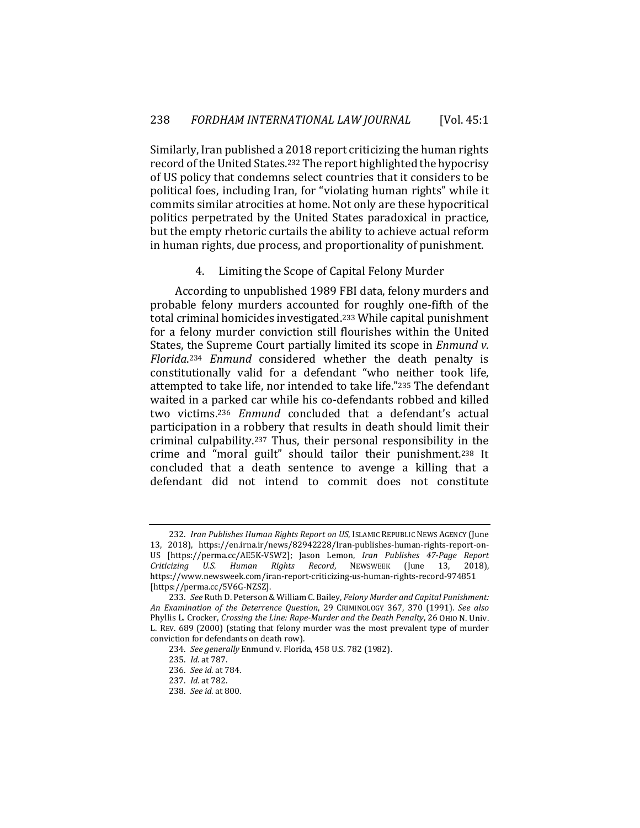Similarly, Iran published a 2018 report criticizing the human rights record of the United States.232 The report highlighted the hypocrisy of US policy that condemns select countries that it considers to be political foes, including Iran, for "violating human rights" while it commits similar atrocities at home. Not only are these hypocritical politics perpetrated by the United States paradoxical in practice, but the empty rhetoric curtails the ability to achieve actual reform in human rights, due process, and proportionality of punishment.

#### 4. Limiting the Scope of Capital Felony Murder

According to unpublished 1989 FBI data, felony murders and probable felony murders accounted for roughly one-fifth of the total criminal homicides investigated.233 While capital punishment for a felony murder conviction still flourishes within the United States, the Supreme Court partially limited its scope in *Enmund v. Florida*.234 *Enmund* considered whether the death penalty is constitutionally valid for a defendant "who neither took life, attempted to take life, nor intended to take life."235 The defendant waited in a parked car while his co-defendants robbed and killed two victims.236 *Enmund* concluded that a defendant's actual participation in a robbery that results in death should limit their criminal culpability.237 Thus, their personal responsibility in the crime and "moral guilt" should tailor their punishment.238 It concluded that a death sentence to avenge a killing that a defendant did not intend to commit does not constitute

<sup>232.</sup> *Iran Publishes Human Rights Report on US*, ISLAMIC REPUBLIC NEWS AGENCY (June 13, 2018), https://en.irna.ir/news/82942228/Iran-publishes-human-rights-report-on-US [https://perma.cc/AE5K-VSW2]; Jason Lemon, *Iran Publishes 47-Page Report Criticizing U.S. Human Rights Record*, NEWSWEEK (June 13, 2018), https://www.newsweek.com/iran-report-criticizing-us-human-rights-record-974851 [https://perma.cc/5V6G-NZSZ].

<sup>233.</sup> *See* Ruth D. Peterson & William C. Bailey, *Felony Murder and Capital Punishment: An Examination of the Deterrence Question*, 29 CRIMINOLOGY 367, 370 (1991). *See also*  Phyllis L. Crocker, *Crossing the Line: Rape-Murder and the Death Penalty*, 26 OHIO N. Univ. L. REV. 689 (2000) (stating that felony murder was the most prevalent type of murder conviction for defendants on death row).

<sup>234.</sup> *See generally* Enmund v. Florida, 458 U.S. 782 (1982).

<sup>235.</sup> *Id.* at 787.

<sup>236.</sup> *See id.* at 784.

<sup>237.</sup> *Id.* at 782.

<sup>238.</sup> *See id.* at 800.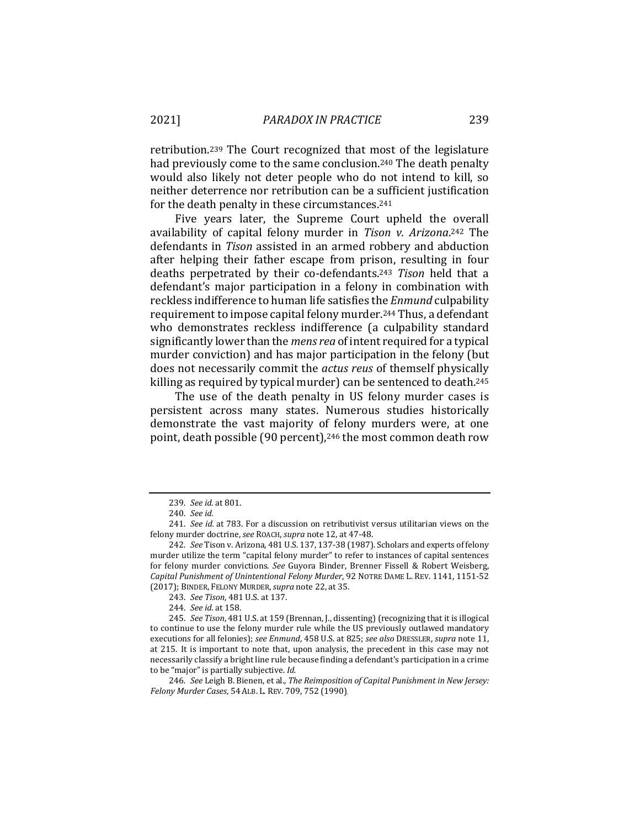retribution.239 The Court recognized that most of the legislature had previously come to the same conclusion.240 The death penalty would also likely not deter people who do not intend to kill, so neither deterrence nor retribution can be a sufficient justification for the death penalty in these circumstances.241

Five years later, the Supreme Court upheld the overall availability of capital felony murder in *Tison v. Arizona*.242 The defendants in *Tison* assisted in an armed robbery and abduction after helping their father escape from prison, resulting in four deaths perpetrated by their co-defendants.243 *Tison* held that a defendant's major participation in a felony in combination with reckless indifference to human life satisfies the *Enmund* culpability requirement to impose capital felony murder.244 Thus, a defendant who demonstrates reckless indifference (a culpability standard significantly lower than the *mens rea* of intent required for a typical murder conviction) and has major participation in the felony (but does not necessarily commit the *actus reus* of themself physically killing as required by typical murder) can be sentenced to death.245

The use of the death penalty in US felony murder cases is persistent across many states. Numerous studies historically demonstrate the vast majority of felony murders were, at one point, death possible (90 percent),246 the most common death row

<sup>239.</sup> *See id.* at 801.

<sup>240.</sup> *See id.*

<sup>241.</sup> *See id.* at 783. For a discussion on retributivist versus utilitarian views on the felony murder doctrine, *see* ROACH, *supra* note 12, at 47-48.

<sup>242.</sup> *See* Tison v. Arizona, 481 U.S. 137, 137-38 (1987). Scholars and experts of felony murder utilize the term "capital felony murder" to refer to instances of capital sentences for felony murder convictions. *See* Guyora Binder, Brenner Fissell & Robert Weisberg, *Capital Punishment of Unintentional Felony Murder*, 92 NOTRE DAME L. REV. 1141, 1151-52 (2017); BINDER, FELONY MURDER,*supra* note 22, at 35.

<sup>243.</sup> *See Tison*, 481 U.S. at 137.

<sup>244.</sup> *See id.* at 158.

<sup>245.</sup> *See Tison*, 481 U.S. at 159 (Brennan, J., dissenting) (recognizing that it is illogical to continue to use the felony murder rule while the US previously outlawed mandatory executions for all felonies); *see Enmund*, 458 U.S. at 825; *see also* DRESSLER, *supra* note 11, at 215. It is important to note that, upon analysis, the precedent in this case may not necessarily classify a bright line rule because finding a defendant's participation in a crime to be "major" is partially subjective. *Id.* 

<sup>246.</sup> *See* Leigh B. Bienen, et al., *The Reimposition of Capital Punishment in New Jersey: Felony Murder Cases*, 54 ALB. L. REV. 709, 752 (1990).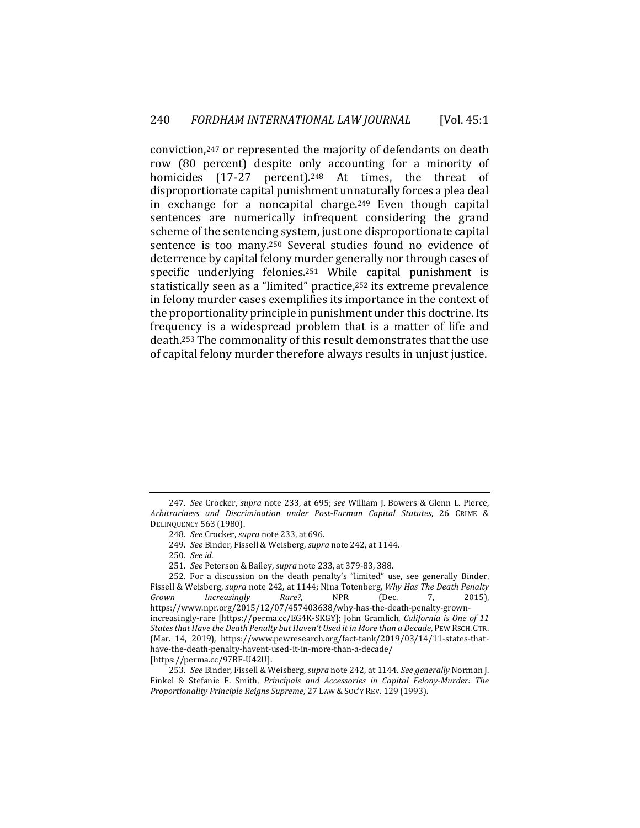conviction,247 or represented the majority of defendants on death row (80 percent) despite only accounting for a minority of homicides (17-27 percent).<sup>248</sup> At times, the threat of disproportionate capital punishment unnaturally forces a plea deal in exchange for a noncapital charge.249 Even though capital sentences are numerically infrequent considering the grand scheme of the sentencing system, just one disproportionate capital sentence is too many.250 Several studies found no evidence of deterrence by capital felony murder generally nor through cases of specific underlying felonies.251 While capital punishment is statistically seen as a "limited" practice,252 its extreme prevalence in felony murder cases exemplifies its importance in the context of the proportionality principle in punishment under this doctrine. Its frequency is a widespread problem that is a matter of life and death.253 The commonality of this result demonstrates that the use of capital felony murder therefore always results in unjust justice.

251. *See* Peterson & Bailey, *supra* note 233, at 379-83, 388.

<sup>247.</sup> *See* Crocker, *supra* note 233, at 695; *see* William J. Bowers & Glenn L. Pierce, *Arbitrariness and Discrimination under Post-Furman Capital Statutes*, 26 CRIME & DELINQUENCY 563 (1980).

<sup>248.</sup> *See* Crocker, *supra* note 233, at 696.

<sup>249.</sup> *See* Binder, Fissell & Weisberg, *supra* note 242, at 1144.

<sup>250.</sup> *See id.*

<sup>252.</sup> For a discussion on the death penalty's "limited" use, see generally Binder, Fissell & Weisberg, *supra* note 242, at 1144; Nina Totenberg, *Why Has The Death Penalty Grown Increasingly Rare?*, NPR (Dec. 7, https://www.npr.org/2015/12/07/457403638/why-has-the-death-penalty-grownincreasingly-rare [https://perma.cc/EG4K-SKGY]; John Gramlich, *California is One of 11 States that Have the Death Penalty but Haven't Used it in More than a Decade*, PEW RSCH. CTR. (Mar. 14, 2019), https://www.pewresearch.org/fact-tank/2019/03/14/11-states-thathave-the-death-penalty-havent-used-it-in-more-than-a-decade/ [https://perma.cc/97BF-U42U].

<sup>253.</sup> *See* Binder, Fissell & Weisberg, *supra* note 242, at 1144. *See generally* Norman J. Finkel & Stefanie F. Smith, *Principals and Accessories in Capital Felony-Murder: The Proportionality Principle Reigns Supreme*, 27 LAW & SOC'Y REV. 129 (1993).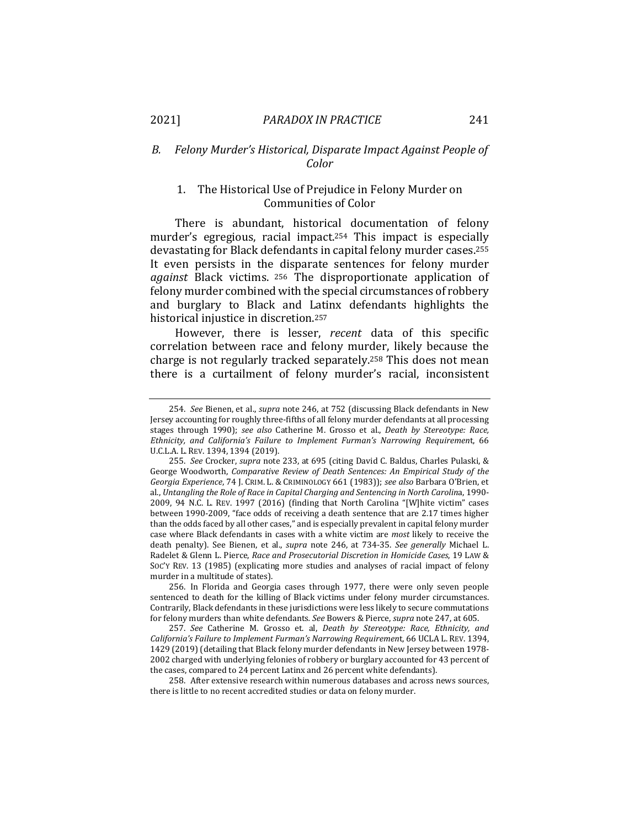# *B. Felony Murder's Historical, Disparate Impact Against People of Color*

### 1. The Historical Use of Prejudice in Felony Murder on Communities of Color

There is abundant, historical documentation of felony murder's egregious, racial impact.254 This impact is especially devastating for Black defendants in capital felony murder cases.255 It even persists in the disparate sentences for felony murder *against* Black victims. 256 The disproportionate application of felony murder combined with the special circumstances of robbery and burglary to Black and Latinx defendants highlights the historical injustice in discretion.257

However, there is lesser, *recent* data of this specific correlation between race and felony murder, likely because the charge is not regularly tracked separately.258 This does not mean there is a curtailment of felony murder's racial, inconsistent

256. In Florida and Georgia cases through 1977, there were only seven people sentenced to death for the killing of Black victims under felony murder circumstances. Contrarily, Black defendants in these jurisdictions were less likely to secure commutations for felony murders than white defendants*. See* Bowers & Pierce, *supra* note 247, at 605.

257. *See* Catherine M. Grosso et. al, *Death by Stereotype: Race, Ethnicity, and California's Failure to Implement Furman's Narrowing Requiremen*t, 66 UCLA L. REV. 1394, 1429 (2019) (detailing that Black felony murder defendants in New Jersey between 1978- 2002 charged with underlying felonies of robbery or burglary accounted for 43 percent of the cases, compared to 24 percent Latinx and 26 percent white defendants).

258. After extensive research within numerous databases and across news sources, there is little to no recent accredited studies or data on felony murder.

<sup>254.</sup> *See* Bienen, et al., *supra* note 246, at 752 (discussing Black defendants in New Jersey accounting for roughly three-fifths of all felony murder defendants at all processing stages through 1990); *see also* Catherine M. Grosso et al., *Death by Stereotype: Race, Ethnicity, and California's Failure to Implement Furman's Narrowing Requiremen*t, 66 U.C.L.A. L. REV. 1394, 1394 (2019).

<sup>255.</sup> *See* Crocker, *supra* note 233, at 695 (citing David C. Baldus, Charles Pulaski, & George Woodworth, *Comparative Review of Death Sentences: An Empirical Study of the Georgia Experience*, 74 J. CRIM. L. & CRIMINOLOGY 661 (1983)); *see also* Barbara O'Brien, et al., *Untangling the Role of Race in Capital Charging and Sentencing in North Carolin*a, 1990- 2009, 94 N.C. L. REV. 1997 (2016) (finding that North Carolina "[W]hite victim" cases between 1990-2009, "face odds of receiving a death sentence that are 2.17 times higher than the odds faced by all other cases," and is especially prevalent in capital felony murder case where Black defendants in cases with a white victim are *most* likely to receive the death penalty). See Bienen, et al., *supra* note 246, at 734-35. *See generally* Michael L. Radelet & Glenn L. Pierce, *Race and Prosecutorial Discretion in Homicide Cases*, 19 LAW & SOC'Y REV. 13 (1985) (explicating more studies and analyses of racial impact of felony murder in a multitude of states).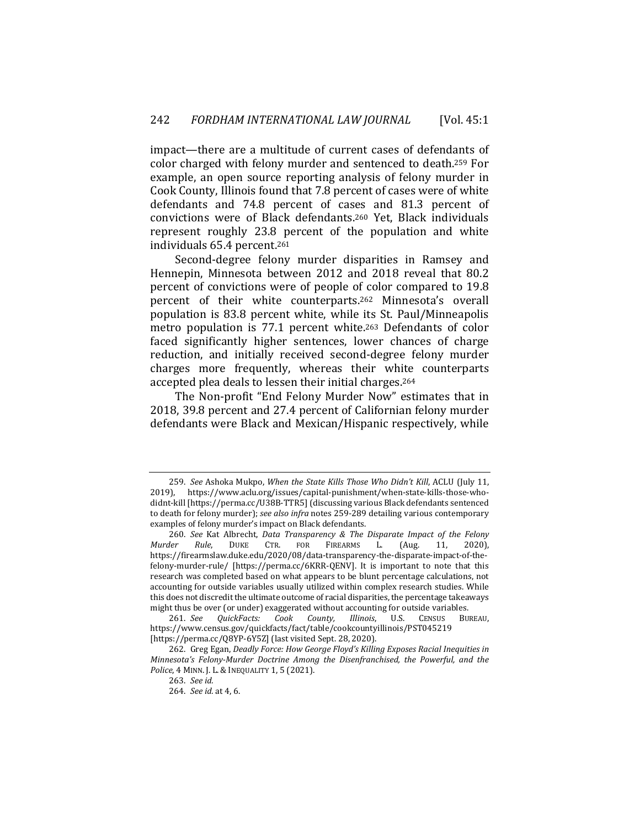impact—there are a multitude of current cases of defendants of color charged with felony murder and sentenced to death.259 For example, an open source reporting analysis of felony murder in Cook County, Illinois found that 7.8 percent of cases were of white defendants and 74.8 percent of cases and 81.3 percent of convictions were of Black defendants.260 Yet, Black individuals represent roughly 23.8 percent of the population and white individuals 65.4 percent.261

Second-degree felony murder disparities in Ramsey and Hennepin, Minnesota between 2012 and 2018 reveal that 80.2 percent of convictions were of people of color compared to 19.8 percent of their white counterparts.262 Minnesota's overall population is 83.8 percent white, while its St. Paul/Minneapolis metro population is 77.1 percent white.263 Defendants of color faced significantly higher sentences, lower chances of charge reduction, and initially received second-degree felony murder charges more frequently, whereas their white counterparts accepted plea deals to lessen their initial charges.264

The Non-profit "End Felony Murder Now" estimates that in 2018, 39.8 percent and 27.4 percent of Californian felony murder defendants were Black and Mexican/Hispanic respectively, while

<sup>259.</sup> *See* Ashoka Mukpo, *When the State Kills Those Who Didn't Kill*, ACLU (July 11, 2019), https://www.aclu.org/issues/capital-punishment/when-state-kills-those-whodidnt-kill [https://perma.cc/U38B-TTR5] (discussing various Black defendants sentenced to death for felony murder); *see also infra* notes 259-289 detailing various contemporary examples of felony murder's impact on Black defendants.

<sup>260.</sup> *See* Kat Albrecht, *Data Transparency & The Disparate Impact of the Felony Murder Rule*, DUKE CTR. FOR FIREARMS L. (Aug. 11, 2020), https://firearmslaw.duke.edu/2020/08/data-transparency-the-disparate-impact-of-thefelony-murder-rule/ [https://perma.cc/6KRR-QENV]. It is important to note that this research was completed based on what appears to be blunt percentage calculations, not accounting for outside variables usually utilized within complex research studies. While this does not discredit the ultimate outcome of racial disparities, the percentage takeaways might thus be over (or under) exaggerated without accounting for outside variables.

<sup>261.</sup> *See QuickFacts: Cook County, Illinois*, U.S. CENSUS BUREAU, https://www.census.gov/quickfacts/fact/table/cookcountyillinois/PST045219 [https://perma.cc/Q8YP-6Y5Z] (last visited Sept. 28, 2020).

<sup>262.</sup> Greg Egan, *Deadly Force: How George Floyd's Killing Exposes Racial Inequities in Minnesota's Felony-Murder Doctrine Among the Disenfranchised, the Powerful, and the Police*, 4 MINN. J. L. & INEQUALITY 1, 5 (2021).

<sup>263.</sup> *See id.*

<sup>264.</sup> *See id.* at 4, 6.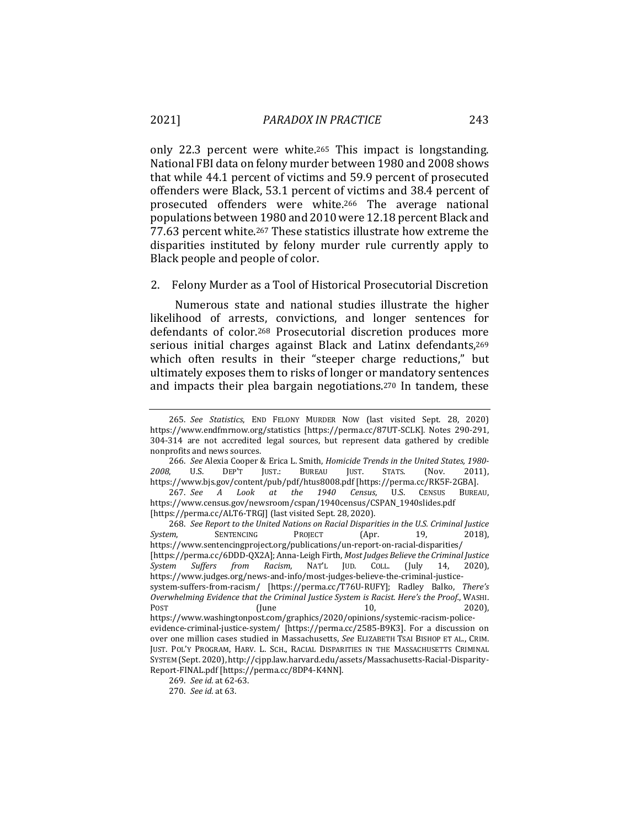only 22.3 percent were white.265 This impact is longstanding. National FBI data on felony murder between 1980 and 2008 shows that while 44.1 percent of victims and 59.9 percent of prosecuted offenders were Black, 53.1 percent of victims and 38.4 percent of prosecuted offenders were white.266 The average national populations between 1980 and 2010 were 12.18 percent Black and 77.63 percent white.267 These statistics illustrate how extreme the disparities instituted by felony murder rule currently apply to Black people and people of color.

2. Felony Murder as a Tool of Historical Prosecutorial Discretion

Numerous state and national studies illustrate the higher likelihood of arrests, convictions, and longer sentences for defendants of color.268 Prosecutorial discretion produces more serious initial charges against Black and Latinx defendants,269 which often results in their "steeper charge reductions," but ultimately exposes them to risks of longer or mandatory sentences and impacts their plea bargain negotiations.270 In tandem, these

266. *See* Alexia Cooper & Erica L. Smith, *Homicide Trends in the United States, 1980- 2008*, U.S. DEP'T JUST.: BUREAU JUST. STATS. (Nov. 2011), https://www.bjs.gov/content/pub/pdf/htus8008.pdf [https://perma.cc/RK5F-2GBA].

267. *See A Look at the 1940 Census*, U.S. CENSUS BUREAU, https://www.census.gov/newsroom/cspan/1940census/CSPAN\_1940slides.pdf [https://perma.cc/ALT6-TRGJ] (last visited Sept. 28, 2020).

268. *See Report to the United Nations on Racial Disparities in the U.S. Criminal Justice System*, SENTENCING PROJECT (Apr. 19, 2018), https://www.sentencingproject.org/publications/un-report-on-racial-disparities/ [https://perma.cc/6DDD-QX2A]; Anna-Leigh Firth, *Most Judges Believe the Criminal Justice System Suffers from Racism*, NAT'L JUD. COLL. (July 14, 2020), https://www.judges.org/news-and-info/most-judges-believe-the-criminal-justicesystem-suffers-from-racism/ [https://perma.cc/T76U-RUFY]; Radley Balko, *There's Overwhelming Evidence that the Criminal Justice System is Racist. Here's the Proof.*, WASHI. Post 61, 2020), post 61, 10, 2020), post 61, 10, 2020), post 61, 10,  $\frac{1}{2}$  2020), post 61,  $\frac{1}{2}$  2020),  $\frac{1}{2}$  2020),  $\frac{1}{2}$  30,  $\frac{1}{2}$  30,  $\frac{1}{2}$  30,  $\frac{1}{2}$  30,  $\frac{1}{2}$  30,  $\frac{1}{2}$  30,  $\frac{1}{2}$ https://www.washingtonpost.com/graphics/2020/opinions/systemic-racism-policeevidence-criminal-justice-system/ [https://perma.cc/2585-B9K3]. For a discussion on over one million cases studied in Massachusetts, *See* ELIZABETH TSAI BISHOP ET AL., CRIM. JUST. POL'Y PROGRAM, HARV. L. SCH., RACIAL DISPARITIES IN THE MASSACHUSETTS CRIMINAL SYSTEM (Sept. 2020), http://cjpp.law.harvard.edu/assets/Massachusetts-Racial-Disparity-Report-FINAL.pdf [https://perma.cc/8DP4-K4NN].

<sup>265.</sup> *See Statistics*, END FELONY MURDER NOW (last visited Sept. 28, 2020) https://www.endfmrnow.org/statistics [https://perma.cc/87UT-SCLK]. Notes 290-291, 304-314 are not accredited legal sources, but represent data gathered by credible nonprofits and news sources.

<sup>269.</sup> *See id.* at 62-63.

<sup>270.</sup> *See id.* at 63.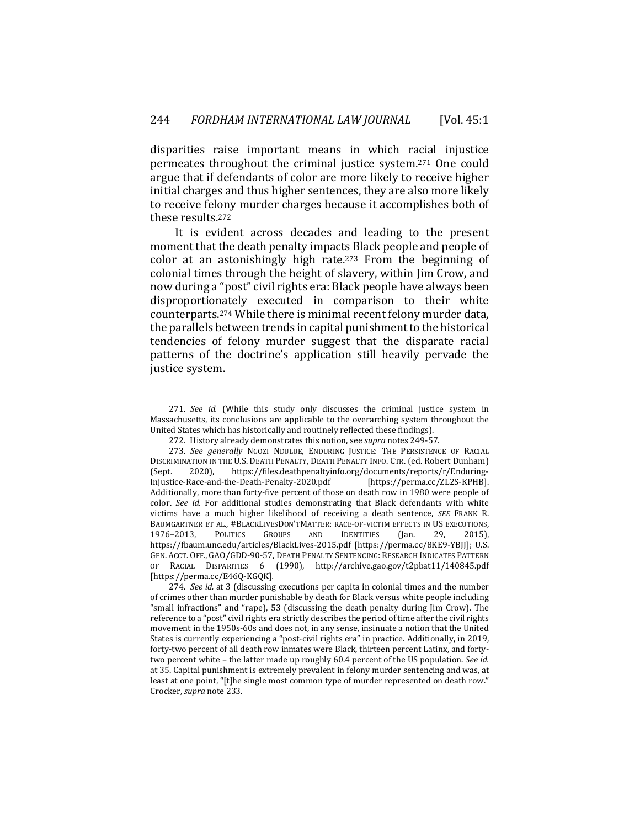disparities raise important means in which racial injustice permeates throughout the criminal justice system.271 One could argue that if defendants of color are more likely to receive higher initial charges and thus higher sentences, they are also more likely to receive felony murder charges because it accomplishes both of these results.272

It is evident across decades and leading to the present moment that the death penalty impacts Black people and people of color at an astonishingly high rate.273 From the beginning of colonial times through the height of slavery, within Jim Crow, and now during a "post" civil rights era: Black people have always been disproportionately executed in comparison to their white counterparts.274 While there is minimal recent felony murder data, the parallels between trends in capital punishment to the historical tendencies of felony murder suggest that the disparate racial patterns of the doctrine's application still heavily pervade the justice system.

<sup>271.</sup> *See id.* (While this study only discusses the criminal justice system in Massachusetts, its conclusions are applicable to the overarching system throughout the United States which has historically and routinely reflected these findings).

<sup>272.</sup> History already demonstrates this notion, see *supra* notes 249-57.

<sup>273.</sup> *See generally* NGOZI NDULUE, ENDURING JUSTICE: THE PERSISTENCE OF RACIAL DISCRIMINATION IN THE U.S. DEATH PENALTY, DEATH PENALTY INFO. CTR. (ed. Robert Dunham) (Sept. 2020), https://files.deathpenaltyinfo.org/documents/reports/r/Enduring-Injustice-Race-and-the-Death-Penalty-2020.pdf [https://perma.cc/ZL2S-KPHB]. Additionally, more than forty-five percent of those on death row in 1980 were people of color. *See id.* For additional studies demonstrating that Black defendants with white victims have a much higher likelihood of receiving a death sentence, *SEE* FRANK R. BAUMGARTNER ET AL., #BLACKLIVESDON'TMATTER: RACE-OF-VICTIM EFFECTS IN US EXECUTIONS,<br>1976–2013, POLITICS GROUPS AND IDENTITIES (Ian. 29. 2015). 1976–2013, POLITICS GROUPS AND IDENTITIES (Jan. 29, 2015), https://fbaum.unc.edu/articles/BlackLives-2015.pdf [https://perma.cc/8KE9-YBJJ]; U.S. GEN. ACCT. OFF., GAO/GDD-90-57, DEATH PENALTY SENTENCING: RESEARCH INDICATES PATTERN OF RACIAL DISPARITIES 6 (1990), http://archive.gao.gov/t2pbat11/140845.pdf [https://perma.cc/E46Q-KGQK]*.*

<sup>274.</sup> *See id.* at 3 (discussing executions per capita in colonial times and the number of crimes other than murder punishable by death for Black versus white people including "small infractions" and "rape), 53 (discussing the death penalty during Jim Crow). The reference to a "post" civil rights era strictly describes the period of time after the civil rights movement in the 1950s-60s and does not, in any sense, insinuate a notion that the United States is currently experiencing a "post-civil rights era" in practice. Additionally, in 2019, forty-two percent of all death row inmates were Black, thirteen percent Latinx, and fortytwo percent white – the latter made up roughly 60.4 percent of the US population. *See id.* at 35. Capital punishment is extremely prevalent in felony murder sentencing and was, at least at one point, "[t]he single most common type of murder represented on death row." Crocker, *supra* note 233.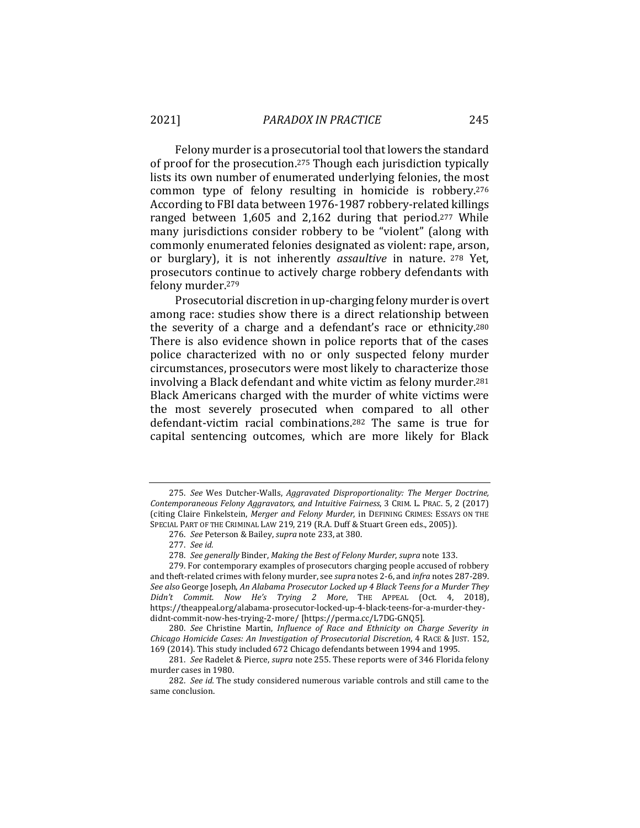Felony murder is a prosecutorial tool that lowers the standard of proof for the prosecution.275 Though each jurisdiction typically lists its own number of enumerated underlying felonies, the most common type of felony resulting in homicide is robbery.276 According to FBI data between 1976-1987 robbery-related killings ranged between 1,605 and 2,162 during that period.277 While many jurisdictions consider robbery to be "violent" (along with commonly enumerated felonies designated as violent: rape, arson, or burglary), it is not inherently *assaultive* in nature. 278 Yet, prosecutors continue to actively charge robbery defendants with felony murder.279

Prosecutorial discretion in up-charging felony murder is overt among race: studies show there is a direct relationship between the severity of a charge and a defendant's race or ethnicity.280 There is also evidence shown in police reports that of the cases police characterized with no or only suspected felony murder circumstances, prosecutors were most likely to characterize those involving a Black defendant and white victim as felony murder.281 Black Americans charged with the murder of white victims were the most severely prosecuted when compared to all other defendant-victim racial combinations.282 The same is true for capital sentencing outcomes, which are more likely for Black

<sup>275.</sup> *See* Wes Dutcher-Walls, *Aggravated Disproportionality: The Merger Doctrine, Contemporaneous Felony Aggravators, and Intuitive Fairness*, 3 CRIM. L. PRAC. 5, 2 (2017) (citing Claire Finkelstein, *Merger and Felony Murder*, in DEFINING CRIMES: ESSAYS ON THE SPECIAL PART OF THE CRIMINAL LAW 219, 219 (R.A. Duff & Stuart Green eds., 2005)).

<sup>276.</sup> *See* Peterson & Bailey, *supra* note 233, at 380.

<sup>277.</sup> *See id.*

<sup>278.</sup> *See generally* Binder, *Making the Best of Felony Murder*, *supra* note 133.

<sup>279.</sup> For contemporary examples of prosecutors charging people accused of robbery and theft-related crimes with felony murder, see *supra* notes 2-6, and *infra* notes 287-289. *See also* George Joseph, *An Alabama Prosecutor Locked up 4 Black Teens for a Murder They Didn't Commit. Now He's Trying 2 More*, THE APPEAL (Oct. 4, 2018), https://theappeal.org/alabama-prosecutor-locked-up-4-black-teens-for-a-murder-theydidnt-commit-now-hes-trying-2-more/ [https://perma.cc/L7DG-GNQ5].

<sup>280.</sup> *See* Christine Martin, *Influence of Race and Ethnicity on Charge Severity in Chicago Homicide Cases: An Investigation of Prosecutorial Discretion*, 4 RACE & JUST. 152, 169 (2014). This study included 672 Chicago defendants between 1994 and 1995.

<sup>281.</sup> *See* Radelet & Pierce, *supra* note 255. These reports were of 346 Florida felony murder cases in 1980.

<sup>282.</sup> *See id.* The study considered numerous variable controls and still came to the same conclusion.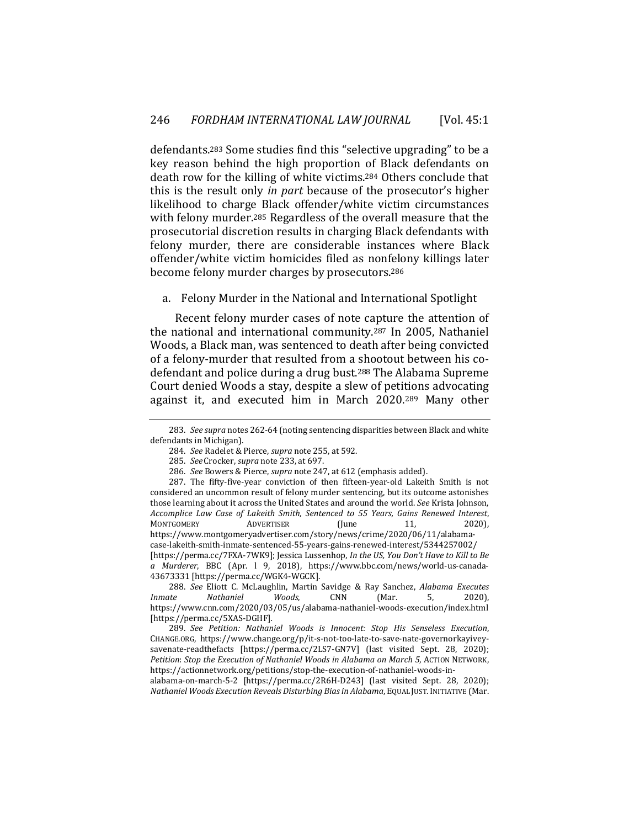defendants.283 Some studies find this "selective upgrading" to be a key reason behind the high proportion of Black defendants on death row for the killing of white victims.284 Others conclude that this is the result only *in part* because of the prosecutor's higher likelihood to charge Black offender/white victim circumstances with felony murder.285 Regardless of the overall measure that the prosecutorial discretion results in charging Black defendants with felony murder, there are considerable instances where Black offender/white victim homicides filed as nonfelony killings later become felony murder charges by prosecutors.286

a. Felony Murder in the National and International Spotlight

Recent felony murder cases of note capture the attention of the national and international community.287 In 2005, Nathaniel Woods, a Black man, was sentenced to death after being convicted of a felony-murder that resulted from a shootout between his codefendant and police during a drug bust.288 The Alabama Supreme Court denied Woods a stay, despite a slew of petitions advocating against it, and executed him in March 2020.289 Many other

288. *See* Eliott C. McLaughlin, Martin Savidge & Ray Sanchez, *Alabama Executes Inmate Nathaniel Woods*, CNN (Mar. 5, 2020), https://www.cnn.com/2020/03/05/us/alabama-nathaniel-woods-execution/index.html [https://perma.cc/5XAS-DGHF]*.*

<sup>283.</sup> *See supra* notes 262-64 (noting sentencing disparities between Black and white defendants in Michigan).

<sup>284.</sup> *See* Radelet & Pierce, *supra* note 255, at 592.

<sup>285.</sup> *See* Crocker, *supra* note 233, at 697.

<sup>286.</sup> *See* Bowers & Pierce, *supra* note 247, at 612 (emphasis added).

<sup>287.</sup> The fifty-five-year conviction of then fifteen-year-old Lakeith Smith is not considered an uncommon result of felony murder sentencing, but its outcome astonishes those learning about it across the United States and around the world. *See* Krista Johnson, *Accomplice Law Case of Lakeith Smith, Sentenced to 55 Years, Gains Renewed Interest*, MONTGOMERY ADVERTISER (June 11, 2020), https://www.montgomeryadvertiser.com/story/news/crime/2020/06/11/alabamacase-lakeith-smith-inmate-sentenced-55-years-gains-renewed-interest/5344257002/ [https://perma.cc/7FXA-7WK9]; Jessica Lussenhop, *In the US, You Don't Have to Kill to Be a Murderer*, BBC (Apr. l 9, 2018), https://www.bbc.com/news/world-us-canada-43673331 [https://perma.cc/WGK4-WGCK].

<sup>289.</sup> *See Petition: Nathaniel Woods is Innocent: Stop His Senseless Execution*, CHANGE.ORG, https://www.change.org/p/it-s-not-too-late-to-save-nate-governorkayiveysavenate-readthefacts [https://perma.cc/2LS7-GN7V] (last visited Sept. 28, 2020); *Petition*: *Stop the Execution of Nathaniel Woods in Alabama on March 5*, ACTION NETWORK, https://actionnetwork.org/petitions/stop-the-execution-of-nathaniel-woods-in-

alabama-on-march-5-2 [https://perma.cc/2R6H-D243] (last visited Sept. 28, 2020); *Nathaniel Woods Execution Reveals Disturbing Bias in Alabama*, EQUAL JUST.INITIATIVE (Mar.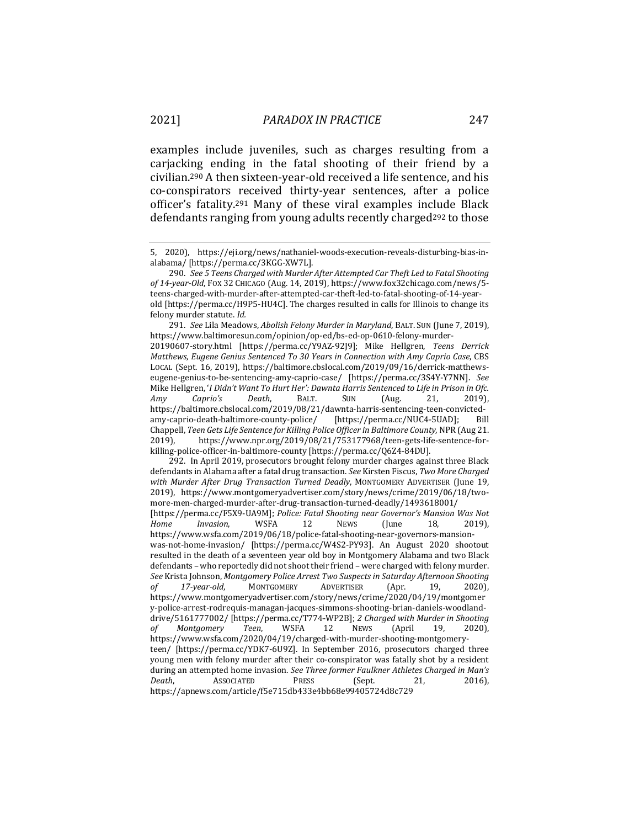examples include juveniles, such as charges resulting from a carjacking ending in the fatal shooting of their friend by a civilian.290 A then sixteen-year-old received a life sentence, and his co-conspirators received thirty-year sentences, after a police officer's fatality.291 Many of these viral examples include Black defendants ranging from young adults recently charged<sup>292</sup> to those

291. *See* Lila Meadows, *Abolish Felony Murder in Maryland*, BALT. SUN (June 7, 2019), https://www.baltimoresun.com/opinion/op-ed/bs-ed-op-0610-felony-murder-20190607-story.html [https://perma.cc/Y9AZ-92J9]; Mike Hellgren, *Teens Derrick Matthews, Eugene Genius Sentenced To 30 Years in Connection with Amy Caprio Case*, CBS LOCAL (Sept. 16, 2019), https://baltimore.cbslocal.com/2019/09/16/derrick-matthewseugene-genius-to-be-sentencing-amy-caprio-case/ [https://perma.cc/3S4Y-Y7NN]. *See*  Mike Hellgren, '*I Didn't Want To Hurt Her': Dawnta Harris Sentenced to Life in Prison in Ofc. Amy Caprio's Death*, BALT. SUN (Aug. 21, 2019), https://baltimore.cbslocal.com/2019/08/21/dawnta-harris-sentencing-teen-convictedamy-caprio-death-baltimore-county-police/ [https://perma.cc/NUC4-5UAD]; Bill Chappell, *Teen Gets Life Sentence for Killing Police Officer in Baltimore County*, NPR (Aug 21. 2019), https://www.npr.org/2019/08/21/753177968/teen-gets-life-sentence-forkilling-police-officer-in-baltimore-county [https://perma.cc/Q6Z4-84DU].

292. In April 2019, prosecutors brought felony murder charges against three Black defendants in Alabama after a fatal drug transaction. *See* Kirsten Fiscus, *Two More Charged with Murder After Drug Transaction Turned Deadly*, MONTGOMERY ADVERTISER (June 19, 2019), https://www.montgomeryadvertiser.com/story/news/crime/2019/06/18/twomore-men-charged-murder-after-drug-transaction-turned-deadly/1493618001/ [https://perma.cc/F5X9-UA9M]; *Police: Fatal Shooting near Governor's Mansion Was Not Home Invasion*, WSFA 12 NEWS (June 18, 2019), https://www.wsfa.com/2019/06/18/police-fatal-shooting-near-governors-mansionwas-not-home-invasion/ [https://perma.cc/W4S2-PY93]. An August 2020 shootout resulted in the death of a seventeen year old boy in Montgomery Alabama and two Black defendants – who reportedly did not shoot their friend – were charged with felony murder. *See* Krista Johnson, *Montgomery Police Arrest Two Suspects in Saturday Afternoon Shooting of 17-year-old*, MONTGOMERY ADVERTISER (Apr. 19, 2020), https://www.montgomeryadvertiser.com/story/news/crime/2020/04/19/montgomer y-police-arrest-rodrequis-managan-jacques-simmons-shooting-brian-daniels-woodlanddrive/5161777002/ [https://perma.cc/T774-WP2B]; *2 Charged with Murder in Shooting of Montgomery Teen*, WSFA 12 NEWS (April 19, 2020), https://www.wsfa.com/2020/04/19/charged-with-murder-shooting-montgomeryteen/ [https://perma.cc/YDK7-6U9Z]. In September 2016, prosecutors charged three young men with felony murder after their co-conspirator was fatally shot by a resident during an attempted home invasion. *See Three former Faulkner Athletes Charged in Man's Death*, **ASSOCIATED** PRESS (Sept. 21, 2016), https://apnews.com/article/f5e715db433e4bb68e99405724d8c729

<sup>5, 2020),</sup> https://eji.org/news/nathaniel-woods-execution-reveals-disturbing-bias-inalabama/ [https://perma.cc/3KGG-XW7L].

<sup>290.</sup> *See 5 Teens Charged with Murder After Attempted Car Theft Led to Fatal Shooting of 14-year-Old*, FOX 32 CHICAGO (Aug. 14, 2019), https://www.fox32chicago.com/news/5 teens-charged-with-murder-after-attempted-car-theft-led-to-fatal-shooting-of-14-yearold [https://perma.cc/H9P5-HU4C]. The charges resulted in calls for Illinois to change its felony murder statute. *Id.*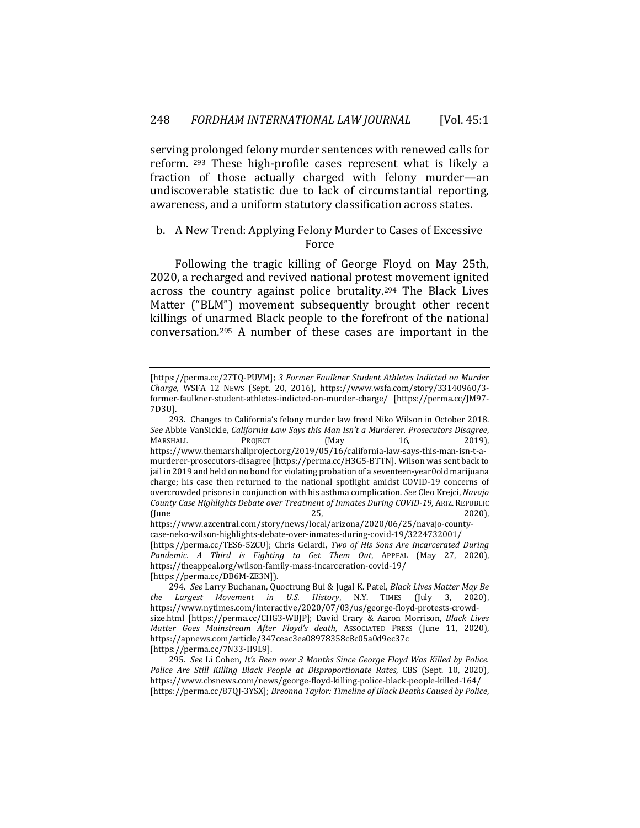serving prolonged felony murder sentences with renewed calls for reform. 293 These high-profile cases represent what is likely a fraction of those actually charged with felony murder—an undiscoverable statistic due to lack of circumstantial reporting, awareness, and a uniform statutory classification across states.

## b. A New Trend: Applying Felony Murder to Cases of Excessive Force

Following the tragic killing of George Floyd on May 25th, 2020, a recharged and revived national protest movement ignited across the country against police brutality.294 The Black Lives Matter ("BLM") movement subsequently brought other recent killings of unarmed Black people to the forefront of the national conversation.295 A number of these cases are important in the

https://www.azcentral.com/story/news/local/arizona/2020/06/25/navajo-countycase-neko-wilson-highlights-debate-over-inmates-during-covid-19/3224732001/ [https://perma.cc/TES6-5ZCU]; Chris Gelardi, *Two of His Sons Are Incarcerated During Pandemic. A Third is Fighting to Get Them Out*, APPEAL (May 27, 2020), https://theappeal.org/wilson-family-mass-incarceration-covid-19/

[https://perma.cc/DB6M-ZE3N]).

<sup>[</sup>https://perma.cc/27TQ-PUVM]; *3 Former Faulkner Student Athletes Indicted on Murder Charge*, WSFA 12 NEWS (Sept. 20, 2016), https://www.wsfa.com/story/33140960/3 former-faulkner-student-athletes-indicted-on-murder-charge/ [https://perma.cc/JM97- 7D3U].

<sup>293.</sup> Changes to California's felony murder law freed Niko Wilson in October 2018. *See* Abbie VanSickle, *California Law Says this Man Isn't a Murderer. Prosecutors Disagree*, MARSHALL PROJECT (May 16, 2019), https://www.themarshallproject.org/2019/05/16/california-law-says-this-man-isn-t-amurderer-prosecutors-disagree [https://perma.cc/H3G5-BTTN]. Wilson was sent back to jail in 2019 and held on no bond for violating probation of a seventeen-year0old marijuana charge; his case then returned to the national spotlight amidst COVID-19 concerns of overcrowded prisons in conjunction with his asthma complication. *See* Cleo Krejci, *Navajo County Case Highlights Debate over Treatment of Inmates During COVID-19*, ARIZ. REPUBLIC (June 25, 2020),

<sup>294.</sup> *See* Larry Buchanan, Quoctrung Bui & Jugal K. Patel, *Black Lives Matter May Be the Largest Movement in U.S. History*, N.Y. TIMES (July 3, 2020), https://www.nytimes.com/interactive/2020/07/03/us/george-floyd-protests-crowdsize.html [https://perma.cc/CHG3-WBJP]; David Crary & Aaron Morrison, *Black Lives Matter Goes Mainstream After Floyd's death*, ASSOCIATED PRESS (June 11, 2020), https://apnews.com/article/347ceac3ea08978358c8c05a0d9ec37c [https://perma.cc/7N33-H9L9].

<sup>295.</sup> *See* Li Cohen, *It's Been over 3 Months Since George Floyd Was Killed by Police. Police Are Still Killing Black People at Disproportionate Rates*, CBS (Sept. 10, 2020), https://www.cbsnews.com/news/george-floyd-killing-police-black-people-killed-164/ [https://perma.cc/87QJ-3YSX]; *Breonna Taylor: Timeline of Black Deaths Caused by Police*,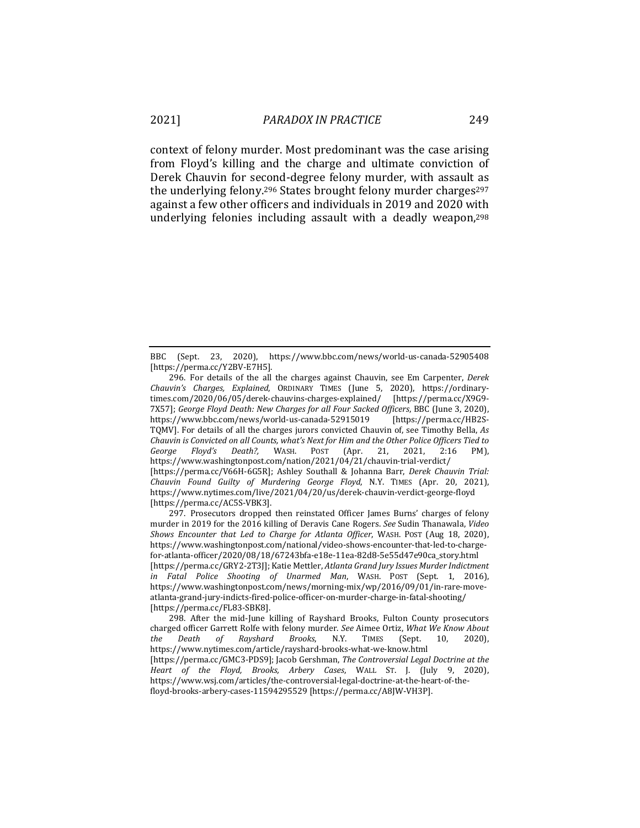context of felony murder. Most predominant was the case arising from Floyd's killing and the charge and ultimate conviction of Derek Chauvin for second-degree felony murder, with assault as the underlying felony.296 States brought felony murder charges297 against a few other officers and individuals in 2019 and 2020 with underlying felonies including assault with a deadly weapon,298

297. Prosecutors dropped then reinstated Officer James Burns' charges of felony murder in 2019 for the 2016 killing of Deravis Cane Rogers. *See* Sudin Thanawala, *Video Shows Encounter that Led to Charge for Atlanta Officer*, WASH. POST (Aug 18, 2020), https://www.washingtonpost.com/national/video-shows-encounter-that-led-to-chargefor-atlanta-officer/2020/08/18/67243bfa-e18e-11ea-82d8-5e55d47e90ca\_story.html [https://perma.cc/GRY2-2T3J]; Katie Mettler, *Atlanta Grand Jury Issues Murder Indictment in Fatal Police Shooting of Unarmed Man*, WASH. POST (Sept. 1, 2016), https://www.washingtonpost.com/news/morning-mix/wp/2016/09/01/in-rare-moveatlanta-grand-jury-indicts-fired-police-officer-on-murder-charge-in-fatal-shooting/ [https://perma.cc/FL83-SBK8].

298. After the mid-June killing of Rayshard Brooks, Fulton County prosecutors charged officer Garrett Rolfe with felony murder. *See* Aimee Ortiz, *What We Know About the Death of Rayshard Brooks*, N.Y. TIMES (Sept. 10, 2020), https://www.nytimes.com/article/rayshard-brooks-what-we-know.html [https://perma.cc/GMC3-PDS9]; Jacob Gershman, *The Controversial Legal Doctrine at the Heart of the Floyd, Brooks, Arbery Cases*, WALL ST. J. (July 9, 2020), https://www.wsj.com/articles/the-controversial-legal-doctrine-at-the-heart-of-thefloyd-brooks-arbery-cases-11594295529 [https://perma.cc/A8JW-VH3P].

BBC (Sept. 23, 2020), https://www.bbc.com/news/world-us-canada-52905408 [https://perma.cc/Y2BV-E7H5].

<sup>296.</sup> For details of the all the charges against Chauvin, see Em Carpenter, *Derek Chauvin's Charges, Explained*, ORDINARY TIMES (June 5, 2020), https://ordinarytimes.com/2020/06/05/derek-chauvins-charges-explained/ [https://perma.cc/X9G9- 7X57]; *George Floyd Death: New Charges for all Four Sacked Officers*, BBC (June 3, 2020), https://www.bbc.com/news/world-us-canada-52915019 [https://perma.cc/HB2S-TQMV]. For details of all the charges jurors convicted Chauvin of, see Timothy Bella, *As Chauvin is Convicted on all Counts, what's Next for Him and the Other Police Officers Tied to George Floyd's Death?,* WASH. POST (Apr. 21, 2021, 2:16 PM), https://www.washingtonpost.com/nation/2021/04/21/chauvin-trial-verdict/ [https://perma.cc/V66H-6G5R]; Ashley Southall & Johanna Barr, *Derek Chauvin Trial: Chauvin Found Guilty of Murdering George Floyd*, N.Y. TIMES (Apr. 20, 2021), https://www.nytimes.com/live/2021/04/20/us/derek-chauvin-verdict-george-floyd [https://perma.cc/AC5S-VBK3].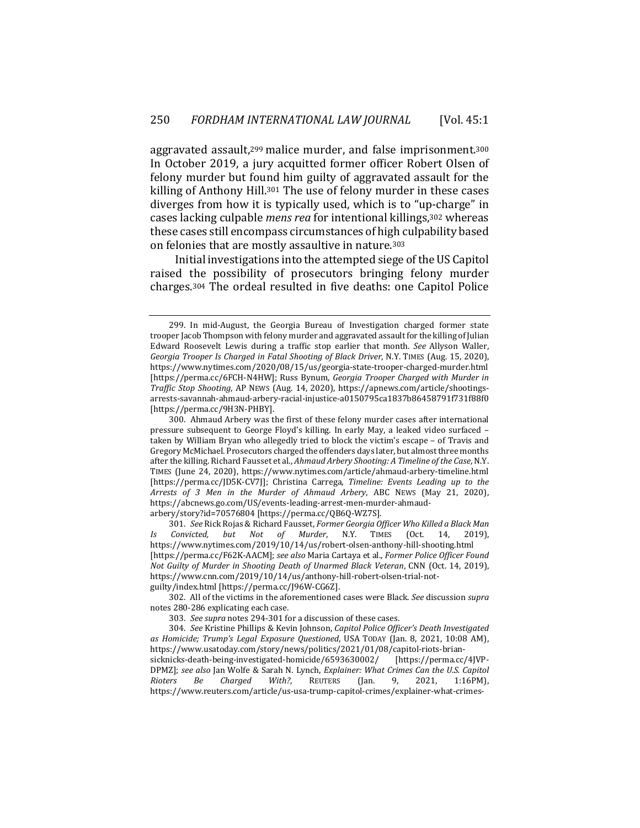aggravated assault,299 malice murder, and false imprisonment.300 In October 2019, a jury acquitted former officer Robert Olsen of felony murder but found him guilty of aggravated assault for the killing of Anthony Hill.301 The use of felony murder in these cases diverges from how it is typically used, which is to "up-charge" in cases lacking culpable *mens rea* for intentional killings,302 whereas these cases still encompass circumstances of high culpability based on felonies that are mostly assaultive in nature.303

Initial investigations into the attempted siege of the US Capitol raised the possibility of prosecutors bringing felony murder charges.304 The ordeal resulted in five deaths: one Capitol Police

arbery/story?id=70576804 [https://perma.cc/QB6Q-WZ7S].

301. *See* Rick Rojas & Richard Fausset, *Former Georgia Officer Who Killed a Black Man Is Convicted, but Not of Murder*, N.Y. TIMES (Oct. 14, 2019), https://www.nytimes.com/2019/10/14/us/robert-olsen-anthony-hill-shooting.html [https://perma.cc/F62K-AACM]; *see also* Maria Cartaya et al., *Former Police Officer Found Not Guilty of Murder in Shooting Death of Unarmed Black Veteran*, CNN (Oct. 14, 2019), https://www.cnn.com/2019/10/14/us/anthony-hill-robert-olsen-trial-notguilty/index.html [https://perma.cc/J96W-CG6Z].

302. All of the victims in the aforementioned cases were Black. *See* discussion *supra*  notes 280-286 explicating each case.

303. *See supra* notes 294-301 for a discussion of these cases.

304. *See* Kristine Phillips & Kevin Johnson, *Capitol Police Officer's Death Investigated as Homicide; Trump's Legal Exposure Questioned*, USA TODAY (Jan. 8, 2021, 10:08 AM), https://www.usatoday.com/story/news/politics/2021/01/08/capitol-riots-briansicknicks-death-being-investigated-homicide/6593630002/ DPMZ]; *see also* Jan Wolfe & Sarah N. Lynch, *Explainer: What Crimes Can the U.S. Capitol Rioters Be Charged With?*, REUTERS (Jan. 9, 2021, 1:16PM), https://www.reuters.com/article/us-usa-trump-capitol-crimes/explainer-what-crimes-

<sup>299.</sup> In mid-August, the Georgia Bureau of Investigation charged former state trooper Jacob Thompson with felony murder and aggravated assault for the killing of Julian Edward Roosevelt Lewis during a traffic stop earlier that month. *See* Allyson Waller, *Georgia Trooper Is Charged in Fatal Shooting of Black Driver*, N.Y. TIMES (Aug. 15, 2020), https://www.nytimes.com/2020/08/15/us/georgia-state-trooper-charged-murder.html [https://perma.cc/6FCH-N4HW]; Russ Bynum, *Georgia Trooper Charged with Murder in Traffic Stop Shooting*, AP NEWS (Aug. 14, 2020), https://apnews.com/article/shootingsarrests-savannah-ahmaud-arbery-racial-injustice-a0150795ca1837b86458791f731f88f0 [https://perma.cc/9H3N-PHBY].

<sup>300.</sup> Ahmaud Arbery was the first of these felony murder cases after international pressure subsequent to George Floyd's killing. In early May, a leaked video surfaced – taken by William Bryan who allegedly tried to block the victim's escape – of Travis and Gregory McMichael. Prosecutors charged the offenders days later, but almost three months after the killing. Richard Fausset et al., *Ahmaud Arbery Shooting: A Timeline of the Case*, N.Y. TIMES (June 24, 2020), https://www.nytimes.com/article/ahmaud-arbery-timeline.html [https://perma.cc/JD5K-CV7J]; Christina Carrega, *Timeline: Events Leading up to the Arrests of 3 Men in the Murder of Ahmaud Arbery*, ABC NEWS (May 21, 2020), https://abcnews.go.com/US/events-leading-arrest-men-murder-ahmaud-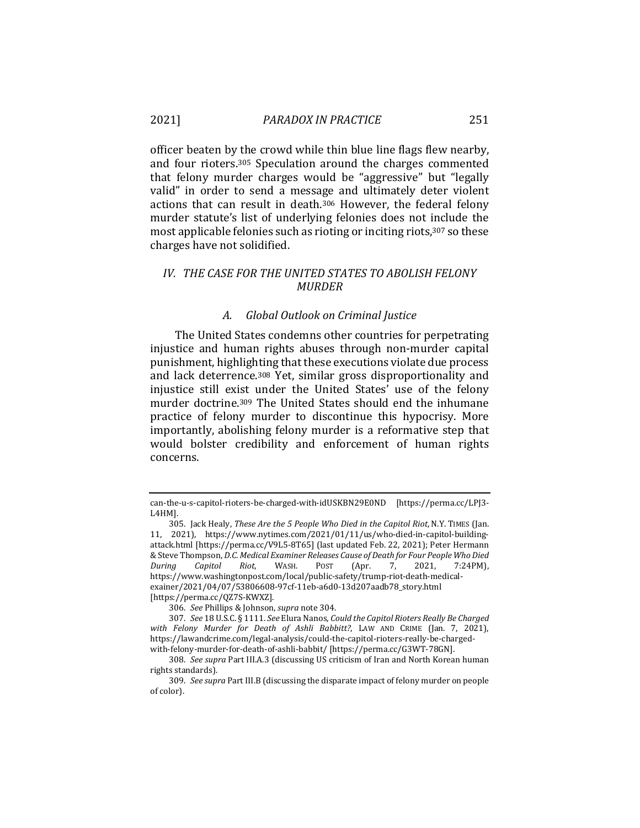officer beaten by the crowd while thin blue line flags flew nearby, and four rioters.305 Speculation around the charges commented that felony murder charges would be "aggressive" but "legally valid" in order to send a message and ultimately deter violent actions that can result in death.306 However, the federal felony murder statute's list of underlying felonies does not include the most applicable felonies such as rioting or inciting riots,307 so these charges have not solidified.

## *IV. THE CASE FOR THE UNITED STATES TO ABOLISH FELONY MURDER*

#### *A. Global Outlook on Criminal Justice*

The United States condemns other countries for perpetrating injustice and human rights abuses through non-murder capital punishment, highlighting that these executions violate due process and lack deterrence.308 Yet, similar gross disproportionality and injustice still exist under the United States' use of the felony murder doctrine.309 The United States should end the inhumane practice of felony murder to discontinue this hypocrisy. More importantly, abolishing felony murder is a reformative step that would bolster credibility and enforcement of human rights concerns.

can-the-u-s-capitol-rioters-be-charged-with-idUSKBN29E0ND [https://perma.cc/LPJ3- L4HM].

<sup>305.</sup> Jack Healy, *These Are the 5 People Who Died in the Capitol Riot*, N.Y. TIMES (Jan. 11, 2021), https://www.nytimes.com/2021/01/11/us/who-died-in-capitol-buildingattack.html [https://perma.cc/V9L5-8T65] (last updated Feb. 22, 2021); Peter Hermann & Steve Thompson, *D.C. Medical Examiner Releases Cause of Death for Four People Who Died During Capitol Riot*, WASH. POST (Apr. 7, 2021, 7:24PM), https://www.washingtonpost.com/local/public-safety/trump-riot-death-medicalexainer/2021/04/07/53806608-97cf-11eb-a6d0-13d207aadb78\_story.html [https://perma.cc/QZ7S-KWXZ].

<sup>306.</sup> *See* Phillips & Johnson, *supra* note 304.

<sup>307.</sup> *See* 18 U.S.C. § 1111. *See* Elura Nanos, *Could the Capitol Rioters Really Be Charged with Felony Murder for Death of Ashli Babbitt?*, LAW AND CRIME (Jan. 7, 2021), https://lawandcrime.com/legal-analysis/could-the-capitol-rioters-really-be-chargedwith-felony-murder-for-death-of-ashli-babbit/ [https://perma.cc/G3WT-78GN].

<sup>308.</sup> *See supra* Part III.A.3 (discussing US criticism of Iran and North Korean human rights standards).

<sup>309.</sup> *See supra* Part III.B (discussing the disparate impact of felony murder on people of color).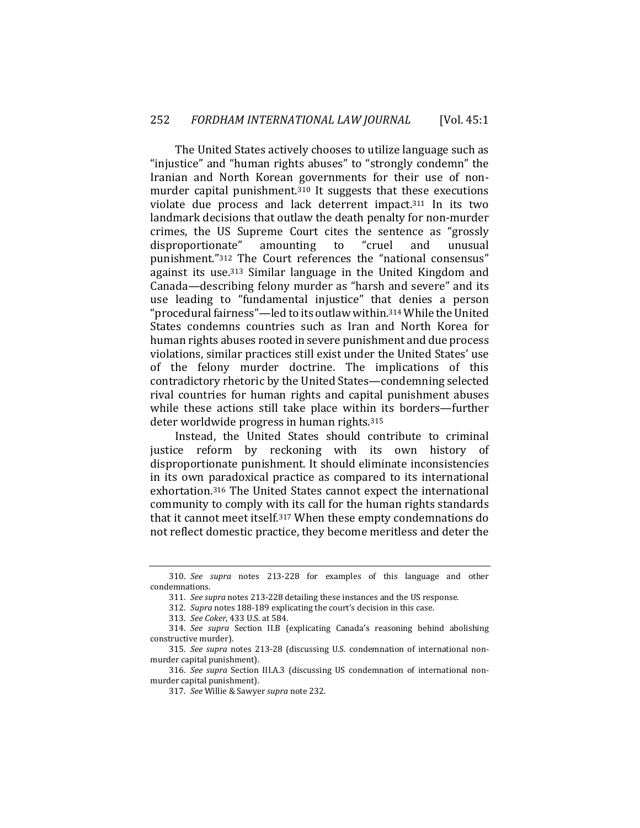The United States actively chooses to utilize language such as "injustice" and "human rights abuses" to "strongly condemn" the Iranian and North Korean governments for their use of nonmurder capital punishment.310 It suggests that these executions violate due process and lack deterrent impact.311 In its two landmark decisions that outlaw the death penalty for non-murder crimes, the US Supreme Court cites the sentence as "grossly disproportionate" amounting to "cruel and unusual punishment."312 The Court references the "national consensus" against its use.313 Similar language in the United Kingdom and Canada—describing felony murder as "harsh and severe" and its use leading to "fundamental injustice" that denies a person "procedural fairness"—led to its outlaw within.314 While the United States condemns countries such as Iran and North Korea for human rights abuses rooted in severe punishment and due process violations, similar practices still exist under the United States' use of the felony murder doctrine. The implications of this contradictory rhetoric by the United States—condemning selected rival countries for human rights and capital punishment abuses while these actions still take place within its borders—further deter worldwide progress in human rights.315

Instead, the United States should contribute to criminal justice reform by reckoning with its own history of disproportionate punishment. It should eliminate inconsistencies in its own paradoxical practice as compared to its international exhortation.316 The United States cannot expect the international community to comply with its call for the human rights standards that it cannot meet itself.317 When these empty condemnations do not reflect domestic practice, they become meritless and deter the

<sup>310.</sup> *See supra* notes 213-228 for examples of this language and other condemnations.

<sup>311.</sup> *See supra* notes 213-228 detailing these instances and the US response.

<sup>312.</sup> *Supra* notes 188-189 explicating the court's decision in this case.

<sup>313.</sup> *See Coker*, 433 U.S. at 584.

<sup>314.</sup> *See supra* Section II.B (explicating Canada's reasoning behind abolishing constructive murder).

<sup>315.</sup> *See supra* notes 213-28 (discussing U.S. condemnation of international nonmurder capital punishment).

<sup>316.</sup> *See supra* Section III.A.3 (discussing US condemnation of international nonmurder capital punishment).

<sup>317.</sup> *See* Willie & Sawyer *supra* note 232.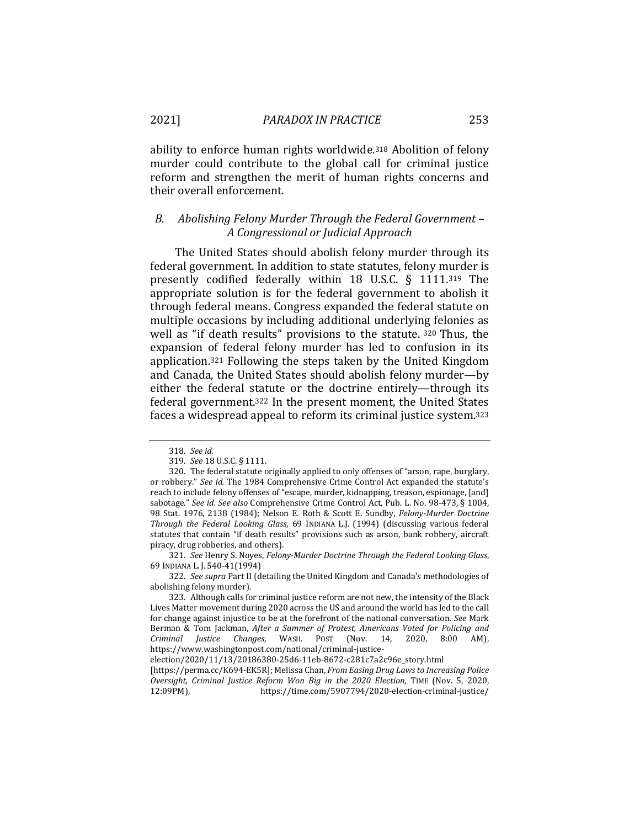ability to enforce human rights worldwide.318 Abolition of felony murder could contribute to the global call for criminal justice reform and strengthen the merit of human rights concerns and their overall enforcement.

## *B. Abolishing Felony Murder Through the Federal Government – A Congressional or Judicial Approach*

The United States should abolish felony murder through its federal government. In addition to state statutes, felony murder is presently codified federally within 18 U.S.C. § 1111.319 The appropriate solution is for the federal government to abolish it through federal means. Congress expanded the federal statute on multiple occasions by including additional underlying felonies as well as "if death results" provisions to the statute. <sup>320</sup> Thus, the expansion of federal felony murder has led to confusion in its application.321 Following the steps taken by the United Kingdom and Canada, the United States should abolish felony murder—by either the federal statute or the doctrine entirely—through its federal government.322 In the present moment, the United States faces a widespread appeal to reform its criminal justice system.323

<sup>318.</sup> *See id.*

<sup>319.</sup> *See* 18 U.S.C. § 1111.

<sup>320.</sup> The federal statute originally applied to only offenses of "arson, rape, burglary, or robbery." *See id.* The 1984 Comprehensive Crime Control Act expanded the statute's reach to include felony offenses of "escape, murder, kidnapping, treason, espionage, [and] sabotage." *See id. See also* Comprehensive Crime Control Act, Pub. L. No. 98-473, § 1004, 98 Stat. 1976, 2138 (1984); Nelson E. Roth & Scott E. Sundby, *Felony-Murder Doctrine Through the Federal Looking Glass*, 69 INDIANA L.J. (1994) (discussing various federal statutes that contain "if death results" provisions such as arson, bank robbery, aircraft piracy, drug robberies, and others).

<sup>321.</sup> *See* Henry S. Noyes, *Felony-Murder Doctrine Through the Federal Looking Glass*, 69 INDIANA L. J. 540-41(1994)

<sup>322.</sup> *See supra* Part II (detailing the United Kingdom and Canada's methodologies of abolishing felony murder).

<sup>323.</sup> Although calls for criminal justice reform are not new, the intensity of the Black Lives Matter movement during 2020 across the US and around the world has led to the call for change against injustice to be at the forefront of the national conversation. *See* Mark Berman & Tom Jackman, *After a Summer of Protest, Americans Voted for Policing and Criminal Justice Changes*, WASH. POST (Nov. 14, 2020, 8:00 AM), https://www.washingtonpost.com/national/criminal-justice-

election/2020/11/13/20186380-25d6-11eb-8672-c281c7a2c96e\_story.html

<sup>[</sup>https://perma.cc/K694-EK5R]; Melissa Chan, *From Easing Drug Laws to Increasing Police Oversight, Criminal Justice Reform Won Big in the 2020 Election*, TIME (Nov. 5, 2020, 12:09PM), https://time.com/5907794/2020-election-criminal-justice/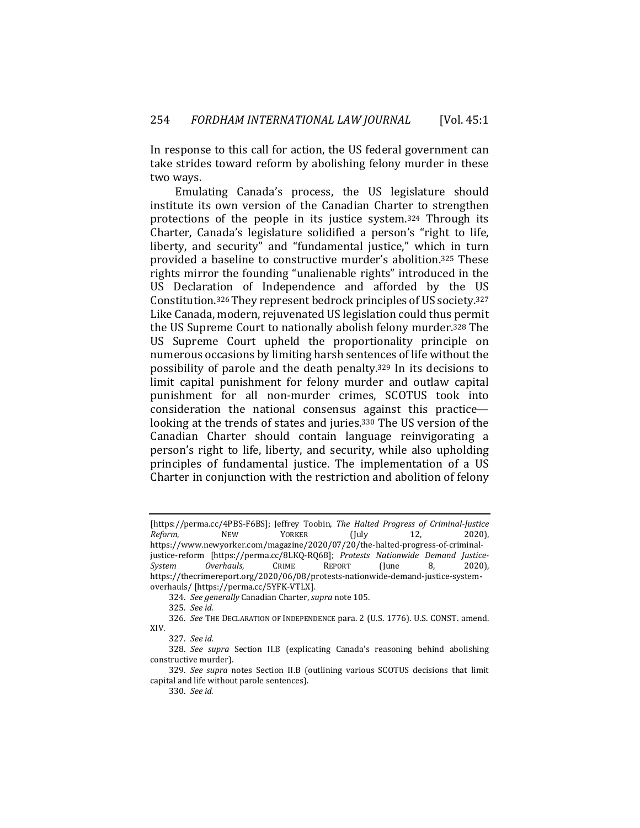In response to this call for action, the US federal government can take strides toward reform by abolishing felony murder in these two ways.

Emulating Canada's process, the US legislature should institute its own version of the Canadian Charter to strengthen protections of the people in its justice system.324 Through its Charter, Canada's legislature solidified a person's "right to life, liberty, and security" and "fundamental justice," which in turn provided a baseline to constructive murder's abolition.325 These rights mirror the founding "unalienable rights" introduced in the US Declaration of Independence and afforded by the US Constitution.326 They represent bedrock principles of US society.327 Like Canada, modern, rejuvenated US legislation could thus permit the US Supreme Court to nationally abolish felony murder.328 The US Supreme Court upheld the proportionality principle on numerous occasions by limiting harsh sentences of life without the possibility of parole and the death penalty.329 In its decisions to limit capital punishment for felony murder and outlaw capital punishment for all non-murder crimes, SCOTUS took into consideration the national consensus against this practice looking at the trends of states and juries.330 The US version of the Canadian Charter should contain language reinvigorating a person's right to life, liberty, and security, while also upholding principles of fundamental justice. The implementation of a US Charter in conjunction with the restriction and abolition of felony

<sup>[</sup>https://perma.cc/4PBS-F6BS]; Jeffrey Toobin, *The Halted Progress of Criminal-Justice Reform*, NEW YORKER (July 12, 2020), https://www.newyorker.com/magazine/2020/07/20/the-halted-progress-of-criminaljustice-reform [https://perma.cc/8LKQ-RQ68]; *Protests Nationwide Demand Justice-System Overhauls*, CRIME REPORT (June 8, 2020), https://thecrimereport.org/2020/06/08/protests-nationwide-demand-justice-systemoverhauls/ [https://perma.cc/5YFK-VTLX].

<sup>324.</sup> *See generally* Canadian Charter, *supra* note 105.

<sup>325.</sup> *See id.*

<sup>326.</sup> *See* THE DECLARATION OF INDEPENDENCE para. 2 (U.S. 1776). U.S. CONST. amend. XIV.

<sup>327.</sup> *See id.* 

<sup>328.</sup> *See supra* Section II.B (explicating Canada's reasoning behind abolishing constructive murder).

<sup>329.</sup> *See supra* notes Section II.B (outlining various SCOTUS decisions that limit capital and life without parole sentences).

<sup>330.</sup> *See id.*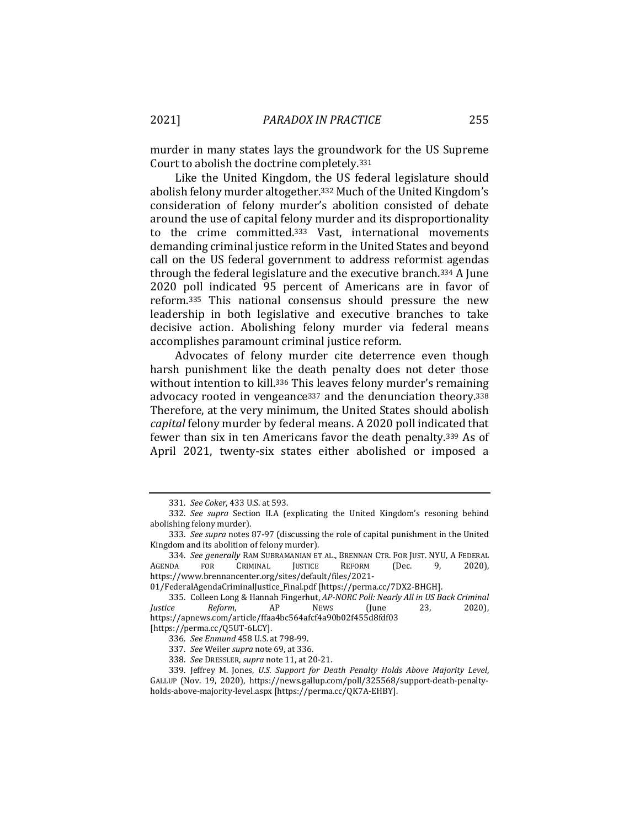murder in many states lays the groundwork for the US Supreme Court to abolish the doctrine completely.331

Like the United Kingdom, the US federal legislature should abolish felony murder altogether.332 Much of the United Kingdom's consideration of felony murder's abolition consisted of debate around the use of capital felony murder and its disproportionality to the crime committed.333 Vast, international movements demanding criminal justice reform in the United States and beyond call on the US federal government to address reformist agendas through the federal legislature and the executive branch.334 A June 2020 poll indicated 95 percent of Americans are in favor of reform.335 This national consensus should pressure the new leadership in both legislative and executive branches to take decisive action. Abolishing felony murder via federal means accomplishes paramount criminal justice reform.

Advocates of felony murder cite deterrence even though harsh punishment like the death penalty does not deter those without intention to kill.<sup>336</sup> This leaves felony murder's remaining advocacy rooted in vengeance<sup>337</sup> and the denunciation theory.<sup>338</sup> Therefore, at the very minimum, the United States should abolish *capital* felony murder by federal means. A 2020 poll indicated that fewer than six in ten Americans favor the death penalty.339 As of April 2021, twenty-six states either abolished or imposed a

<sup>331.</sup> *See Coker*, 433 U.S. at 593.

<sup>332.</sup> *See supra* Section II.A (explicating the United Kingdom's resoning behind abolishing felony murder).

<sup>333.</sup> *See supra* notes 87-97 (discussing the role of capital punishment in the United Kingdom and its abolition of felony murder).

<sup>334.</sup> *See generally* RAM SUBRAMANIAN ET AL., BRENNAN CTR. FOR JUST. NYU, A FEDERAL<br>IDA FOR CRIMINAL JUSTICE REFORM (Dec. 9. 2020). AGENDA FOR CRIMINAL JUSTICE REFORM (Dec. 9, 2020), https://www.brennancenter.org/sites/default/files/2021-

<sup>01/</sup>FederalAgendaCriminalJustice\_Final.pdf [https://perma.cc/7DX2-BHGH].

<sup>335.</sup> Colleen Long & Hannah Fingerhut, *AP-NORC Poll: Nearly All in US Back Criminal Justice Reform*, AP NEWS (June 23, 2020), https://apnews.com/article/ffaa4bc564afcf4a90b02f455d8fdf03 [https://perma.cc/Q5UT-6LCY].

<sup>336.</sup> *See Enmund* 458 U.S. at 798-99.

<sup>337.</sup> *See* Weiler *supra* note 69, at 336.

<sup>338.</sup> *See* DRESSLER, *supra* note 11, at 20-21.

<sup>339.</sup> Jeffrey M. Jones, *U.S. Support for Death Penalty Holds Above Majority Level*, GALLUP (Nov. 19, 2020), https://news.gallup.com/poll/325568/support-death-penalty-

holds-above-majority-level.aspx [https://perma.cc/QK7A-EHBY].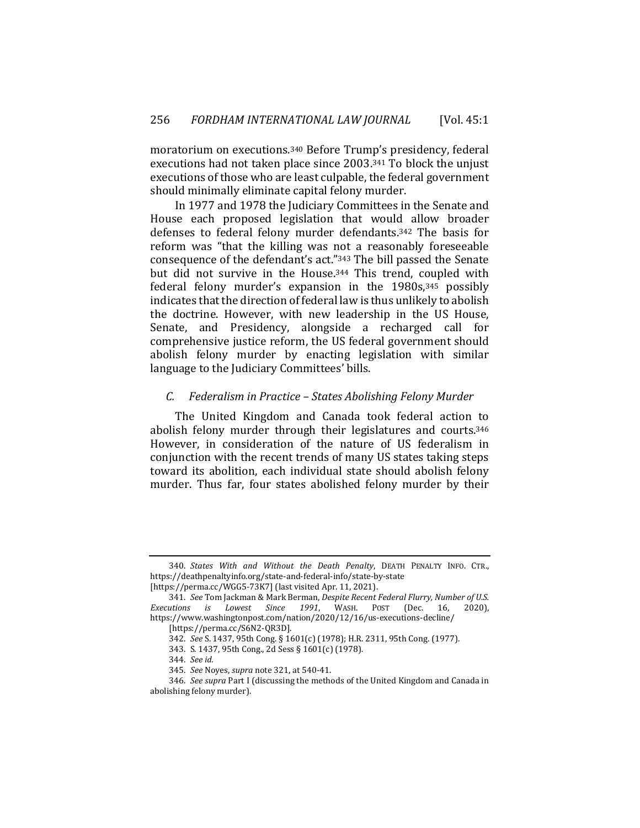moratorium on executions.340 Before Trump's presidency, federal executions had not taken place since 2003.341 To block the unjust executions of those who are least culpable, the federal government should minimally eliminate capital felony murder.

In 1977 and 1978 the Judiciary Committees in the Senate and House each proposed legislation that would allow broader defenses to federal felony murder defendants.342 The basis for reform was "that the killing was not a reasonably foreseeable consequence of the defendant's act."343 The bill passed the Senate but did not survive in the House.344 This trend, coupled with federal felony murder's expansion in the 1980s, 345 possibly indicates that the direction of federal law is thus unlikely to abolish the doctrine. However, with new leadership in the US House, Senate, and Presidency, alongside a recharged call for comprehensive justice reform, the US federal government should abolish felony murder by enacting legislation with similar language to the Judiciary Committees' bills.

#### *C. Federalism in Practice – States Abolishing Felony Murder*

The United Kingdom and Canada took federal action to abolish felony murder through their legislatures and courts.346 However, in consideration of the nature of US federalism in conjunction with the recent trends of many US states taking steps toward its abolition, each individual state should abolish felony murder. Thus far, four states abolished felony murder by their

<sup>340.</sup> *States With and Without the Death Penalty*, DEATH PENALTY INFO. CTR., https://deathpenaltyinfo.org/state-and-federal-info/state-by-state [https://perma.cc/WGG5-73K7] (last visited Apr. 11, 2021).

<sup>341.</sup> *See* Tom Jackman & Mark Berman, *Despite Recent Federal Flurry, Number of U.S. Executions is Lowest Since 1991*, WASH. POST (Dec. 16, 2020), https://www.washingtonpost.com/nation/2020/12/16/us-executions-decline/

<sup>[</sup>https://perma.cc/S6N2-QR3D].

<sup>342.</sup> *See* S. 1437, 95th Cong. § 1601(c) (1978); H.R. 2311, 95th Cong. (1977).

<sup>343.</sup> S. 1437, 95th Cong., 2d Sess § 1601(c) (1978)*.*

<sup>344.</sup> *See id.*

<sup>345.</sup> *See* Noyes, *supra* note 321, at 540-41.

<sup>346.</sup> *See supra* Part I (discussing the methods of the United Kingdom and Canada in abolishing felony murder).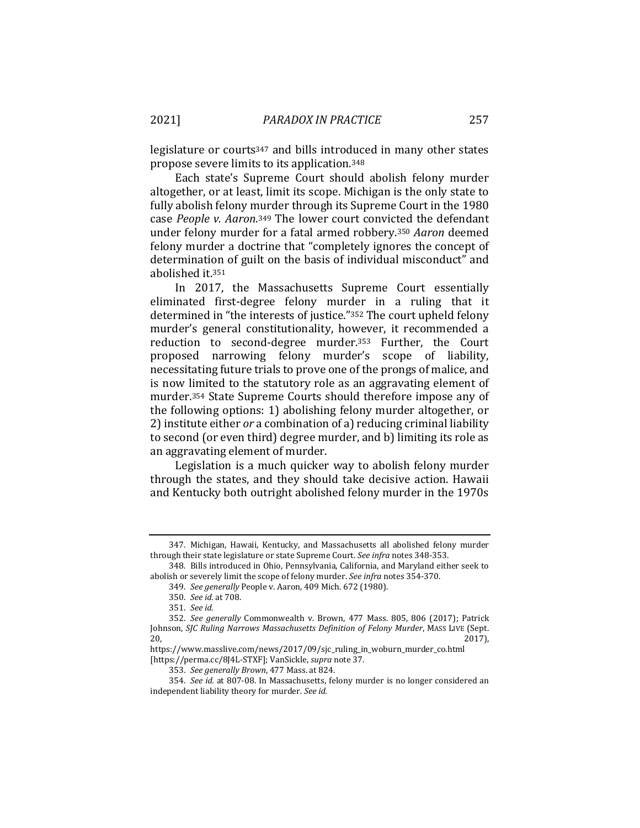legislature or courts347 and bills introduced in many other states propose severe limits to its application.348

Each state's Supreme Court should abolish felony murder altogether, or at least, limit its scope. Michigan is the only state to fully abolish felony murder through its Supreme Court in the 1980 case *People v. Aaron*.349 The lower court convicted the defendant under felony murder for a fatal armed robbery.350 *Aaron* deemed felony murder a doctrine that "completely ignores the concept of determination of guilt on the basis of individual misconduct" and abolished it.351

In 2017, the Massachusetts Supreme Court essentially eliminated first-degree felony murder in a ruling that it determined in "the interests of justice."352 The court upheld felony murder's general constitutionality, however, it recommended a reduction to second-degree murder.353 Further, the Court proposed narrowing felony murder's scope of liability, necessitating future trials to prove one of the prongs of malice, and is now limited to the statutory role as an aggravating element of murder.354 State Supreme Courts should therefore impose any of the following options: 1) abolishing felony murder altogether, or 2) institute either *or* a combination of a) reducing criminal liability to second (or even third) degree murder, and b) limiting its role as an aggravating element of murder.

Legislation is a much quicker way to abolish felony murder through the states, and they should take decisive action. Hawaii and Kentucky both outright abolished felony murder in the 1970s

<sup>347.</sup> Michigan, Hawaii, Kentucky, and Massachusetts all abolished felony murder through their state legislature or state Supreme Court. *See infra* notes 348-353.

<sup>348.</sup> Bills introduced in Ohio, Pennsylvania, California, and Maryland either seek to abolish or severely limit the scope of felony murder. *See infra* notes 354-370.

<sup>349.</sup> *See generally* People v. Aaron, 409 Mich. 672 (1980).

<sup>350.</sup> *See id.* at 708.

<sup>351.</sup> *See id.*

<sup>352.</sup> *See generally* Commonwealth v. Brown, 477 Mass. 805, 806 (2017); Patrick Johnson, *SJC Ruling Narrows Massachusetts Definition of Felony Murder*, MASS LIVE (Sept.  $20,$  2017),

https://www.masslive.com/news/2017/09/sjc\_ruling\_in\_woburn\_murder\_co.html [https://perma.cc/8J4L-STXF]; VanSickle, *supra* note 37.

<sup>353.</sup> *See generally Brown*, 477 Mass. at 824.

<sup>354.</sup> *See id.* at 807-08. In Massachusetts, felony murder is no longer considered an independent liability theory for murder. *See id.*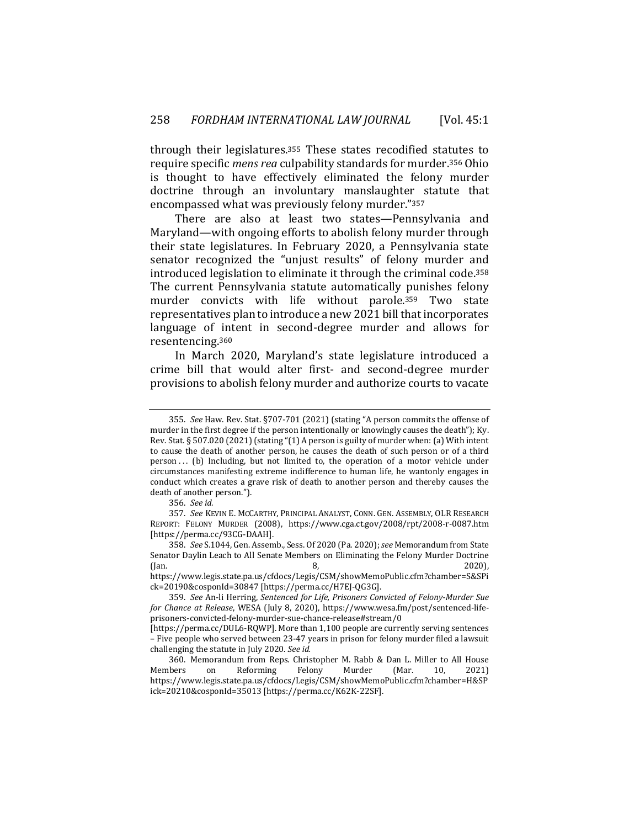through their legislatures.355 These states recodified statutes to require specific *mens rea* culpability standards for murder.356 Ohio is thought to have effectively eliminated the felony murder doctrine through an involuntary manslaughter statute that encompassed what was previously felony murder."357

There are also at least two states—Pennsylvania and Maryland—with ongoing efforts to abolish felony murder through their state legislatures. In February 2020, a Pennsylvania state senator recognized the "unjust results" of felony murder and introduced legislation to eliminate it through the criminal code.358 The current Pennsylvania statute automatically punishes felony murder convicts with life without parole.359 Two state representatives plan to introduce a new 2021 bill that incorporates language of intent in second-degree murder and allows for resentencing.360

In March 2020, Maryland's state legislature introduced a crime bill that would alter first- and second-degree murder provisions to abolish felony murder and authorize courts to vacate

https://www.legis.state.pa.us/cfdocs/Legis/CSM/showMemoPublic.cfm?chamber=S&SPi ck=20190&cosponId=30847 [https://perma.cc/H7EJ-QG3G].

<sup>355.</sup> *See* Haw. Rev. Stat. §707-701 (2021) (stating "A person commits the offense of murder in the first degree if the person intentionally or knowingly causes the death"); Ky. Rev. Stat. § 507.020 (2021) (stating "(1) A person is guilty of murder when: (a) With intent to cause the death of another person, he causes the death of such person or of a third  $person...$  (b) Including, but not limited to, the operation of a motor vehicle under circumstances manifesting extreme indifference to human life, he wantonly engages in conduct which creates a grave risk of death to another person and thereby causes the death of another person.").

<sup>356.</sup> *See id.*

<sup>357.</sup> *See* KEVIN E. MCCARTHY, PRINCIPAL ANALYST, CONN. GEN. ASSEMBLY, OLR RESEARCH REPORT: FELONY MURDER (2008), https://www.cga.ct.gov/2008/rpt/2008-r-0087.htm [https://perma.cc/93CG-DAAH].

<sup>358.</sup> *See* S.1044, Gen. Assemb., Sess. Of 2020 (Pa. 2020); *see* Memorandum from State Senator Daylin Leach to All Senate Members on Eliminating the Felony Murder Doctrine (Jan. 2020), 3, 2020), 3, 2020), 3, 2020), 3, 2020, 3, 2020, 3, 2020, 3, 2020, 3, 2020, 3, 2020, 3, 2020, 3, 20

<sup>359.</sup> *See* An-li Herring, *Sentenced for Life, Prisoners Convicted of Felony-Murder Sue for Chance at Release*, WESA (July 8, 2020), https://www.wesa.fm/post/sentenced-lifeprisoners-convicted-felony-murder-sue-chance-release#stream/0

<sup>[</sup>https://perma.cc/DUL6-RQWP]. More than 1,100 people are currently serving sentences – Five people who served between 23-47 years in prison for felony murder filed a lawsuit challenging the statute in July 2020. *See id.*

<sup>360.</sup> Memorandum from Reps. Christopher M. Rabb & Dan L. Miller to All House Members on Reforming Felony Murder (Mar. 10, 2021) https://www.legis.state.pa.us/cfdocs/Legis/CSM/showMemoPublic.cfm?chamber=H&SP ick=20210&cosponId=35013 [https://perma.cc/K62K-22SF].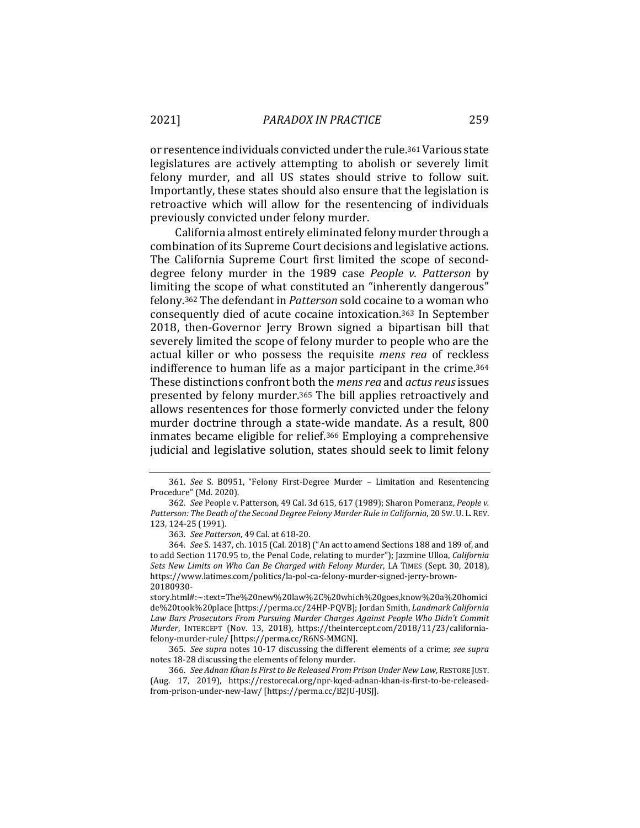or resentence individuals convicted under the rule.361 Various state legislatures are actively attempting to abolish or severely limit felony murder, and all US states should strive to follow suit. Importantly, these states should also ensure that the legislation is retroactive which will allow for the resentencing of individuals previously convicted under felony murder.

California almost entirely eliminated felony murder through a combination of its Supreme Court decisions and legislative actions. The California Supreme Court first limited the scope of seconddegree felony murder in the 1989 case *People v. Patterson* by limiting the scope of what constituted an "inherently dangerous" felony.362 The defendant in *Patterson* sold cocaine to a woman who consequently died of acute cocaine intoxication.363 In September 2018, then-Governor Jerry Brown signed a bipartisan bill that severely limited the scope of felony murder to people who are the actual killer or who possess the requisite *mens rea* of reckless indifference to human life as a major participant in the crime.364 These distinctions confront both the *mens rea* and *actus reus* issues presented by felony murder.365 The bill applies retroactively and allows resentences for those formerly convicted under the felony murder doctrine through a state-wide mandate. As a result, 800 inmates became eligible for relief.366 Employing a comprehensive judicial and legislative solution, states should seek to limit felony

<sup>361.</sup> *See* S. B0951, "Felony First-Degree Murder – Limitation and Resentencing Procedure" (Md. 2020).

<sup>362.</sup> *See* People v. Patterson, 49 Cal. 3d 615, 617 (1989); Sharon Pomeranz, *People v.*  Patterson: The Death of the Second Degree Felony Murder Rule in California, 20 SW. U. L. REV. 123, 124-25 (1991).

<sup>363.</sup> *See Patterson*, 49 Cal. at 618-20.

<sup>364.</sup> *See* S. 1437, ch. 1015 (Cal. 2018) ("An act to amend Sections 188 and 189 of, and to add Section 1170.95 to, the Penal Code, relating to murder"); Jazmine Ulloa, *California Sets New Limits on Who Can Be Charged with Felony Murder*, LA TIMES (Sept. 30, 2018), https://www.latimes.com/politics/la-pol-ca-felony-murder-signed-jerry-brown-20180930-

story.html#:~:text=The%20new%20law%2C%20which%20goes,know%20a%20homici de%20took%20place [https://perma.cc/24HP-PQVB]; Jordan Smith, *Landmark California Law Bars Prosecutors From Pursuing Murder Charges Against People Who Didn't Commit Murder*, INTERCEPT (Nov. 13, 2018), https://theintercept.com/2018/11/23/californiafelony-murder-rule/ [https://perma.cc/R6NS-MMGN].

<sup>365.</sup> *See supra* notes 10-17 discussing the different elements of a crime; *see supra*  notes 18-28 discussing the elements of felony murder.

<sup>366.</sup> *See Adnan Khan Is First to Be Released From Prison Under New Law*, RESTORE JUST. (Aug. 17, 2019), https://restorecal.org/npr-kqed-adnan-khan-is-first-to-be-releasedfrom-prison-under-new-law/ [https://perma.cc/B2JU-JUSJ].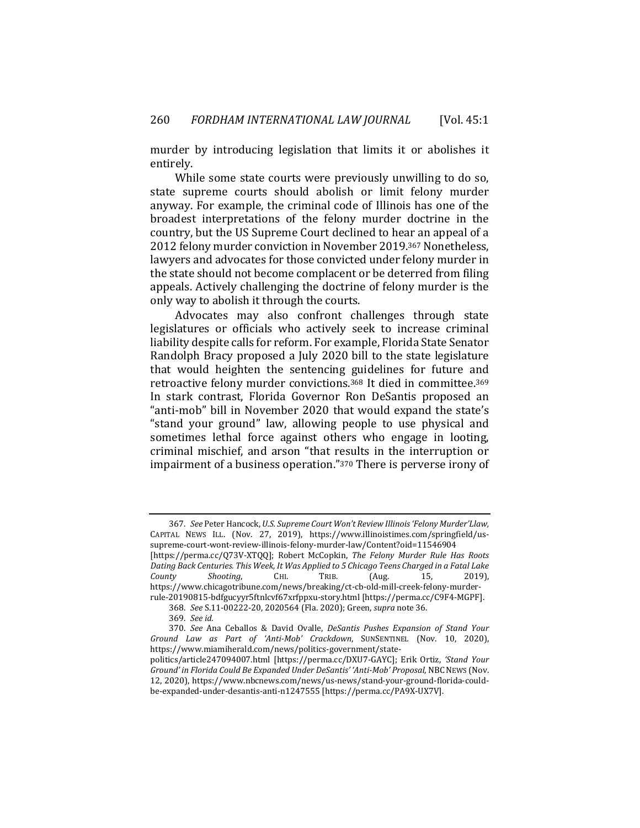murder by introducing legislation that limits it or abolishes it entirely.

While some state courts were previously unwilling to do so, state supreme courts should abolish or limit felony murder anyway. For example, the criminal code of Illinois has one of the broadest interpretations of the felony murder doctrine in the country, but the US Supreme Court declined to hear an appeal of a 2012 felony murder conviction in November 2019.367 Nonetheless, lawyers and advocates for those convicted under felony murder in the state should not become complacent or be deterred from filing appeals. Actively challenging the doctrine of felony murder is the only way to abolish it through the courts.

Advocates may also confront challenges through state legislatures or officials who actively seek to increase criminal liability despite calls for reform. For example, Florida State Senator Randolph Bracy proposed a July 2020 bill to the state legislature that would heighten the sentencing guidelines for future and retroactive felony murder convictions.368 It died in committee.369 In stark contrast, Florida Governor Ron DeSantis proposed an "anti-mob" bill in November 2020 that would expand the state's "stand your ground" law, allowing people to use physical and sometimes lethal force against others who engage in looting, criminal mischief, and arson "that results in the interruption or impairment of a business operation."370 There is perverse irony of

<sup>367.</sup> *See* Peter Hancock, *U.S. Supreme Court Won't Review Illinois 'Felony Murder'Llaw,*  CAPITAL NEWS ILL. (Nov. 27, 2019), https://www.illinoistimes.com/springfield/ussupreme-court-wont-review-illinois-felony-murder-law/Content?oid=11546904 [https://perma.cc/Q73V-XTQQ]; Robert McCopkin, *The Felony Murder Rule Has Roots Dating Back Centuries. This Week, It Was Applied to 5 Chicago Teens Charged in a Fatal Lake County Shooting*, CHI. TRIB. (Aug. 15, 2019), https://www.chicagotribune.com/news/breaking/ct-cb-old-mill-creek-felony-murderrule-20190815-bdfgucyyr5ftnlcvf67xrfppxu-story.html [https://perma.cc/C9F4-MGPF].

<sup>368.</sup> *See* S.11-00222-20, 2020564 (Fla. 2020); Green, *supra* note 36.

<sup>369.</sup> *See id.*

<sup>370.</sup> *See* Ana Ceballos & David Ovalle, *DeSantis Pushes Expansion of Stand Your Ground Law as Part of 'Anti-Mob' Crackdown*, SUNSENTINEL (Nov. 10, 2020), https://www.miamiherald.com/news/politics-government/statepolitics/article247094007.html [https://perma.cc/DXU7-GAYC]; Erik Ortiz, *'Stand Your*  Ground' in Florida Could Be Expanded Under DeSantis' 'Anti-Mob' Proposal, NBC NEWS (Nov. 12, 2020), https://www.nbcnews.com/news/us-news/stand-your-ground-florida-couldbe-expanded-under-desantis-anti-n1247555 [https://perma.cc/PA9X-UX7V].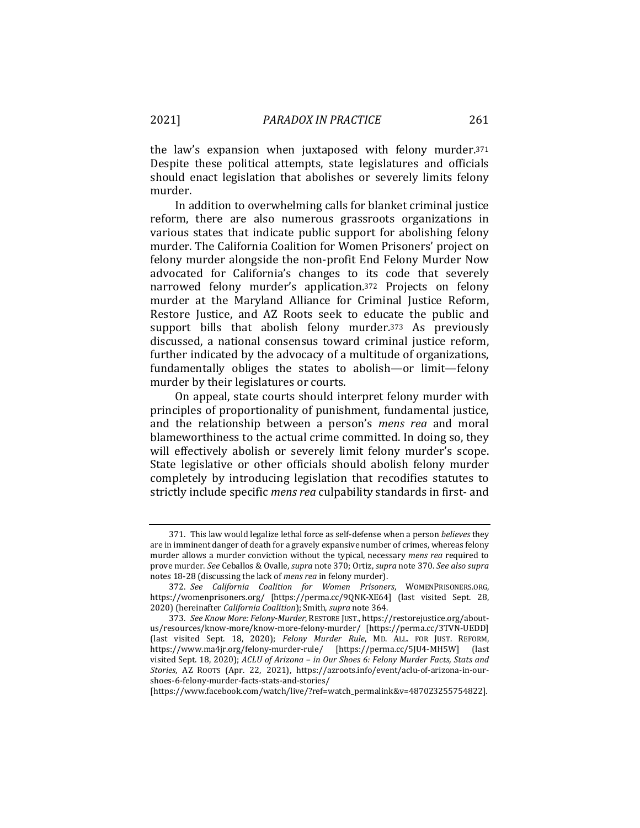the law's expansion when juxtaposed with felony murder.371 Despite these political attempts, state legislatures and officials should enact legislation that abolishes or severely limits felony murder.

In addition to overwhelming calls for blanket criminal justice reform, there are also numerous grassroots organizations in various states that indicate public support for abolishing felony murder. The California Coalition for Women Prisoners' project on felony murder alongside the non-profit End Felony Murder Now advocated for California's changes to its code that severely narrowed felony murder's application.372 Projects on felony murder at the Maryland Alliance for Criminal Justice Reform, Restore Justice, and AZ Roots seek to educate the public and support bills that abolish felony murder.<sup>373</sup> As previously discussed, a national consensus toward criminal justice reform, further indicated by the advocacy of a multitude of organizations, fundamentally obliges the states to abolish—or limit—felony murder by their legislatures or courts.

On appeal, state courts should interpret felony murder with principles of proportionality of punishment, fundamental justice, and the relationship between a person's *mens rea* and moral blameworthiness to the actual crime committed. In doing so, they will effectively abolish or severely limit felony murder's scope. State legislative or other officials should abolish felony murder completely by introducing legislation that recodifies statutes to strictly include specific *mens rea* culpability standards in first- and

<sup>371.</sup> This law would legalize lethal force as self-defense when a person *believes* they are in imminent danger of death for a gravely expansive number of crimes, whereas felony murder allows a murder conviction without the typical, necessary *mens rea* required to prove murder. *See* Ceballos & Ovalle, *supra* note 370; Ortiz, *supra* note 370. *See also supra*  notes 18-28 (discussing the lack of *mens rea* in felony murder).

<sup>372.</sup> *See California Coalition for Women Prisoners*, WOMENPRISONERS.ORG, https://womenprisoners.org/ [https://perma.cc/9QNK-XE64] (last visited Sept. 28, 2020) (hereinafter *California Coalition*); Smith, *supra* note 364.

<sup>373.</sup> *See Know More: Felony-Murder*, RESTORE JUST., https://restorejustice.org/aboutus/resources/know-more/know-more-felony-murder/ [https://perma.cc/3TVN-UEDD] (last visited Sept. 18, 2020); *Felony Murder Rule*, MD. ALL. FOR JUST. REFORM, https://www.ma4jr.org/felony-murder-rule/ [https://perma.cc/5JU4-MH5W] (last visited Sept. 18, 2020); *ACLU of Arizona – in Our Shoes 6: Felony Murder Facts, Stats and Stories*, AZ ROOTS (Apr. 22, 2021), https://azroots.info/event/aclu-of-arizona-in-ourshoes-6-felony-murder-facts-stats-and-stories/

<sup>[</sup>https://www.facebook.com/watch/live/?ref=watch\_permalink&v=487023255754822].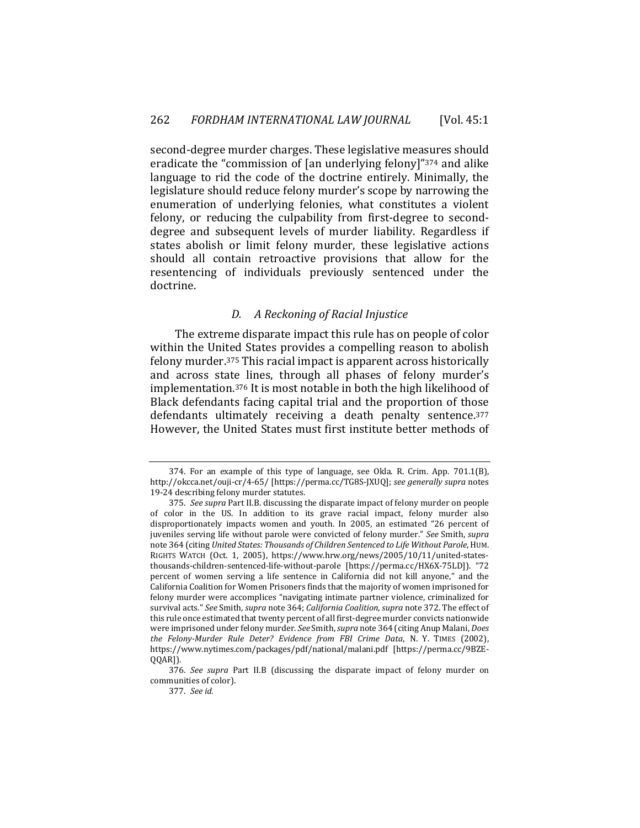second-degree murder charges. These legislative measures should eradicate the "commission of [an underlying felony]"374 and alike language to rid the code of the doctrine entirely. Minimally, the legislature should reduce felony murder's scope by narrowing the enumeration of underlying felonies, what constitutes a violent felony, or reducing the culpability from first-degree to seconddegree and subsequent levels of murder liability. Regardless if states abolish or limit felony murder, these legislative actions should all contain retroactive provisions that allow for the resentencing of individuals previously sentenced under the doctrine.

## *D. A Reckoning of Racial Injustice*

The extreme disparate impact this rule has on people of color within the United States provides a compelling reason to abolish felony murder.375 This racial impact is apparent across historically and across state lines, through all phases of felony murder's implementation.376 It is most notable in both the high likelihood of Black defendants facing capital trial and the proportion of those defendants ultimately receiving a death penalty sentence.377 However, the United States must first institute better methods of

<sup>374.</sup> For an example of this type of language, see Okla. R. Crim. App. 701.1(B), http://okcca.net/ouji-cr/4-65/ [https://perma.cc/TG8S-JXUQ]; *see generally supra* notes 19-24 describing felony murder statutes.

<sup>375.</sup> *See supra* Part II.B. discussing the disparate impact of felony murder on people of color in the US. In addition to its grave racial impact, felony murder also disproportionately impacts women and youth. In 2005, an estimated "26 percent of juveniles serving life without parole were convicted of felony murder." *See* Smith, *supra* note 364 (citing *United States: Thousands of Children Sentenced to Life Without Parole*, HUM. RIGHTS WATCH (Oct. 1, 2005), https://www.hrw.org/news/2005/10/11/united-statesthousands-children-sentenced-life-without-parole [https://perma.cc/HX6X-75LD]). "72 percent of women serving a life sentence in California did not kill anyone," and the California Coalition for Women Prisoners finds that the majority of women imprisoned for felony murder were accomplices "navigating intimate partner violence, criminalized for survival acts." *See* Smith, *supra* note 364; *California Coalition*, *supra* note 372. The effect of this rule once estimated that twenty percent of all first-degree murder convicts nationwide were imprisoned under felony murder. *See* Smith, *supra* note 364 (citing Anup Malani, *Does the Felony-Murder Rule Deter? Evidence from FBI Crime Data*, N. Y. TIMES (2002), https://www.nytimes.com/packages/pdf/national/malani.pdf [https://perma.cc/9BZE-QQAR]).

<sup>376.</sup> *See supra* Part II.B (discussing the disparate impact of felony murder on communities of color).

<sup>377.</sup> *See id.*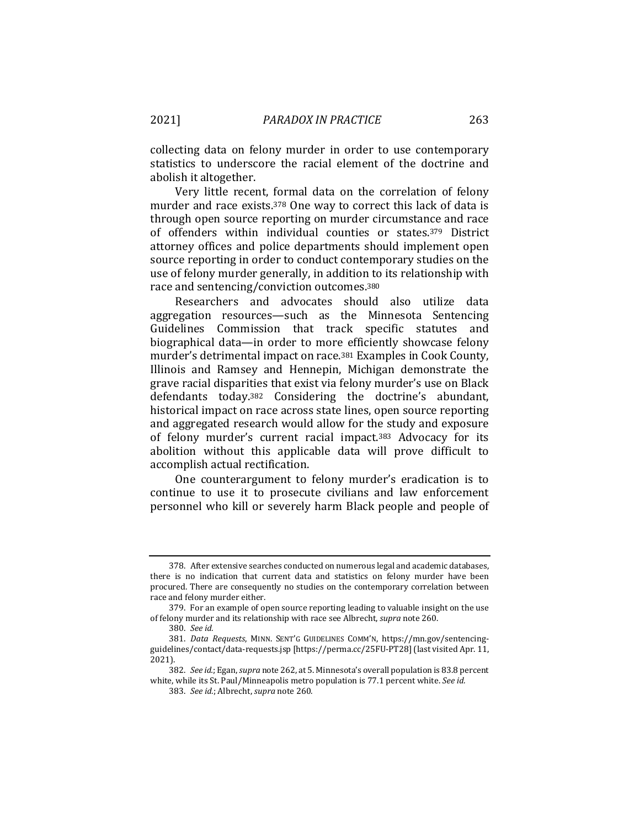collecting data on felony murder in order to use contemporary statistics to underscore the racial element of the doctrine and abolish it altogether.

Very little recent, formal data on the correlation of felony murder and race exists.378 One way to correct this lack of data is through open source reporting on murder circumstance and race of offenders within individual counties or states.379 District attorney offices and police departments should implement open source reporting in order to conduct contemporary studies on the use of felony murder generally, in addition to its relationship with race and sentencing/conviction outcomes.380

Researchers and advocates should also utilize data aggregation resources—such as the Minnesota Sentencing Guidelines Commission that track specific statutes and biographical data—in order to more efficiently showcase felony murder's detrimental impact on race.381 Examples in Cook County, Illinois and Ramsey and Hennepin, Michigan demonstrate the grave racial disparities that exist via felony murder's use on Black defendants today.382 Considering the doctrine's abundant, historical impact on race across state lines, open source reporting and aggregated research would allow for the study and exposure of felony murder's current racial impact.383 Advocacy for its abolition without this applicable data will prove difficult to accomplish actual rectification.

One counterargument to felony murder's eradication is to continue to use it to prosecute civilians and law enforcement personnel who kill or severely harm Black people and people of

<sup>378.</sup> After extensive searches conducted on numerous legal and academic databases, there is no indication that current data and statistics on felony murder have been procured. There are consequently no studies on the contemporary correlation between race and felony murder either.

<sup>379.</sup> For an example of open source reporting leading to valuable insight on the use of felony murder and its relationship with race see Albrecht, *supra* note 260.

<sup>380.</sup> *See id.*

<sup>381.</sup> *Data Requests*, MINN. SENT'G GUIDELINES COMM'N, https://mn.gov/sentencingguidelines/contact/data-requests.jsp [https://perma.cc/25FU-PT28] (last visited Apr. 11, 2021).

<sup>382.</sup> *See id.*; Egan, *supra* note 262, at 5. Minnesota's overall population is 83.8 percent white, while its St. Paul/Minneapolis metro population is 77.1 percent white. *See id.*

<sup>383.</sup> *See id.*; Albrecht, *supra* note 260*.*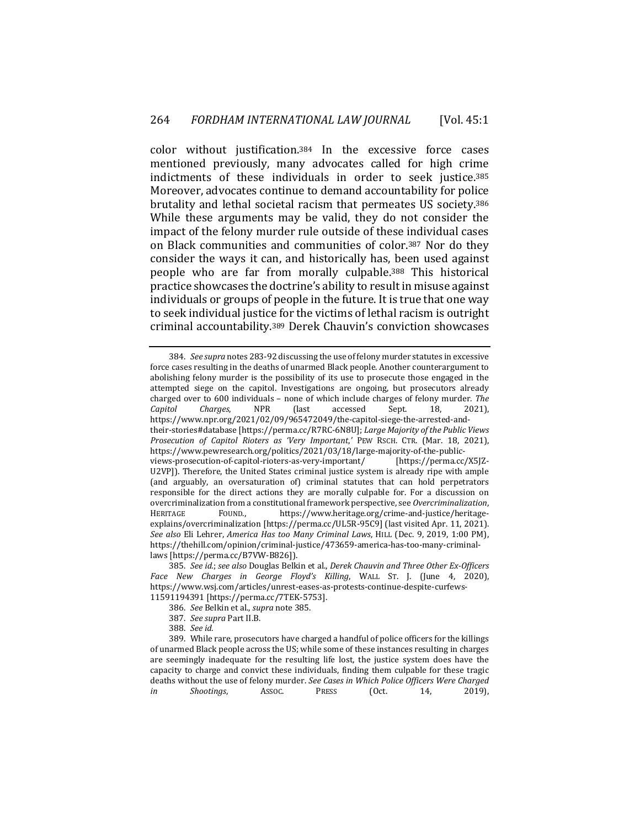color without justification.384 In the excessive force cases mentioned previously, many advocates called for high crime indictments of these individuals in order to seek justice.385 Moreover, advocates continue to demand accountability for police brutality and lethal societal racism that permeates US society.386 While these arguments may be valid, they do not consider the impact of the felony murder rule outside of these individual cases on Black communities and communities of color.387 Nor do they consider the ways it can, and historically has, been used against people who are far from morally culpable.388 This historical practice showcases the doctrine's ability to result in misuse against individuals or groups of people in the future. It is true that one way to seek individual justice for the victims of lethal racism is outright criminal accountability.389 Derek Chauvin's conviction showcases

384. *See supra* notes 283-92 discussing the use of felony murder statutes in excessive force cases resulting in the deaths of unarmed Black people. Another counterargument to abolishing felony murder is the possibility of its use to prosecute those engaged in the attempted siege on the capitol. Investigations are ongoing, but prosecutors already charged over to 600 individuals – none of which include charges of felony murder*. The Capitol Charges*, NPR (last accessed Sept. 18, 2021), https://www.npr.org/2021/02/09/965472049/the-capitol-siege-the-arrested-andtheir-stories#database [https://perma.cc/R7RC-6N8U]; *Large Majority of the Public Views Prosecution of Capitol Rioters as 'Very Important*,*'* PEW RSCH. CTR. (Mar. 18, 2021), https://www.pewresearch.org/politics/2021/03/18/large-majority-of-the-publicviews-prosecution-of-capitol-rioters-as-very-important/ [https://perma.cc/X5JZ-U2VP]). Therefore, the United States criminal justice system is already ripe with ample (and arguably, an oversaturation of) criminal statutes that can hold perpetrators responsible for the direct actions they are morally culpable for. For a discussion on overcriminalization from a constitutional framework perspective, see *Overcriminalization*, HERITAGE FOUND., https://www.heritage.org/crime-and-justice/heritageexplains/overcriminalization [https://perma.cc/UL5R-95C9] (last visited Apr. 11, 2021). *See also* Eli Lehrer, *America Has too Many Criminal Laws*, HILL (Dec. 9, 2019, 1:00 PM), https://thehill.com/opinion/criminal-justice/473659-america-has-too-many-criminallaws [https://perma.cc/B7VW-B826]).

- 387. *See supra* Part II.B.
- 388. *See id.*
- 389. While rare, prosecutors have charged a handful of police officers for the killings of unarmed Black people across the US; while some of these instances resulting in charges are seemingly inadequate for the resulting life lost, the justice system does have the capacity to charge and convict these individuals, finding them culpable for these tragic deaths without the use of felony murder. *See Cases in Which Police Officers Were Charged in Shootings*, ASSOC. PRESS (Oct. 14, 2019),

<sup>385.</sup> *See id.*; *see also* Douglas Belkin et al., *Derek Chauvin and Three Other Ex-Officers Face New Charges in George Floyd's Killing*, WALL ST. J. (June 4, 2020), https://www.wsj.com/articles/unrest-eases-as-protests-continue-despite-curfews-11591194391 [https://perma.cc/7TEK-5753].

<sup>386.</sup> *See* Belkin et al., *supra* note 385.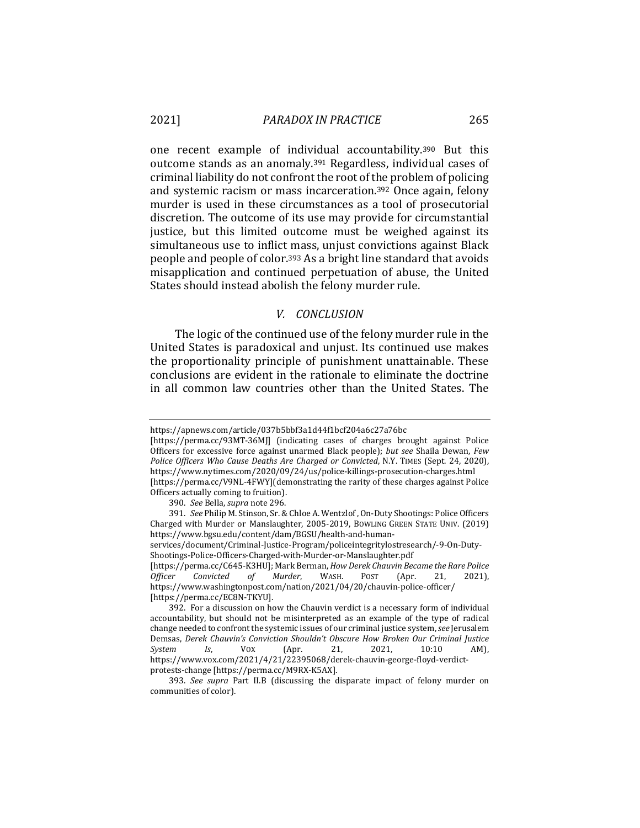one recent example of individual accountability.390 But this outcome stands as an anomaly.391 Regardless, individual cases of criminal liability do not confront the root of the problem of policing and systemic racism or mass incarceration.392 Once again, felony murder is used in these circumstances as a tool of prosecutorial discretion. The outcome of its use may provide for circumstantial justice, but this limited outcome must be weighed against its simultaneous use to inflict mass, unjust convictions against Black people and people of color.393 As a bright line standard that avoids misapplication and continued perpetuation of abuse, the United States should instead abolish the felony murder rule.

#### *V. CONCLUSION*

The logic of the continued use of the felony murder rule in the United States is paradoxical and unjust. Its continued use makes the proportionality principle of punishment unattainable. These conclusions are evident in the rationale to eliminate the doctrine in all common law countries other than the United States. The

[https://perma.cc/93MT-36MJ] (indicating cases of charges brought against Police Officers for excessive force against unarmed Black people); *but see* Shaila Dewan, *Few Police Officers Who Cause Deaths Are Charged or Convicted*, N.Y. TIMES (Sept. 24, 2020), https://www.nytimes.com/2020/09/24/us/police-killings-prosecution-charges.html [https://perma.cc/V9NL-4FWY](demonstrating the rarity of these charges against Police

391. *See* Philip M. Stinson, Sr. & Chloe A. Wentzlof , On-Duty Shootings: Police Officers Charged with Murder or Manslaughter, 2005-2019, BOWLING GREEN STATE UNIV. (2019) https://www.bgsu.edu/content/dam/BGSU/health-and-humanservices/document/Criminal-Justice-Program/policeintegritylostresearch/-9-On-Duty-Shootings-Police-Officers-Charged-with-Murder-or-Manslaughter.pdf [https://perma.cc/C645-K3HU]; Mark Berman, *How Derek Chauvin Became the Rare Police Officer Convicted of Murder*, WASH. POST (Apr. 21, 2021), https://www.washingtonpost.com/nation/2021/04/20/chauvin-police-officer/

[https://perma.cc/EC8N-TKYU].

https://apnews.com/article/037b5bbf3a1d44f1bcf204a6c27a76bc

Officers actually coming to fruition).

<sup>390.</sup> *See* Bella, *supra* note 296.

<sup>392.</sup> For a discussion on how the Chauvin verdict is a necessary form of individual accountability, but should not be misinterpreted as an example of the type of radical change needed to confront the systemic issues of our criminal justice system, *see* Jerusalem Demsas, *Derek Chauvin's Conviction Shouldn't Obscure How Broken Our Criminal Justice System Is*, VOX (Apr. 21, 2021, 10:10 AM), https://www.vox.com/2021/4/21/22395068/derek-chauvin-george-floyd-verdictprotests-change [https://perma.cc/M9RX-K5AX].

<sup>393.</sup> *See supra* Part II.B (discussing the disparate impact of felony murder on communities of color).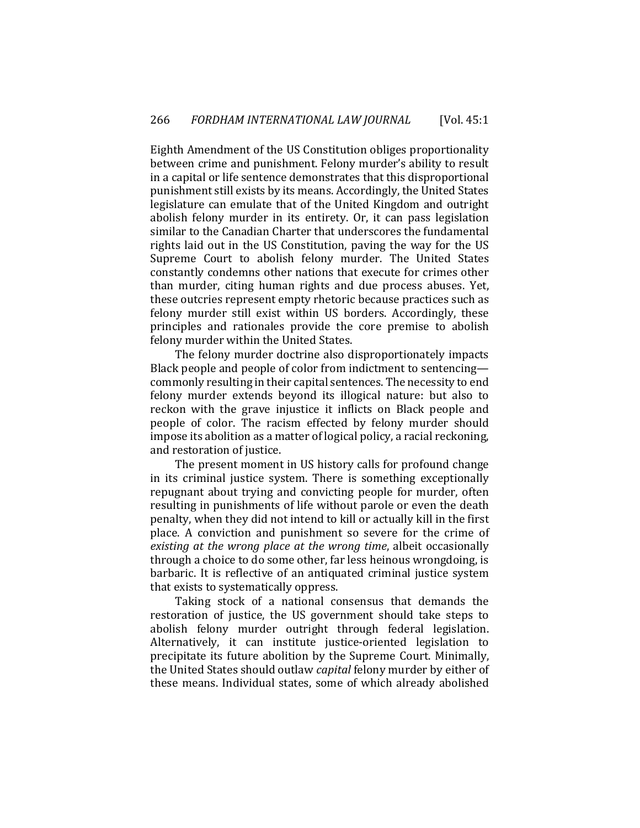Eighth Amendment of the US Constitution obliges proportionality between crime and punishment. Felony murder's ability to result in a capital or life sentence demonstrates that this disproportional punishment still exists by its means. Accordingly, the United States legislature can emulate that of the United Kingdom and outright abolish felony murder in its entirety. Or, it can pass legislation similar to the Canadian Charter that underscores the fundamental rights laid out in the US Constitution, paving the way for the US Supreme Court to abolish felony murder. The United States constantly condemns other nations that execute for crimes other than murder, citing human rights and due process abuses. Yet, these outcries represent empty rhetoric because practices such as felony murder still exist within US borders. Accordingly, these principles and rationales provide the core premise to abolish felony murder within the United States.

The felony murder doctrine also disproportionately impacts Black people and people of color from indictment to sentencing commonly resulting in their capital sentences. The necessity to end felony murder extends beyond its illogical nature: but also to reckon with the grave injustice it inflicts on Black people and people of color. The racism effected by felony murder should impose its abolition as a matter of logical policy, a racial reckoning, and restoration of justice.

The present moment in US history calls for profound change in its criminal justice system. There is something exceptionally repugnant about trying and convicting people for murder, often resulting in punishments of life without parole or even the death penalty, when they did not intend to kill or actually kill in the first place. A conviction and punishment so severe for the crime of *existing at the wrong place at the wrong time*, albeit occasionally through a choice to do some other, far less heinous wrongdoing, is barbaric. It is reflective of an antiquated criminal justice system that exists to systematically oppress.

Taking stock of a national consensus that demands the restoration of justice, the US government should take steps to abolish felony murder outright through federal legislation. Alternatively, it can institute justice-oriented legislation to precipitate its future abolition by the Supreme Court. Minimally, the United States should outlaw *capital* felony murder by either of these means. Individual states, some of which already abolished